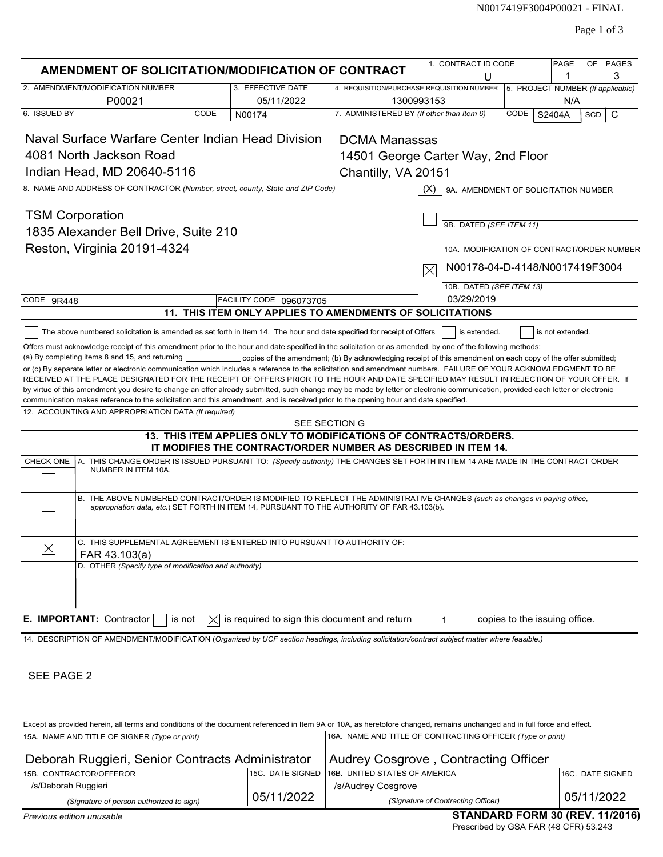#### N0017419F3004P00021 - FINAL

Page 1 of 3

| AMENDMENT OF SOLICITATION/MODIFICATION OF CONTRACT                                                                                                                                                                                                                                                            |                                                                                                              |                                            | 1. CONTRACT ID CODE                                   |                                   | PAGE             | OF PAGES         |
|---------------------------------------------------------------------------------------------------------------------------------------------------------------------------------------------------------------------------------------------------------------------------------------------------------------|--------------------------------------------------------------------------------------------------------------|--------------------------------------------|-------------------------------------------------------|-----------------------------------|------------------|------------------|
| 2. AMENDMENT/MODIFICATION NUMBER                                                                                                                                                                                                                                                                              | 3. EFFECTIVE DATE                                                                                            | 4. REQUISITION/PURCHASE REQUISITION NUMBER | U                                                     | 5. PROJECT NUMBER (If applicable) | 1                | 3                |
| P00021                                                                                                                                                                                                                                                                                                        | 05/11/2022                                                                                                   | 1300993153                                 |                                                       |                                   | N/A              |                  |
| 6. ISSUED BY<br>CODE                                                                                                                                                                                                                                                                                          | N00174                                                                                                       | 7. ADMINISTERED BY (If other than Item 6)  |                                                       | CODE<br>S2404A                    | SCD              | C                |
| Naval Surface Warfare Center Indian Head Division                                                                                                                                                                                                                                                             |                                                                                                              | <b>DCMA Manassas</b>                       |                                                       |                                   |                  |                  |
| 4081 North Jackson Road                                                                                                                                                                                                                                                                                       |                                                                                                              | 14501 George Carter Way, 2nd Floor         |                                                       |                                   |                  |                  |
| Indian Head, MD 20640-5116                                                                                                                                                                                                                                                                                    |                                                                                                              | Chantilly, VA 20151                        |                                                       |                                   |                  |                  |
| 8. NAME AND ADDRESS OF CONTRACTOR (Number, street, county, State and ZIP Code)                                                                                                                                                                                                                                |                                                                                                              |                                            | (X)<br>9A. AMENDMENT OF SOLICITATION NUMBER           |                                   |                  |                  |
|                                                                                                                                                                                                                                                                                                               |                                                                                                              |                                            |                                                       |                                   |                  |                  |
| <b>TSM Corporation</b>                                                                                                                                                                                                                                                                                        |                                                                                                              |                                            |                                                       |                                   |                  |                  |
| 1835 Alexander Bell Drive, Suite 210                                                                                                                                                                                                                                                                          |                                                                                                              |                                            | 9B. DATED (SEE ITEM 11)                               |                                   |                  |                  |
| Reston, Virginia 20191-4324                                                                                                                                                                                                                                                                                   |                                                                                                              |                                            | 10A. MODIFICATION OF CONTRACT/ORDER NUMBER            |                                   |                  |                  |
|                                                                                                                                                                                                                                                                                                               |                                                                                                              |                                            | N00178-04-D-4148/N0017419F3004<br>$\overline{\times}$ |                                   |                  |                  |
|                                                                                                                                                                                                                                                                                                               |                                                                                                              |                                            | 10B. DATED (SEE ITEM 13)                              |                                   |                  |                  |
| CODE 9R448                                                                                                                                                                                                                                                                                                    | FACILITY CODE 096073705                                                                                      |                                            | 03/29/2019                                            |                                   |                  |                  |
|                                                                                                                                                                                                                                                                                                               | 11. THIS ITEM ONLY APPLIES TO AMENDMENTS OF SOLICITATIONS                                                    |                                            |                                                       |                                   |                  |                  |
| The above numbered solicitation is amended as set forth in Item 14. The hour and date specified for receipt of Offers                                                                                                                                                                                         |                                                                                                              |                                            | is extended.                                          |                                   | is not extended. |                  |
| Offers must acknowledge receipt of this amendment prior to the hour and date specified in the solicitation or as amended, by one of the following methods:                                                                                                                                                    |                                                                                                              |                                            |                                                       |                                   |                  |                  |
| (a) By completing items 8 and 15, and returning                                                                                                                                                                                                                                                               | copies of the amendment; (b) By acknowledging receipt of this amendment on each copy of the offer submitted; |                                            |                                                       |                                   |                  |                  |
| or (c) By separate letter or electronic communication which includes a reference to the solicitation and amendment numbers. FAILURE OF YOUR ACKNOWLEDGMENT TO BE<br>RECEIVED AT THE PLACE DESIGNATED FOR THE RECEIPT OF OFFERS PRIOR TO THE HOUR AND DATE SPECIFIED MAY RESULT IN REJECTION OF YOUR OFFER. If |                                                                                                              |                                            |                                                       |                                   |                  |                  |
| by virtue of this amendment you desire to change an offer already submitted, such change may be made by letter or electronic communication, provided each letter or electronic                                                                                                                                |                                                                                                              |                                            |                                                       |                                   |                  |                  |
| communication makes reference to the solicitation and this amendment, and is received prior to the opening hour and date specified.                                                                                                                                                                           |                                                                                                              |                                            |                                                       |                                   |                  |                  |
| 12. ACCOUNTING AND APPROPRIATION DATA (If required)                                                                                                                                                                                                                                                           |                                                                                                              | SEE SECTION G                              |                                                       |                                   |                  |                  |
|                                                                                                                                                                                                                                                                                                               | 13. THIS ITEM APPLIES ONLY TO MODIFICATIONS OF CONTRACTS/ORDERS.                                             |                                            |                                                       |                                   |                  |                  |
|                                                                                                                                                                                                                                                                                                               | IT MODIFIES THE CONTRACT/ORDER NUMBER AS DESCRIBED IN ITEM 14.                                               |                                            |                                                       |                                   |                  |                  |
| CHECK ONE<br>A. THIS CHANGE ORDER IS ISSUED PURSUANT TO: (Specify authority) THE CHANGES SET FORTH IN ITEM 14 ARE MADE IN THE CONTRACT ORDER<br>NUMBER IN ITEM 10A.                                                                                                                                           |                                                                                                              |                                            |                                                       |                                   |                  |                  |
|                                                                                                                                                                                                                                                                                                               |                                                                                                              |                                            |                                                       |                                   |                  |                  |
| B. THE ABOVE NUMBERED CONTRACT/ORDER IS MODIFIED TO REFLECT THE ADMINISTRATIVE CHANGES (such as changes in paying office,                                                                                                                                                                                     |                                                                                                              |                                            |                                                       |                                   |                  |                  |
| appropriation data, etc.) SET FORTH IN ITEM 14, PURSUANT TO THE AUTHORITY OF FAR 43.103(b).                                                                                                                                                                                                                   |                                                                                                              |                                            |                                                       |                                   |                  |                  |
|                                                                                                                                                                                                                                                                                                               |                                                                                                              |                                            |                                                       |                                   |                  |                  |
| C. THIS SUPPLEMENTAL AGREEMENT IS ENTERED INTO PURSUANT TO AUTHORITY OF:<br>$\mathord{\times}$                                                                                                                                                                                                                |                                                                                                              |                                            |                                                       |                                   |                  |                  |
| FAR 43.103(a)<br>D. OTHER (Specify type of modification and authority)                                                                                                                                                                                                                                        |                                                                                                              |                                            |                                                       |                                   |                  |                  |
|                                                                                                                                                                                                                                                                                                               |                                                                                                              |                                            |                                                       |                                   |                  |                  |
|                                                                                                                                                                                                                                                                                                               |                                                                                                              |                                            |                                                       |                                   |                  |                  |
|                                                                                                                                                                                                                                                                                                               |                                                                                                              |                                            |                                                       |                                   |                  |                  |
| E. IMPORTANT: Contractor<br>is not<br>IXI                                                                                                                                                                                                                                                                     | is required to sign this document and return                                                                 |                                            |                                                       | copies to the issuing office.     |                  |                  |
| 14. DESCRIPTION OF AMENDMENT/MODIFICATION (Organized by UCF section headings, including solicitation/contract subject matter where feasible.)                                                                                                                                                                 |                                                                                                              |                                            |                                                       |                                   |                  |                  |
|                                                                                                                                                                                                                                                                                                               |                                                                                                              |                                            |                                                       |                                   |                  |                  |
| SEE PAGE 2                                                                                                                                                                                                                                                                                                    |                                                                                                              |                                            |                                                       |                                   |                  |                  |
|                                                                                                                                                                                                                                                                                                               |                                                                                                              |                                            |                                                       |                                   |                  |                  |
|                                                                                                                                                                                                                                                                                                               |                                                                                                              |                                            |                                                       |                                   |                  |                  |
|                                                                                                                                                                                                                                                                                                               |                                                                                                              |                                            |                                                       |                                   |                  |                  |
| Except as provided herein, all terms and conditions of the document referenced in Item 9A or 10A, as heretofore changed, remains unchanged and in full force and effect.<br>15A. NAME AND TITLE OF SIGNER (Type or print)                                                                                     | 16A. NAME AND TITLE OF CONTRACTING OFFICER (Type or print)                                                   |                                            |                                                       |                                   |                  |                  |
|                                                                                                                                                                                                                                                                                                               |                                                                                                              |                                            |                                                       |                                   |                  |                  |
| Deborah Ruggieri, Senior Contracts Administrator                                                                                                                                                                                                                                                              |                                                                                                              | Audrey Cosgrove, Contracting Officer       |                                                       |                                   |                  |                  |
| 15B. CONTRACTOR/OFFEROR                                                                                                                                                                                                                                                                                       | 15C. DATE SIGNED                                                                                             | 16B. UNITED STATES OF AMERICA              |                                                       |                                   |                  | 16C. DATE SIGNED |
| /s/Deborah Ruggieri                                                                                                                                                                                                                                                                                           | 05/11/2022                                                                                                   | /s/Audrey Cosgrove                         |                                                       |                                   | 05/11/2022       |                  |
| (Signature of person authorized to sign)                                                                                                                                                                                                                                                                      |                                                                                                              |                                            | (Signature of Contracting Officer)                    |                                   |                  |                  |

| 15A. NAME AND TITLE OF SIGNER (Type or print)    |            | 16A. NAME AND TITLE OF CONTRACTING OFFICER (Type or print) |                   |  |  |
|--------------------------------------------------|------------|------------------------------------------------------------|-------------------|--|--|
| Deborah Ruggieri, Senior Contracts Administrator |            | Audrey Cosgrove, Contracting Officer                       |                   |  |  |
| 15B. CONTRACTOR/OFFEROR                          |            | 15C. DATE SIGNED 16B. UNITED STATES OF AMERICA             | 116C. DATE SIGNED |  |  |
| /s/Deborah Ruggieri                              |            | /s/Audrey Cosgrove                                         |                   |  |  |
| (Signature of person authorized to sign)         | 05/11/2022 | (Signature of Contracting Officer)                         | 05/11/2022        |  |  |

**STANDARD FORM 30 (REV. 11/2016)** Prescribed by GSA FAR (48 CFR) 53.243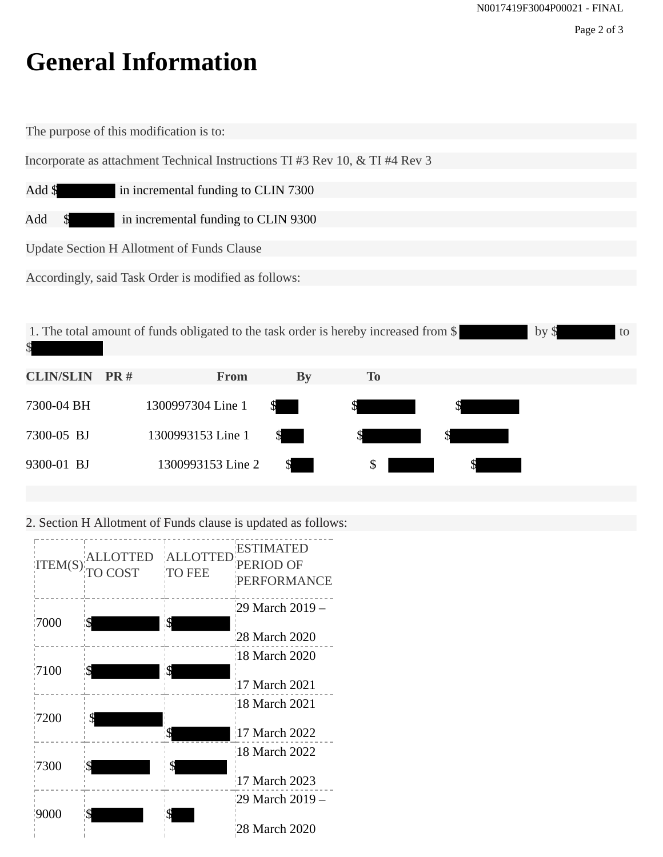# **General Information**

The purpose of this modification is to:

Incorporate as attachment Technical Instructions TI #3 Rev 10, & TI #4 Rev 3

- Add \$ in incremental funding to CLIN 7300
- Add \ \ \$ \ in incremental funding to CLIN 9300

Update Section H Allotment of Funds Clause

\$

Accordingly, said Task Order is modified as follows:

1. The total amount of funds obligated to the task order is hereby increased from \$ by \$ to

| CLIN/SLIN PR# | <b>From</b>       | $\mathbf{B}\mathbf{v}$ | <b>To</b> |  |
|---------------|-------------------|------------------------|-----------|--|
| 7300-04 BH    | 1300997304 Line 1 | $\mathbb{S}$           |           |  |
| 7300-05 BJ    | 1300993153 Line 1 | Y.                     |           |  |
| 9300-01 BJ    | 1300993153 Line 2 | $\mathbf{S}$           | \$        |  |

# 2. Section H Allotment of Funds clause is updated as follows:

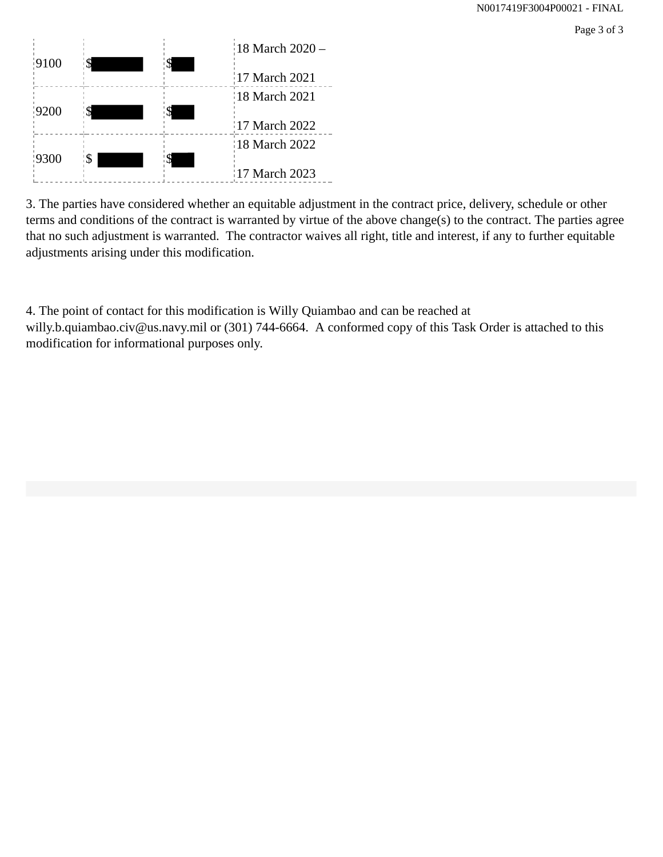Page 3 of 3



3. The parties have considered whether an equitable adjustment in the contract price, delivery, schedule or other terms and conditions of the contract is warranted by virtue of the above change(s) to the contract. The parties agree that no such adjustment is warranted. The contractor waives all right, title and interest, if any to further equitable adjustments arising under this modification.

4. The point of contact for this modification is Willy Quiambao and can be reached at willy.b.quiambao.civ@us.navy.mil or (301) 744-6664. A conformed copy of this Task Order is attached to this modification for informational purposes only.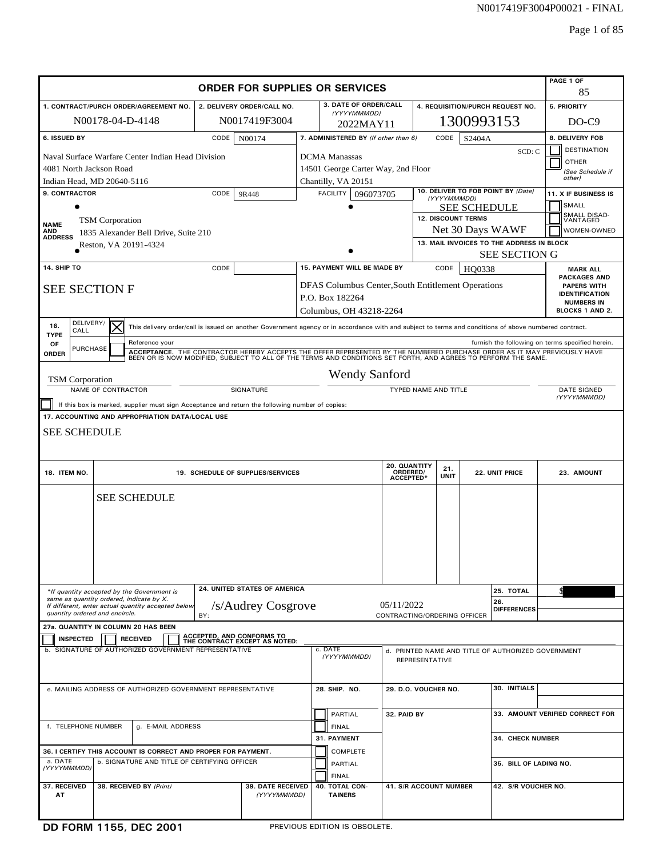| <b>ORDER FOR SUPPLIES OR SERVICES</b>    |                                                                                                                                                                                                                                  |      |                                                            |                             | PAGE 1 OF<br>85                                           |                                       |                      |                    |                           |                                                               |                                                  |
|------------------------------------------|----------------------------------------------------------------------------------------------------------------------------------------------------------------------------------------------------------------------------------|------|------------------------------------------------------------|-----------------------------|-----------------------------------------------------------|---------------------------------------|----------------------|--------------------|---------------------------|---------------------------------------------------------------|--------------------------------------------------|
|                                          | 1. CONTRACT/PURCH ORDER/AGREEMENT NO.                                                                                                                                                                                            |      | 2. DELIVERY ORDER/CALL NO.                                 |                             | 3. DATE OF ORDER/CALL                                     |                                       |                      |                    |                           | 4. REQUISITION/PURCH REQUEST NO.                              | <b>5. PRIORITY</b>                               |
|                                          | N00178-04-D-4148                                                                                                                                                                                                                 |      | N0017419F3004                                              |                             | (YYYYMMMDD)<br>2022MAY11                                  |                                       |                      |                    |                           | 1300993153                                                    | $DO-C9$                                          |
| 6. ISSUED BY                             |                                                                                                                                                                                                                                  | CODE | N00174                                                     |                             | 7. ADMINISTERED BY (If other than 6)                      |                                       |                      | CODE               | S2404A                    |                                                               | <b>8. DELIVERY FOB</b>                           |
|                                          | Naval Surface Warfare Center Indian Head Division                                                                                                                                                                                |      |                                                            |                             | <b>DCMA</b> Manassas                                      |                                       |                      |                    |                           | SCD: C                                                        | <b>DESTINATION</b><br><b>OTHER</b>               |
| 4081 North Jackson Road                  | Indian Head, MD 20640-5116                                                                                                                                                                                                       |      |                                                            |                             | 14501 George Carter Way, 2nd Floor<br>Chantilly, VA 20151 |                                       |                      |                    |                           |                                                               | (See Schedule if<br>other)                       |
| 9. CONTRACTOR                            |                                                                                                                                                                                                                                  | CODE | 9R448                                                      |                             | 096073705<br><b>FACILITY</b>                              |                                       |                      | (YYYYMMMDD)        |                           | 10. DELIVER TO FOB POINT BY (Date)                            | <b>11. X IF BUSINESS IS</b>                      |
|                                          |                                                                                                                                                                                                                                  |      |                                                            |                             |                                                           |                                       |                      |                    | <b>SEE SCHEDULE</b>       |                                                               | SMALL                                            |
| <b>NAME</b>                              | <b>TSM</b> Corporation                                                                                                                                                                                                           |      |                                                            |                             |                                                           |                                       |                      |                    | <b>12. DISCOUNT TERMS</b> |                                                               | SMALL DISAD-<br>VANTAGED                         |
| <b>AND</b><br><b>ADDRESS</b>             | 1835 Alexander Bell Drive, Suite 210                                                                                                                                                                                             |      |                                                            |                             |                                                           |                                       |                      |                    |                           | Net 30 Days WAWF<br>13. MAIL INVOICES TO THE ADDRESS IN BLOCK | WOMEN-OWNED                                      |
|                                          | Reston, VA 20191-4324                                                                                                                                                                                                            |      |                                                            |                             |                                                           |                                       |                      |                    |                           | <b>SEE SECTION G</b>                                          |                                                  |
| 14. SHIP TO                              |                                                                                                                                                                                                                                  | CODE |                                                            |                             | 15. PAYMENT WILL BE MADE BY                               |                                       |                      | CODE               | HO0338                    |                                                               | <b>MARK ALL</b>                                  |
| <b>SEE SECTION F</b>                     |                                                                                                                                                                                                                                  |      |                                                            |                             | DFAS Columbus Center, South Entitlement Operations        |                                       |                      |                    |                           |                                                               | <b>PACKAGES AND</b><br><b>PAPERS WITH</b>        |
|                                          |                                                                                                                                                                                                                                  |      |                                                            |                             | P.O. Box 182264                                           |                                       |                      |                    |                           |                                                               | <b>IDENTIFICATION</b><br><b>NUMBERS IN</b>       |
|                                          |                                                                                                                                                                                                                                  |      |                                                            |                             | Columbus, OH 43218-2264                                   |                                       |                      |                    |                           |                                                               | <b>BLOCKS 1 AND 2.</b>                           |
| DELIVERY/<br>16.<br>CALL<br><b>TYPE</b>  | This delivery order/call is issued on another Government agency or in accordance with and subject to terms and conditions of above numbered contract.                                                                            |      |                                                            |                             |                                                           |                                       |                      |                    |                           |                                                               |                                                  |
| ΟF<br><b>PURCHASE</b>                    | Reference your                                                                                                                                                                                                                   |      |                                                            |                             |                                                           |                                       |                      |                    |                           |                                                               | furnish the following on terms specified herein. |
| <b>ORDER</b>                             | ACCEPTANCE. THE CONTRACTOR HEREBY ACCEPTS THE OFFER REPRESENTED BY THE NUMBERED PURCHASE ORDER AS IT MAY PREVIOUSLY HAVE<br>BEEN OR IS NOW MODIFIED, SUBJECT TO ALL OF THE TERMS AND CONDITIONS SET FORTH, AND AGREES TO PERFORM |      |                                                            |                             |                                                           |                                       |                      |                    |                           |                                                               |                                                  |
| <b>TSM</b> Corporation                   |                                                                                                                                                                                                                                  |      |                                                            |                             | <b>Wendy Sanford</b>                                      |                                       |                      |                    |                           |                                                               |                                                  |
|                                          | NAME OF CONTRACTOR                                                                                                                                                                                                               |      | <b>SIGNATURE</b>                                           |                             |                                                           |                                       | TYPED NAME AND TITLE |                    |                           |                                                               | <b>DATE SIGNED</b>                               |
|                                          | If this box is marked, supplier must sign Acceptance and return the following number of copies:                                                                                                                                  |      |                                                            |                             |                                                           |                                       |                      |                    |                           |                                                               | (YYYYMMMDD)                                      |
| <b>SEE SCHEDULE</b>                      |                                                                                                                                                                                                                                  |      |                                                            |                             |                                                           |                                       |                      |                    |                           |                                                               |                                                  |
| 18. ITEM NO.                             |                                                                                                                                                                                                                                  |      | 19. SCHEDULE OF SUPPLIES/SERVICES                          |                             |                                                           | 20. QUANTITY<br>ORDERED/<br>ACCEPTED* |                      | 21.<br><b>UNIT</b> |                           | 22. UNIT PRICE                                                | 23. AMOUNT                                       |
|                                          | <b>SEE SCHEDULE</b>                                                                                                                                                                                                              |      |                                                            |                             |                                                           |                                       |                      |                    |                           |                                                               |                                                  |
|                                          | *If quantity accepted by the Government is                                                                                                                                                                                       |      | 24. UNITED STATES OF AMERICA                               |                             |                                                           |                                       |                      |                    |                           | 25. TOTAL                                                     |                                                  |
|                                          | same as quantity ordered, indicate by X.<br>If different, enter actual quantity accepted below                                                                                                                                   |      | /s/Audrey Cosgrove                                         |                             |                                                           | 05/11/2022                            |                      |                    |                           | 26.<br><b>DIFFERENCES</b>                                     |                                                  |
| quantity ordered and encircle.           | 27a. QUANTITY IN COLUMN 20 HAS BEEN                                                                                                                                                                                              | BY:  |                                                            |                             |                                                           | CONTRACTING/ORDERING OFFICER          |                      |                    |                           |                                                               |                                                  |
| <b>INSPECTED</b>                         | <b>RECEIVED</b>                                                                                                                                                                                                                  |      | ACCEPTED, AND CONFORMS TO<br>THE CONTRACT EXCEPT AS NOTED: |                             |                                                           |                                       |                      |                    |                           |                                                               |                                                  |
|                                          | b. SIGNATURE OF AUTHORIZED GOVERNMENT REPRESENTATIVE                                                                                                                                                                             |      |                                                            |                             | c. DATE<br>(YYYYMMMDD)                                    |                                       | REPRESENTATIVE       |                    |                           | d. PRINTED NAME AND TITLE OF AUTHORIZED GOVERNMENT            |                                                  |
|                                          | e. MAILING ADDRESS OF AUTHORIZED GOVERNMENT REPRESENTATIVE                                                                                                                                                                       |      |                                                            |                             | 28. SHIP. NO.                                             | 29. D.O. VOUCHER NO.                  |                      |                    |                           | 30. INITIALS                                                  |                                                  |
|                                          |                                                                                                                                                                                                                                  |      |                                                            |                             |                                                           |                                       |                      |                    |                           |                                                               |                                                  |
|                                          |                                                                                                                                                                                                                                  |      |                                                            |                             | PARTIAL                                                   | 32. PAID BY                           |                      |                    |                           |                                                               | 33. AMOUNT VERIFIED CORRECT FOR                  |
| f. TELEPHONE NUMBER<br>g. E-MAIL ADDRESS |                                                                                                                                                                                                                                  |      |                                                            | <b>FINAL</b><br>31. PAYMENT |                                                           |                                       |                      |                    | 34. CHECK NUMBER          |                                                               |                                                  |
|                                          | 36. I CERTIFY THIS ACCOUNT IS CORRECT AND PROPER FOR PAYMENT.                                                                                                                                                                    |      |                                                            |                             | COMPLETE                                                  |                                       |                      |                    |                           |                                                               |                                                  |
| a. DATE<br>(YYYYMMMDD)                   | b. SIGNATURE AND TITLE OF CERTIFYING OFFICER                                                                                                                                                                                     |      |                                                            |                             | PARTIAL                                                   |                                       |                      |                    |                           | 35. BILL OF LADING NO.                                        |                                                  |
|                                          |                                                                                                                                                                                                                                  |      |                                                            |                             | <b>FINAL</b>                                              |                                       |                      |                    |                           |                                                               |                                                  |
| 37. RECEIVED<br>AT                       | 38. RECEIVED BY (Print)                                                                                                                                                                                                          |      | <b>39. DATE RECEIVED</b><br>(YYYYMMMDD)                    |                             | 40. TOTAL CON-<br><b>TAINERS</b>                          | <b>41. S/R ACCOUNT NUMBER</b>         |                      |                    |                           | 42. S/R VOUCHER NO.                                           |                                                  |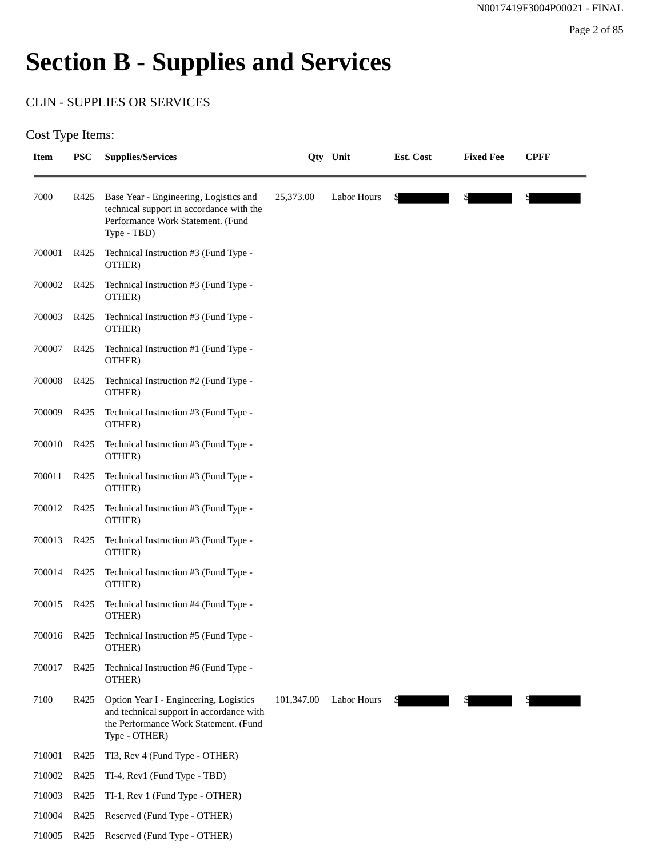# **Section B - Supplies and Services**

# CLIN - SUPPLIES OR SERVICES

# Cost Type Items:

| <b>Item</b> | <b>PSC</b> | <b>Supplies/Services</b>                                                                                                                     |            | Qty Unit    | Est. Cost | <b>Fixed Fee</b> | <b>CPFF</b> |
|-------------|------------|----------------------------------------------------------------------------------------------------------------------------------------------|------------|-------------|-----------|------------------|-------------|
| 7000        | R425       | Base Year - Engineering, Logistics and<br>technical support in accordance with the<br>Performance Work Statement. (Fund<br>Type - TBD)       | 25,373.00  | Labor Hours |           |                  |             |
| 700001      | R425       | Technical Instruction #3 (Fund Type -<br>OTHER)                                                                                              |            |             |           |                  |             |
| 700002      | R425       | Technical Instruction #3 (Fund Type -<br>OTHER)                                                                                              |            |             |           |                  |             |
| 700003      | R425       | Technical Instruction #3 (Fund Type -<br>OTHER)                                                                                              |            |             |           |                  |             |
| 700007      | R425       | Technical Instruction #1 (Fund Type -<br>OTHER)                                                                                              |            |             |           |                  |             |
| 700008      | R425       | Technical Instruction #2 (Fund Type -<br>OTHER)                                                                                              |            |             |           |                  |             |
| 700009      | R425       | Technical Instruction #3 (Fund Type -<br>OTHER)                                                                                              |            |             |           |                  |             |
| 700010      | R425       | Technical Instruction #3 (Fund Type -<br>OTHER)                                                                                              |            |             |           |                  |             |
| 700011      | R425       | Technical Instruction #3 (Fund Type -<br>OTHER)                                                                                              |            |             |           |                  |             |
| 700012      | R425       | Technical Instruction #3 (Fund Type -<br>OTHER)                                                                                              |            |             |           |                  |             |
| 700013      | R425       | Technical Instruction #3 (Fund Type -<br>OTHER)                                                                                              |            |             |           |                  |             |
| 700014      | R425       | Technical Instruction #3 (Fund Type -<br>OTHER)                                                                                              |            |             |           |                  |             |
| 700015      | R425       | Technical Instruction #4 (Fund Type -<br>OTHER)                                                                                              |            |             |           |                  |             |
| 700016 R425 |            | Technical Instruction #5 (Fund Type<br>OTHER)                                                                                                |            |             |           |                  |             |
| 700017      | R425       | Technical Instruction #6 (Fund Type -<br>OTHER)                                                                                              |            |             |           |                  |             |
| 7100        | R425       | Option Year I - Engineering, Logistics<br>and technical support in accordance with<br>the Performance Work Statement. (Fund<br>Type - OTHER) | 101,347.00 | Labor Hours |           |                  |             |
| 710001      | R425       | TI3, Rev 4 (Fund Type - OTHER)                                                                                                               |            |             |           |                  |             |
| 710002      | R425       | TI-4, Rev1 (Fund Type - TBD)                                                                                                                 |            |             |           |                  |             |
| 710003      | R425       | TI-1, Rev 1 (Fund Type - OTHER)                                                                                                              |            |             |           |                  |             |
| 710004      | R425       | Reserved (Fund Type - OTHER)                                                                                                                 |            |             |           |                  |             |
| 710005      | R425       | Reserved (Fund Type - OTHER)                                                                                                                 |            |             |           |                  |             |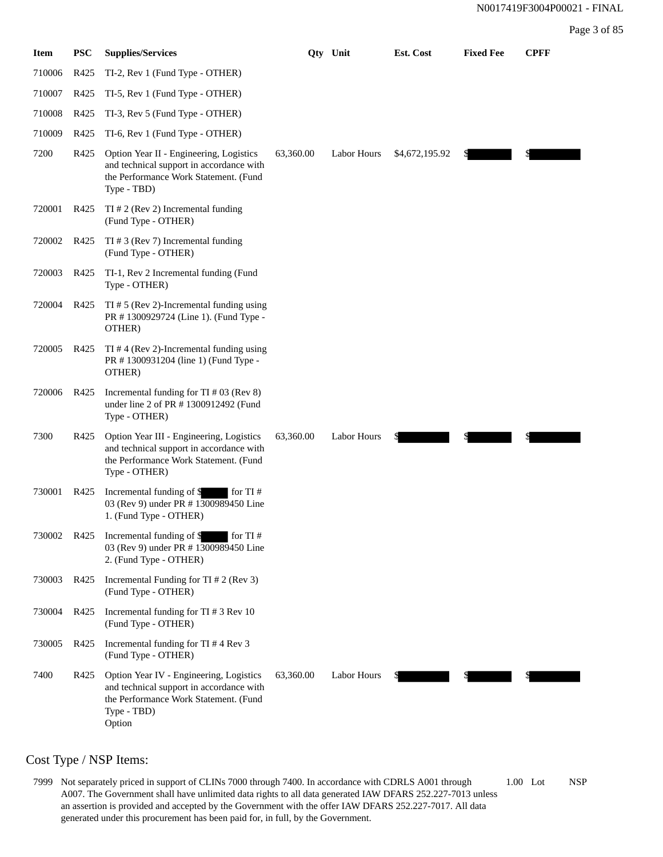| <b>Item</b> | <b>PSC</b> | <b>Supplies/Services</b>                                                                                                                              |           | <b>Oty</b> Unit | Est. Cost      | <b>Fixed Fee</b> | <b>CPFF</b> |
|-------------|------------|-------------------------------------------------------------------------------------------------------------------------------------------------------|-----------|-----------------|----------------|------------------|-------------|
| 710006      | R425       | TI-2, Rev 1 (Fund Type - OTHER)                                                                                                                       |           |                 |                |                  |             |
| 710007      | R425       | TI-5, Rev 1 (Fund Type - OTHER)                                                                                                                       |           |                 |                |                  |             |
| 710008      | R425       | TI-3, Rev 5 (Fund Type - OTHER)                                                                                                                       |           |                 |                |                  |             |
| 710009      | R425       | TI-6, Rev 1 (Fund Type - OTHER)                                                                                                                       |           |                 |                |                  |             |
| 7200        | R425       | Option Year II - Engineering, Logistics<br>and technical support in accordance with<br>the Performance Work Statement. (Fund<br>Type - TBD)           | 63,360.00 | Labor Hours     | \$4,672,195.92 |                  |             |
| 720001      | R425       | TI $# 2$ (Rev 2) Incremental funding<br>(Fund Type - OTHER)                                                                                           |           |                 |                |                  |             |
| 720002      | R425       | $TI$ # 3 (Rev 7) Incremental funding<br>(Fund Type - OTHER)                                                                                           |           |                 |                |                  |             |
| 720003      | R425       | TI-1, Rev 2 Incremental funding (Fund<br>Type - OTHER)                                                                                                |           |                 |                |                  |             |
| 720004      | R425       | TI $# 5$ (Rev 2)-Incremental funding using<br>PR #1300929724 (Line 1). (Fund Type -<br>OTHER)                                                         |           |                 |                |                  |             |
| 720005      | R425       | TI # 4 (Rev 2)-Incremental funding using<br>PR #1300931204 (line 1) (Fund Type -<br>OTHER)                                                            |           |                 |                |                  |             |
| 720006      | R425       | Incremental funding for $TI \# 03$ (Rev 8)<br>under line 2 of PR # 1300912492 (Fund<br>Type - OTHER)                                                  |           |                 |                |                  |             |
| 7300        | R425       | Option Year III - Engineering, Logistics<br>and technical support in accordance with<br>the Performance Work Statement. (Fund<br>Type - OTHER)        | 63,360.00 | Labor Hours     |                |                  |             |
| 730001      | R425       | Incremental funding of \$<br>for $TI#$<br>03 (Rev 9) under PR #1300989450 Line<br>1. (Fund Type - OTHER)                                              |           |                 |                |                  |             |
| 730002      | R425       | Incremental funding of \$<br>for $TI#$<br>03 (Rev 9) under PR #1300989450 Line<br>2. (Fund Type - OTHER)                                              |           |                 |                |                  |             |
| 730003      | R425       | Incremental Funding for TI $# 2$ (Rev 3)<br>(Fund Type - OTHER)                                                                                       |           |                 |                |                  |             |
| 730004      | R425       | Incremental funding for TI # 3 Rev 10<br>(Fund Type - OTHER)                                                                                          |           |                 |                |                  |             |
| 730005      | R425       | Incremental funding for TI # 4 Rev 3<br>(Fund Type - OTHER)                                                                                           |           |                 |                |                  |             |
| 7400        | R425       | Option Year IV - Engineering, Logistics<br>and technical support in accordance with<br>the Performance Work Statement. (Fund<br>Type - TBD)<br>Option | 63,360.00 | Labor Hours     |                |                  |             |

# Cost Type / NSP Items:

7999 Not separately priced in support of CLINs 7000 through 7400. In accordance with CDRLS A001 through A007. The Government shall have unlimited data rights to all data generated IAW DFARS 252.227-7013 unless an assertion is provided and accepted by the Government with the offer IAW DFARS 252.227-7017. All data generated under this procurement has been paid for, in full, by the Government. 1.00 Lot NSP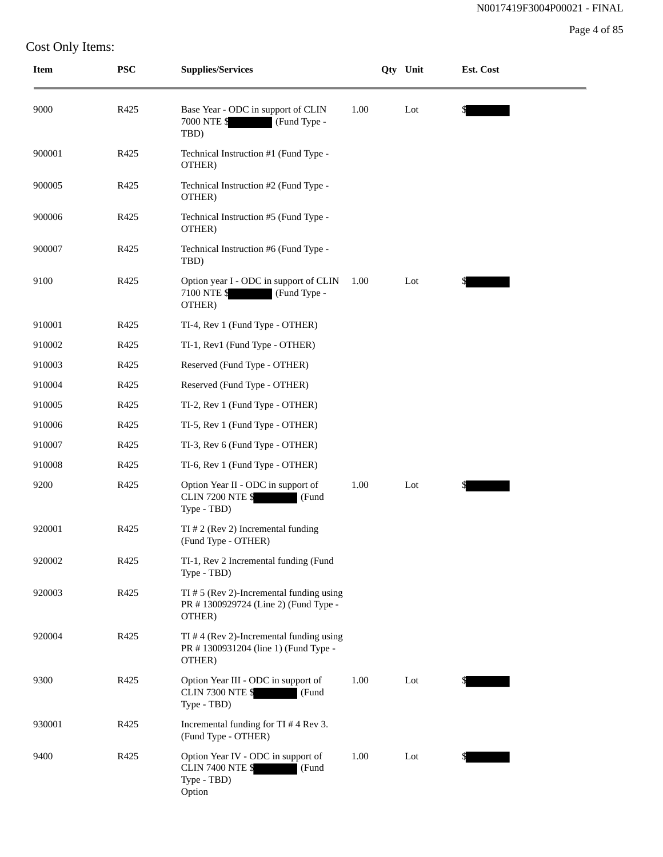## Page 4 of 85

# Cost Only Items:

| <b>Item</b> | <b>PSC</b> | <b>Supplies/Services</b>                                                                        |      | Qty Unit | Est. Cost |
|-------------|------------|-------------------------------------------------------------------------------------------------|------|----------|-----------|
| 9000        | R425       | Base Year - ODC in support of CLIN<br>7000 NTE \$<br>(Fund Type -<br>TBD)                       | 1.00 | Lot      |           |
| 900001      | R425       | Technical Instruction #1 (Fund Type -<br>OTHER)                                                 |      |          |           |
| 900005      | R425       | Technical Instruction #2 (Fund Type -<br>OTHER)                                                 |      |          |           |
| 900006      | R425       | Technical Instruction #5 (Fund Type -<br>OTHER)                                                 |      |          |           |
| 900007      | R425       | Technical Instruction #6 (Fund Type -<br>TBD)                                                   |      |          |           |
| 9100        | R425       | Option year I - ODC in support of CLIN<br>7100 NTE \$<br>(Fund Type -<br>OTHER)                 | 1.00 | Lot      |           |
| 910001      | R425       | TI-4, Rev 1 (Fund Type - OTHER)                                                                 |      |          |           |
| 910002      | R425       | TI-1, Rev1 (Fund Type - OTHER)                                                                  |      |          |           |
| 910003      | R425       | Reserved (Fund Type - OTHER)                                                                    |      |          |           |
| 910004      | R425       | Reserved (Fund Type - OTHER)                                                                    |      |          |           |
| 910005      | R425       | TI-2, Rev 1 (Fund Type - OTHER)                                                                 |      |          |           |
| 910006      | R425       | TI-5, Rev 1 (Fund Type - OTHER)                                                                 |      |          |           |
| 910007      | R425       | TI-3, Rev 6 (Fund Type - OTHER)                                                                 |      |          |           |
| 910008      | R425       | TI-6, Rev 1 (Fund Type - OTHER)                                                                 |      |          |           |
| 9200        | R425       | Option Year II - ODC in support of<br><b>CLIN 7200 NTE \$</b><br>(Fund<br>Type - TBD)           | 1.00 | Lot      |           |
| 920001      | R425       | TI $# 2$ (Rev 2) Incremental funding<br>(Fund Type - OTHER)                                     |      |          |           |
| 920002      | R425       | TI-1, Rev 2 Incremental funding (Fund<br>Type - TBD)                                            |      |          |           |
| 920003      | R425       | TI $# 5$ (Rev 2)-Incremental funding using<br>PR #1300929724 (Line 2) (Fund Type -<br>OTHER)    |      |          |           |
| 920004      | R425       | TI #4 (Rev 2)-Incremental funding using<br>PR #1300931204 (line 1) (Fund Type -<br>OTHER)       |      |          |           |
| 9300        | R425       | Option Year III - ODC in support of<br><b>CLIN 7300 NTE \$</b><br>(Fund<br>Type - TBD)          | 1.00 | Lot      |           |
| 930001      | R425       | Incremental funding for TI # 4 Rev 3.<br>(Fund Type - OTHER)                                    |      |          |           |
| 9400        | R425       | Option Year IV - ODC in support of<br><b>CLIN 7400 NTE \$</b><br>(Fund<br>Type - TBD)<br>Option | 1.00 | Lot      |           |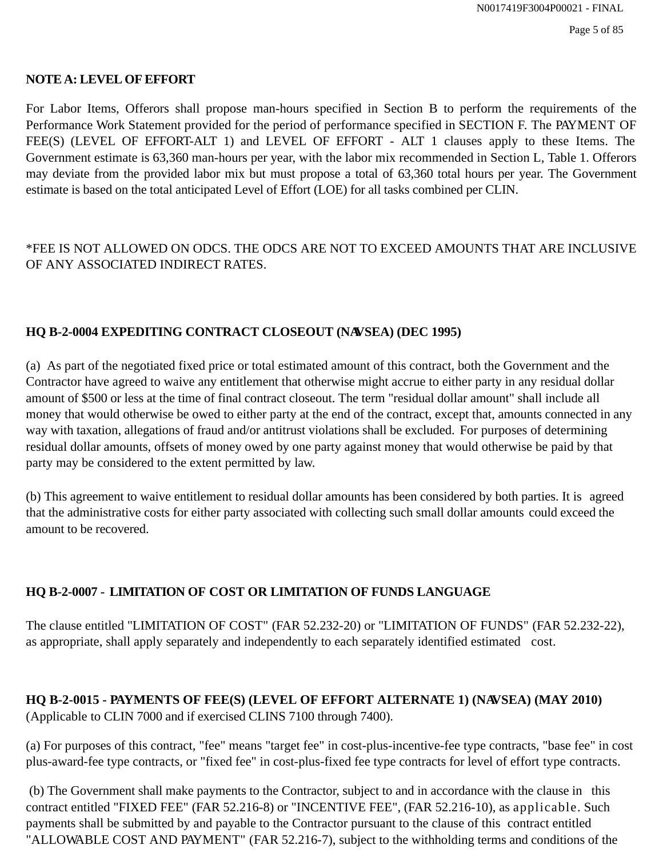## **NOTE A: LEVEL OF EFFORT**

For Labor Items, Offerors shall propose man-hours specified in Section B to perform the requirements of the Performance Work Statement provided for the period of performance specified in SECTION F. The PAYMENT OF FEE(S) (LEVEL OF EFFORT-ALT 1) and LEVEL OF EFFORT - ALT 1 clauses apply to these Items. The Government estimate is 63,360 man-hours per year, with the labor mix recommended in Section L, Table 1. Offerors may deviate from the provided labor mix but must propose a total of 63,360 total hours per year. The Government estimate is based on the total anticipated Level of Effort (LOE) for all tasks combined per CLIN.

# \*FEE IS NOT ALLOWED ON ODCS. THE ODCS ARE NOT TO EXCEED AMOUNTS THAT ARE INCLUSIVE OF ANY ASSOCIATED INDIRECT RATES.

## **HQ B-2-0004 EXPEDITING CONTRACT CLOSEOUT (NAVSEA) (DEC 1995)**

(a) As part of the negotiated fixed price or total estimated amount of this contract, both the Government and the Contractor have agreed to waive any entitlement that otherwise might accrue to either party in any residual dollar amount of \$500 or less at the time of final contract closeout. The term "residual dollar amount" shall include all money that would otherwise be owed to either party at the end of the contract, except that, amounts connected in any way with taxation, allegations of fraud and/or antitrust violations shall be excluded. For purposes of determining residual dollar amounts, offsets of money owed by one party against money that would otherwise be paid by that party may be considered to the extent permitted by law.

(b) This agreement to waive entitlement to residual dollar amounts has been considered by both parties. It is agreed that the administrative costs for either party associated with collecting such small dollar amounts could exceed the amount to be recovered.

## **HQ B-2-0007 - LIMITATION OF COST OR LIMITATION OF FUNDS LANGUAGE**

The clause entitled "LIMITATION OF COST" (FAR 52.232-20) or "LIMITATION OF FUNDS" (FAR 52.232-22), as appropriate, shall apply separately and independently to each separately identified estimated cost.

## **HQ B-2-0015 - PAYMENTS OF FEE(S) (LEVEL OF EFFORT ALTERNATE 1) (NAVSEA) (MAY 2010)** (Applicable to CLIN 7000 and if exercised CLINS 7100 through 7400).

(a) For purposes of this contract, "fee" means "target fee" in cost-plus-incentive-fee type contracts, "base fee" in cost plus-award-fee type contracts, or "fixed fee" in cost-plus-fixed fee type contracts for level of effort type contracts.

 (b) The Government shall make payments to the Contractor, subject to and in accordance with the clause in this contract entitled "FIXED FEE" (FAR 52.216-8) or "INCENTIVE FEE", (FAR 52.216-10), as applicable. Such payments shall be submitted by and payable to the Contractor pursuant to the clause of this contract entitled "ALLOWABLE COST AND PAYMENT" (FAR 52.216-7), subject to the withholding terms and conditions of the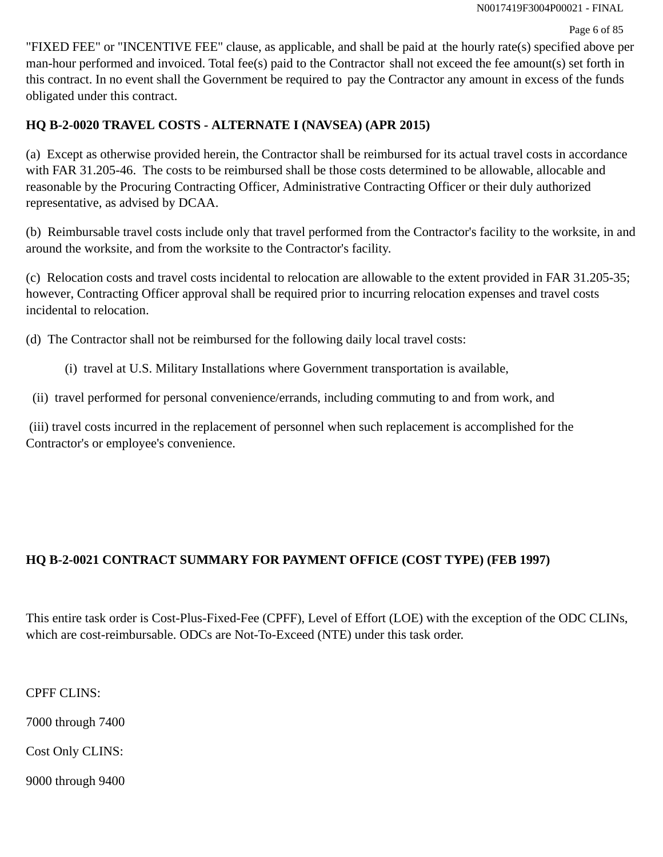"FIXED FEE" or "INCENTIVE FEE" clause, as applicable, and shall be paid at the hourly rate(s) specified above per man-hour performed and invoiced. Total fee(s) paid to the Contractor shall not exceed the fee amount(s) set forth in this contract. In no event shall the Government be required to pay the Contractor any amount in excess of the funds obligated under this contract.

## **HQ B-2-0020 TRAVEL COSTS - ALTERNATE I (NAVSEA) (APR 2015)**

(a) Except as otherwise provided herein, the Contractor shall be reimbursed for its actual travel costs in accordance with FAR 31.205-46. The costs to be reimbursed shall be those costs determined to be allowable, allocable and reasonable by the Procuring Contracting Officer, Administrative Contracting Officer or their duly authorized representative, as advised by DCAA.

(b) Reimbursable travel costs include only that travel performed from the Contractor's facility to the worksite, in and around the worksite, and from the worksite to the Contractor's facility.

(c) Relocation costs and travel costs incidental to relocation are allowable to the extent provided in FAR 31.205-35; however, Contracting Officer approval shall be required prior to incurring relocation expenses and travel costs incidental to relocation.

(d) The Contractor shall not be reimbursed for the following daily local travel costs:

- (i) travel at U.S. Military Installations where Government transportation is available,
- (ii) travel performed for personal convenience/errands, including commuting to and from work, and

 (iii) travel costs incurred in the replacement of personnel when such replacement is accomplished for the Contractor's or employee's convenience.

# **HQ B-2-0021 CONTRACT SUMMARY FOR PAYMENT OFFICE (COST TYPE) (FEB 1997)**

This entire task order is Cost-Plus-Fixed-Fee (CPFF), Level of Effort (LOE) with the exception of the ODC CLINs, which are cost-reimbursable. ODCs are Not-To-Exceed (NTE) under this task order.

CPFF CLINS:

7000 through 7400

Cost Only CLINS:

9000 through 9400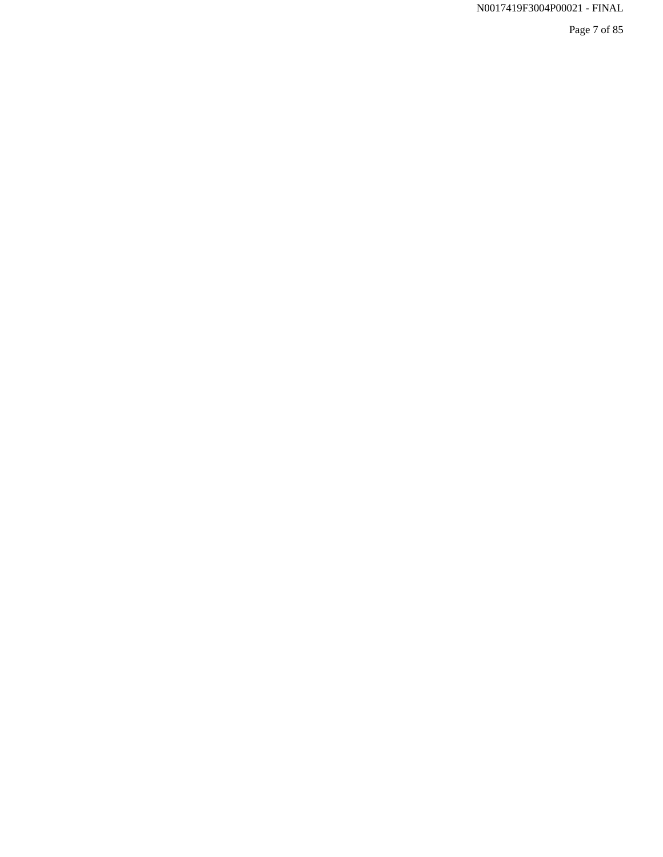N0017419F3004P00021 - FINAL

Page 7 of 85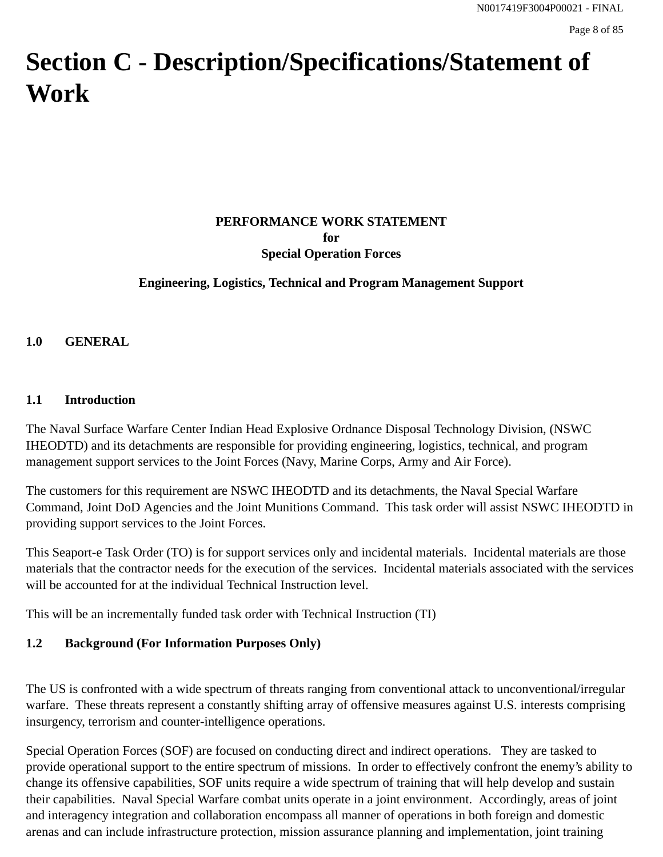# **Section C - Description/Specifications/Statement of Work**

# **PERFORMANCE WORK STATEMENT for Special Operation Forces**

## **Engineering, Logistics, Technical and Program Management Support**

## **1.0 GENERAL**

## **1.1 Introduction**

The Naval Surface Warfare Center Indian Head Explosive Ordnance Disposal Technology Division, (NSWC IHEODTD) and its detachments are responsible for providing engineering, logistics, technical, and program management support services to the Joint Forces (Navy, Marine Corps, Army and Air Force).

The customers for this requirement are NSWC IHEODTD and its detachments, the Naval Special Warfare Command, Joint DoD Agencies and the Joint Munitions Command. This task order will assist NSWC IHEODTD in providing support services to the Joint Forces.

This Seaport-e Task Order (TO) is for support services only and incidental materials. Incidental materials are those materials that the contractor needs for the execution of the services. Incidental materials associated with the services will be accounted for at the individual Technical Instruction level.

This will be an incrementally funded task order with Technical Instruction (TI)

## **1.2 Background (For Information Purposes Only)**

The US is confronted with a wide spectrum of threats ranging from conventional attack to unconventional/irregular warfare. These threats represent a constantly shifting array of offensive measures against U.S. interests comprising insurgency, terrorism and counter-intelligence operations.

Special Operation Forces (SOF) are focused on conducting direct and indirect operations. They are tasked to provide operational support to the entire spectrum of missions. In order to effectively confront the enemy's ability to change its offensive capabilities, SOF units require a wide spectrum of training that will help develop and sustain their capabilities. Naval Special Warfare combat units operate in a joint environment. Accordingly, areas of joint and interagency integration and collaboration encompass all manner of operations in both foreign and domestic arenas and can include infrastructure protection, mission assurance planning and implementation, joint training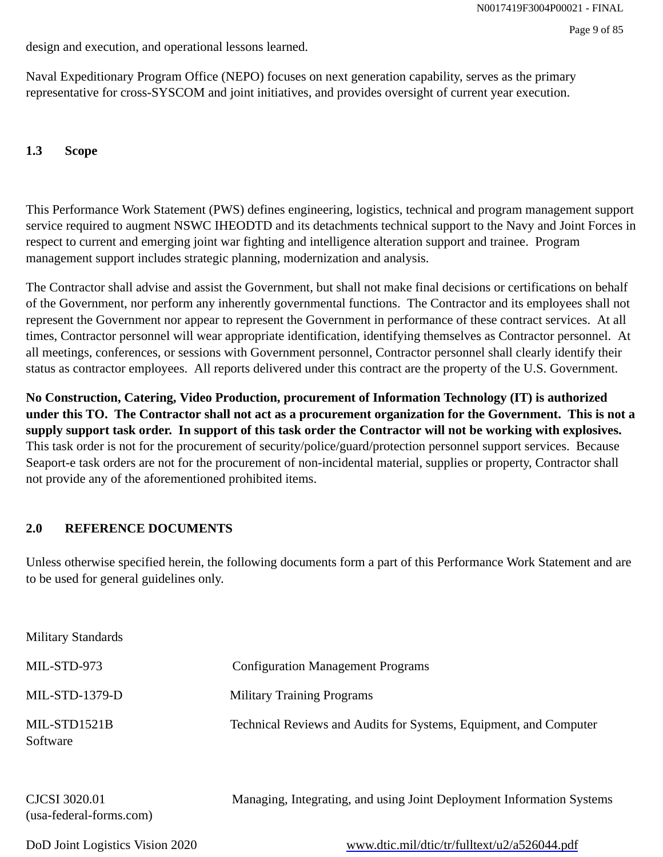design and execution, and operational lessons learned.

Naval Expeditionary Program Office (NEPO) focuses on next generation capability, serves as the primary representative for cross-SYSCOM and joint initiatives, and provides oversight of current year execution.

## **1.3 Scope**

This Performance Work Statement (PWS) defines engineering, logistics, technical and program management support service required to augment NSWC IHEODTD and its detachments technical support to the Navy and Joint Forces in respect to current and emerging joint war fighting and intelligence alteration support and trainee. Program management support includes strategic planning, modernization and analysis.

The Contractor shall advise and assist the Government, but shall not make final decisions or certifications on behalf of the Government, nor perform any inherently governmental functions. The Contractor and its employees shall not represent the Government nor appear to represent the Government in performance of these contract services. At all times, Contractor personnel will wear appropriate identification, identifying themselves as Contractor personnel. At all meetings, conferences, or sessions with Government personnel, Contractor personnel shall clearly identify their status as contractor employees. All reports delivered under this contract are the property of the U.S. Government.

**No Construction, Catering, Video Production, procurement of Information Technology (IT) is authorized under this TO. The Contractor shall not act as a procurement organization for the Government. This is not a supply support task order. In support of this task order the Contractor will not be working with explosives.**  This task order is not for the procurement of security/police/guard/protection personnel support services. Because Seaport-e task orders are not for the procurement of non-incidental material, supplies or property, Contractor shall not provide any of the aforementioned prohibited items.

### **2.0 REFERENCE DOCUMENTS**

Unless otherwise specified herein, the following documents form a part of this Performance Work Statement and are to be used for general guidelines only.

Military Standards

| MIL-STD-973                              | <b>Configuration Management Programs</b>                              |
|------------------------------------------|-----------------------------------------------------------------------|
| <b>MIL-STD-1379-D</b>                    | <b>Military Training Programs</b>                                     |
| MIL-STD1521B<br>Software                 | Technical Reviews and Audits for Systems, Equipment, and Computer     |
| CJCSI 3020.01<br>(usa-federal-forms.com) | Managing, Integrating, and using Joint Deployment Information Systems |

### DoD Joint Logistics Vision 2020 www.dtic.mil/dtic/tr/fulltext/u2/a526044.pdf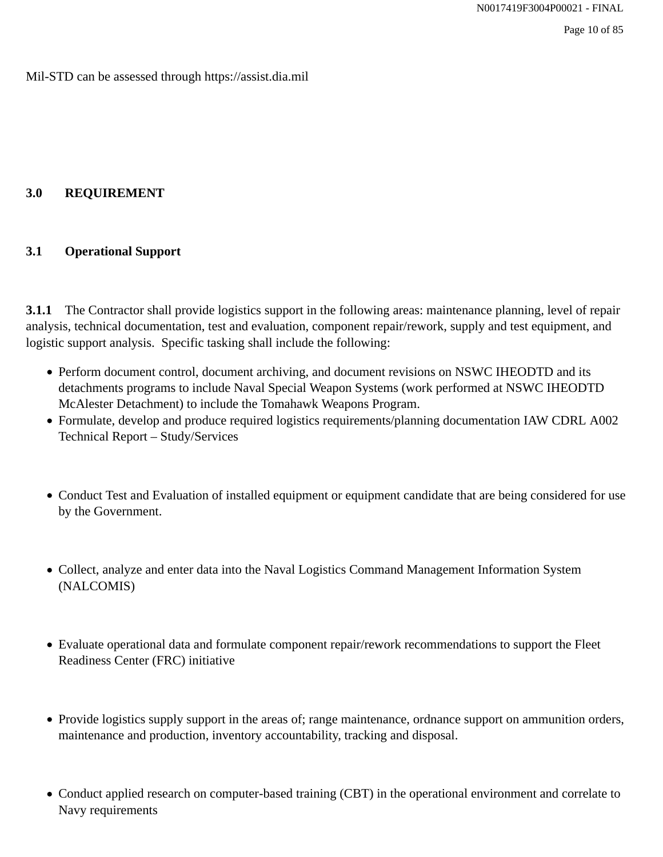Page 10 of 85

Mil-STD can be assessed through https://assist.dia.mil

# **3.0 REQUIREMENT**

# **3.1 Operational Support**

**3.1.1** The Contractor shall provide logistics support in the following areas: maintenance planning, level of repair analysis, technical documentation, test and evaluation, component repair/rework, supply and test equipment, and logistic support analysis. Specific tasking shall include the following:

- Perform document control, document archiving, and document revisions on NSWC IHEODTD and its detachments programs to include Naval Special Weapon Systems (work performed at NSWC IHEODTD McAlester Detachment) to include the Tomahawk Weapons Program.
- Formulate, develop and produce required logistics requirements/planning documentation IAW CDRL A002 Technical Report – Study/Services
- Conduct Test and Evaluation of installed equipment or equipment candidate that are being considered for use by the Government.
- Collect, analyze and enter data into the Naval Logistics Command Management Information System (NALCOMIS)
- Evaluate operational data and formulate component repair/rework recommendations to support the Fleet Readiness Center (FRC) initiative
- Provide logistics supply support in the areas of; range maintenance, ordnance support on ammunition orders, maintenance and production, inventory accountability, tracking and disposal.
- Conduct applied research on computer-based training (CBT) in the operational environment and correlate to Navy requirements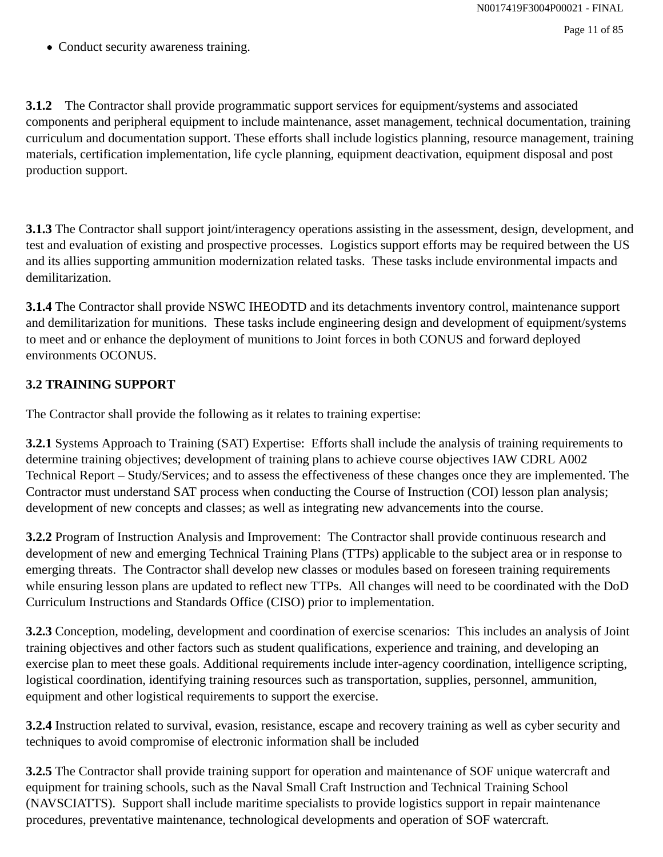Page 11 of 85

• Conduct security awareness training.

**3.1.2** The Contractor shall provide programmatic support services for equipment/systems and associated components and peripheral equipment to include maintenance, asset management, technical documentation, training curriculum and documentation support. These efforts shall include logistics planning, resource management, training materials, certification implementation, life cycle planning, equipment deactivation, equipment disposal and post production support.

**3.1.3** The Contractor shall support joint/interagency operations assisting in the assessment, design, development, and test and evaluation of existing and prospective processes. Logistics support efforts may be required between the US and its allies supporting ammunition modernization related tasks. These tasks include environmental impacts and demilitarization.

**3.1.4** The Contractor shall provide NSWC IHEODTD and its detachments inventory control, maintenance support and demilitarization for munitions. These tasks include engineering design and development of equipment/systems to meet and or enhance the deployment of munitions to Joint forces in both CONUS and forward deployed environments OCONUS.

# **3.2 TRAINING SUPPORT**

The Contractor shall provide the following as it relates to training expertise:

**3.2.1** Systems Approach to Training (SAT) Expertise: Efforts shall include the analysis of training requirements to determine training objectives; development of training plans to achieve course objectives IAW CDRL A002 Technical Report – Study/Services; and to assess the effectiveness of these changes once they are implemented. The Contractor must understand SAT process when conducting the Course of Instruction (COI) lesson plan analysis; development of new concepts and classes; as well as integrating new advancements into the course.

**3.2.2** Program of Instruction Analysis and Improvement: The Contractor shall provide continuous research and development of new and emerging Technical Training Plans (TTPs) applicable to the subject area or in response to emerging threats. The Contractor shall develop new classes or modules based on foreseen training requirements while ensuring lesson plans are updated to reflect new TTPs. All changes will need to be coordinated with the DoD Curriculum Instructions and Standards Office (CISO) prior to implementation.

**3.2.3** Conception, modeling, development and coordination of exercise scenarios: This includes an analysis of Joint training objectives and other factors such as student qualifications, experience and training, and developing an exercise plan to meet these goals. Additional requirements include inter-agency coordination, intelligence scripting, logistical coordination, identifying training resources such as transportation, supplies, personnel, ammunition, equipment and other logistical requirements to support the exercise.

**3.2.4** Instruction related to survival, evasion, resistance, escape and recovery training as well as cyber security and techniques to avoid compromise of electronic information shall be included

**3.2.5** The Contractor shall provide training support for operation and maintenance of SOF unique watercraft and equipment for training schools, such as the Naval Small Craft Instruction and Technical Training School (NAVSCIATTS). Support shall include maritime specialists to provide logistics support in repair maintenance procedures, preventative maintenance, technological developments and operation of SOF watercraft.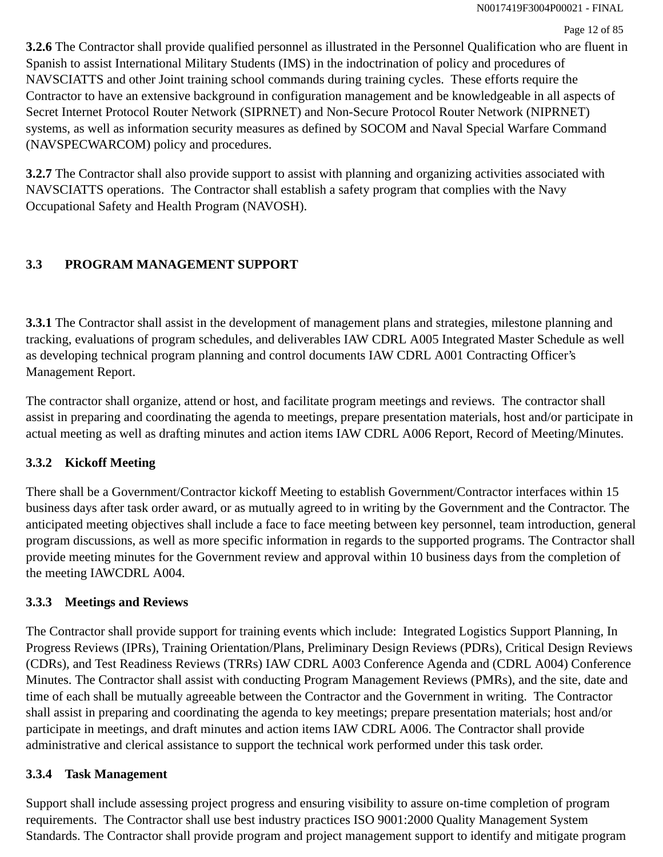**3.2.6** The Contractor shall provide qualified personnel as illustrated in the Personnel Qualification who are fluent in Spanish to assist International Military Students (IMS) in the indoctrination of policy and procedures of NAVSCIATTS and other Joint training school commands during training cycles. These efforts require the Contractor to have an extensive background in configuration management and be knowledgeable in all aspects of Secret Internet Protocol Router Network (SIPRNET) and Non-Secure Protocol Router Network (NIPRNET) systems, as well as information security measures as defined by SOCOM and Naval Special Warfare Command (NAVSPECWARCOM) policy and procedures.

**3.2.7** The Contractor shall also provide support to assist with planning and organizing activities associated with NAVSCIATTS operations. The Contractor shall establish a safety program that complies with the Navy Occupational Safety and Health Program (NAVOSH).

## **3.3 PROGRAM MANAGEMENT SUPPORT**

**3.3.1** The Contractor shall assist in the development of management plans and strategies, milestone planning and tracking, evaluations of program schedules, and deliverables IAW CDRL A005 Integrated Master Schedule as well as developing technical program planning and control documents IAW CDRL A001 Contracting Officer's Management Report.

The contractor shall organize, attend or host, and facilitate program meetings and reviews. The contractor shall assist in preparing and coordinating the agenda to meetings, prepare presentation materials, host and/or participate in actual meeting as well as drafting minutes and action items IAW CDRL A006 Report, Record of Meeting/Minutes.

## **3.3.2 Kickoff Meeting**

There shall be a Government/Contractor kickoff Meeting to establish Government/Contractor interfaces within 15 business days after task order award, or as mutually agreed to in writing by the Government and the Contractor. The anticipated meeting objectives shall include a face to face meeting between key personnel, team introduction, general program discussions, as well as more specific information in regards to the supported programs. The Contractor shall provide meeting minutes for the Government review and approval within 10 business days from the completion of the meeting IAWCDRL A004.

### **3.3.3 Meetings and Reviews**

The Contractor shall provide support for training events which include: Integrated Logistics Support Planning, In Progress Reviews (IPRs), Training Orientation/Plans, Preliminary Design Reviews (PDRs), Critical Design Reviews (CDRs), and Test Readiness Reviews (TRRs) IAW CDRL A003 Conference Agenda and (CDRL A004) Conference Minutes. The Contractor shall assist with conducting Program Management Reviews (PMRs), and the site, date and time of each shall be mutually agreeable between the Contractor and the Government in writing. The Contractor shall assist in preparing and coordinating the agenda to key meetings; prepare presentation materials; host and/or participate in meetings, and draft minutes and action items IAW CDRL A006. The Contractor shall provide administrative and clerical assistance to support the technical work performed under this task order.

### **3.3.4 Task Management**

Support shall include assessing project progress and ensuring visibility to assure on-time completion of program requirements. The Contractor shall use best industry practices ISO 9001:2000 Quality Management System Standards. The Contractor shall provide program and project management support to identify and mitigate program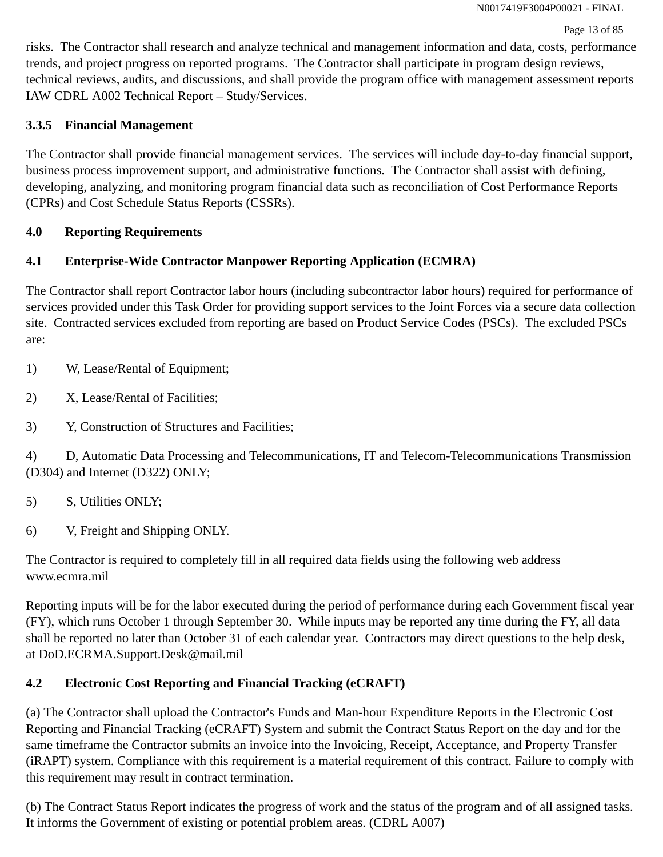risks. The Contractor shall research and analyze technical and management information and data, costs, performance trends, and project progress on reported programs. The Contractor shall participate in program design reviews, technical reviews, audits, and discussions, and shall provide the program office with management assessment reports IAW CDRL A002 Technical Report – Study/Services.

## **3.3.5 Financial Management**

The Contractor shall provide financial management services. The services will include day-to-day financial support, business process improvement support, and administrative functions. The Contractor shall assist with defining, developing, analyzing, and monitoring program financial data such as reconciliation of Cost Performance Reports (CPRs) and Cost Schedule Status Reports (CSSRs).

## **4.0 Reporting Requirements**

## **4.1 Enterprise-Wide Contractor Manpower Reporting Application (ECMRA)**

The Contractor shall report Contractor labor hours (including subcontractor labor hours) required for performance of services provided under this Task Order for providing support services to the Joint Forces via a secure data collection site. Contracted services excluded from reporting are based on Product Service Codes (PSCs). The excluded PSCs are:

- 1) W, Lease/Rental of Equipment;
- 2) X, Lease/Rental of Facilities;
- 3) Y, Construction of Structures and Facilities;

4) D, Automatic Data Processing and Telecommunications, IT and Telecom-Telecommunications Transmission (D304) and Internet (D322) ONLY;

- 5) S, Utilities ONLY;
- 6) V, Freight and Shipping ONLY.

The Contractor is required to completely fill in all required data fields using the following web address www.ecmra.mil

Reporting inputs will be for the labor executed during the period of performance during each Government fiscal year (FY), which runs October 1 through September 30. While inputs may be reported any time during the FY, all data shall be reported no later than October 31 of each calendar year. Contractors may direct questions to the help desk, at DoD.ECRMA.Support.Desk@mail.mil

### **4.2 Electronic Cost Reporting and Financial Tracking (eCRAFT)**

(a) The Contractor shall upload the Contractor's Funds and Man-hour Expenditure Reports in the Electronic Cost Reporting and Financial Tracking (eCRAFT) System and submit the Contract Status Report on the day and for the same timeframe the Contractor submits an invoice into the Invoicing, Receipt, Acceptance, and Property Transfer (iRAPT) system. Compliance with this requirement is a material requirement of this contract. Failure to comply with this requirement may result in contract termination.

(b) The Contract Status Report indicates the progress of work and the status of the program and of all assigned tasks. It informs the Government of existing or potential problem areas. (CDRL A007)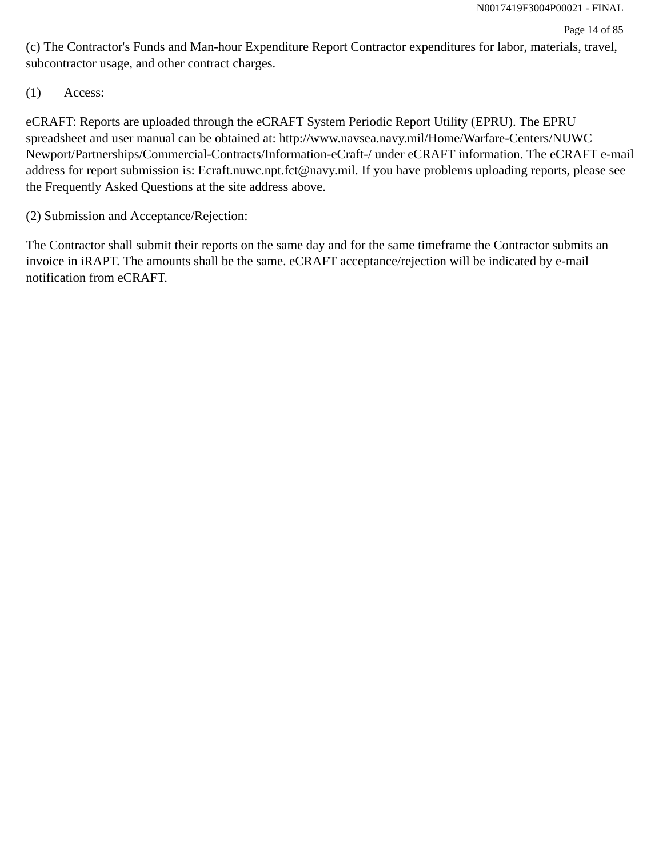(c) The Contractor's Funds and Man-hour Expenditure Report Contractor expenditures for labor, materials, travel, subcontractor usage, and other contract charges.

(1) Access:

eCRAFT: Reports are uploaded through the eCRAFT System Periodic Report Utility (EPRU). The EPRU spreadsheet and user manual can be obtained at: http://www.navsea.navy.mil/Home/Warfare-Centers/NUWC Newport/Partnerships/Commercial-Contracts/Information-eCraft-/ under eCRAFT information. The eCRAFT e-mail address for report submission is: Ecraft.nuwc.npt.fct@navy.mil. If you have problems uploading reports, please see the Frequently Asked Questions at the site address above.

(2) Submission and Acceptance/Rejection:

The Contractor shall submit their reports on the same day and for the same timeframe the Contractor submits an invoice in iRAPT. The amounts shall be the same. eCRAFT acceptance/rejection will be indicated by e-mail notification from eCRAFT.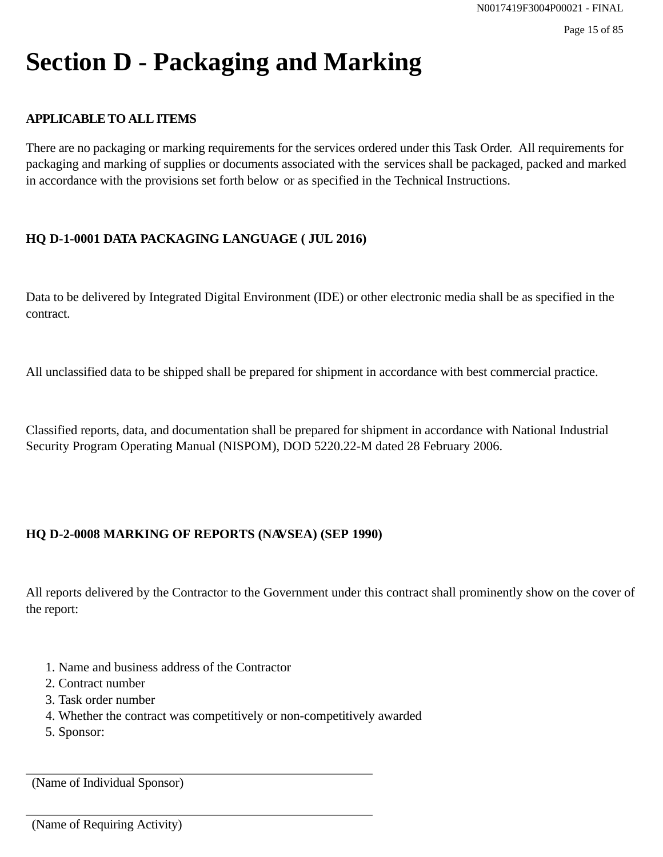# **Section D - Packaging and Marking**

## **APPLICABLETO ALLITEMS**

There are no packaging or marking requirements for the services ordered under this Task Order. All requirements for packaging and marking of supplies or documents associated with the services shall be packaged, packed and marked in accordance with the provisions set forth below or as specified in the Technical Instructions.

## **HQ D-1-0001 DATA PACKAGING LANGUAGE ( JUL 2016)**

Data to be delivered by Integrated Digital Environment (IDE) or other electronic media shall be as specified in the contract.

All unclassified data to be shipped shall be prepared for shipment in accordance with best commercial practice.

Classified reports, data, and documentation shall be prepared for shipment in accordance with National Industrial Security Program Operating Manual (NISPOM), DOD 5220.22-M dated 28 February 2006.

## **HQ D-2-0008 MARKING OF REPORTS (NAVSEA) (SEP 1990)**

All reports delivered by the Contractor to the Government under this contract shall prominently show on the cover of the report:

- 1. Name and business address of the Contractor
- 2. Contract number
- 3. Task order number
- 4. Whether the contract was competitively or non-competitively awarded
- 5. Sponsor:

(Name of Individual Sponsor)

(Name of Requiring Activity)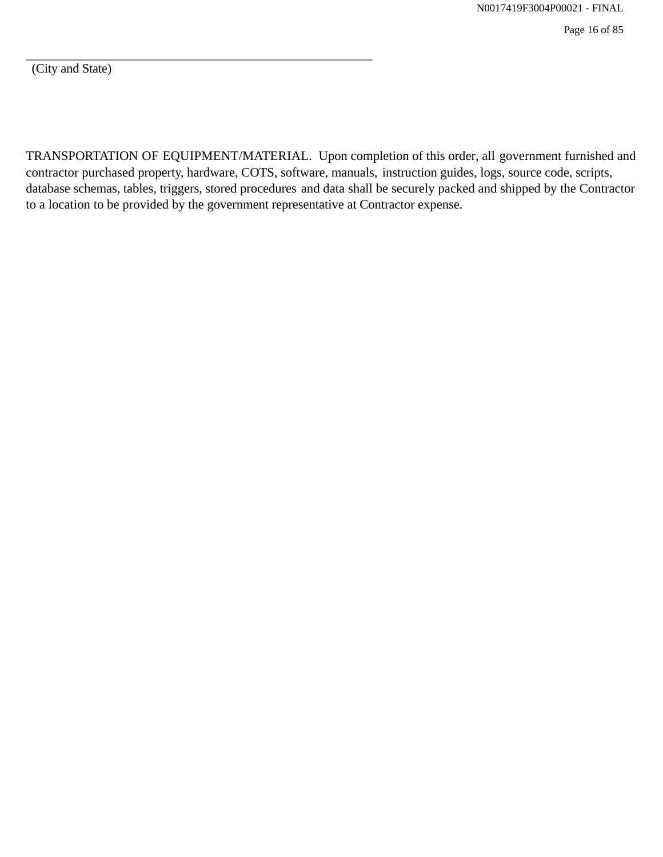(City and State)

TRANSPORTATION OF EQUIPMENT/MATERIAL. Upon completion of this order, all government furnished and contractor purchased property, hardware, COTS, software, manuals, instruction guides, logs, source code, scripts, database schemas, tables, triggers, stored procedures and data shall be securely packed and shipped by the Contractor to a location to be provided by the government representative at Contractor expense.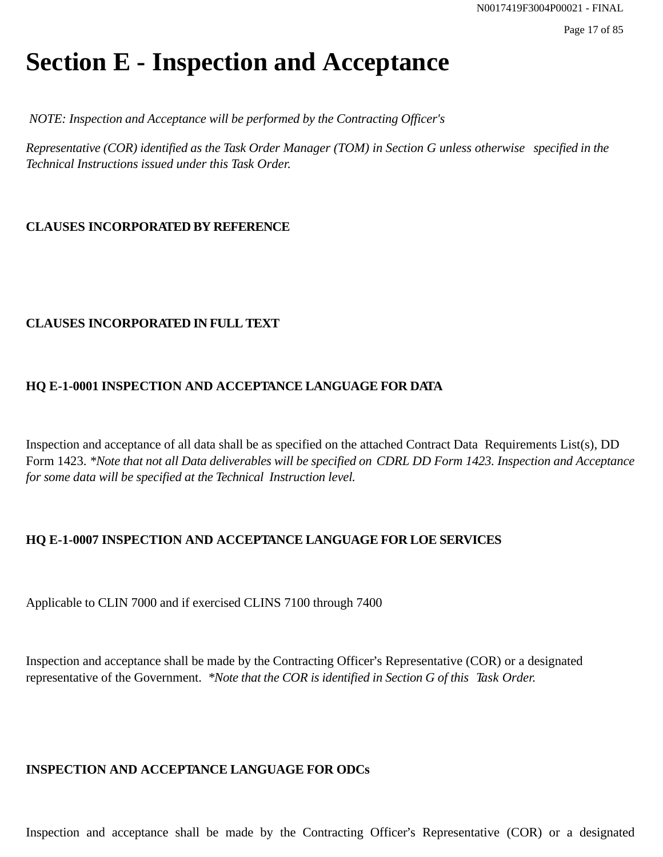# **Section E - Inspection and Acceptance**

*NOTE: Inspection and Acceptance will be performed by the Contracting Officer's*

*Representative (COR) identified as the Task Order Manager (TOM) in Section G unless otherwise specified in the Technical Instructions issued under this Task Order.*

# **CLAUSES INCORPORATED BY REFERENCE**

# **CLAUSES INCORPORATED IN FULL TEXT**

# **HQ E-1-0001 INSPECTION AND ACCEPTANCE LANGUAGE FOR DATA**

Inspection and acceptance of all data shall be as specified on the attached Contract Data Requirements List(s), DD Form 1423. \*Note that not all Data deliverables will be specified on CDRL DD Form 1423. Inspection and Acceptance *for some data will be specified at the Technical Instruction level.*

# **HQ E-1-0007 INSPECTION AND ACCEPTANCE LANGUAGE FOR LOE SERVICES**

Applicable to CLIN 7000 and if exercised CLINS 7100 through 7400

Inspection and acceptance shall be made by the Contracting Officer's Representative (COR) or a designated representative of the Government. *\*Note that the COR is identified in Section G of this Task Order.*

# **INSPECTION AND ACCEPTANCE LANGUAGE FOR ODCs**

Inspection and acceptance shall be made by the Contracting Officer's Representative (COR) or a designated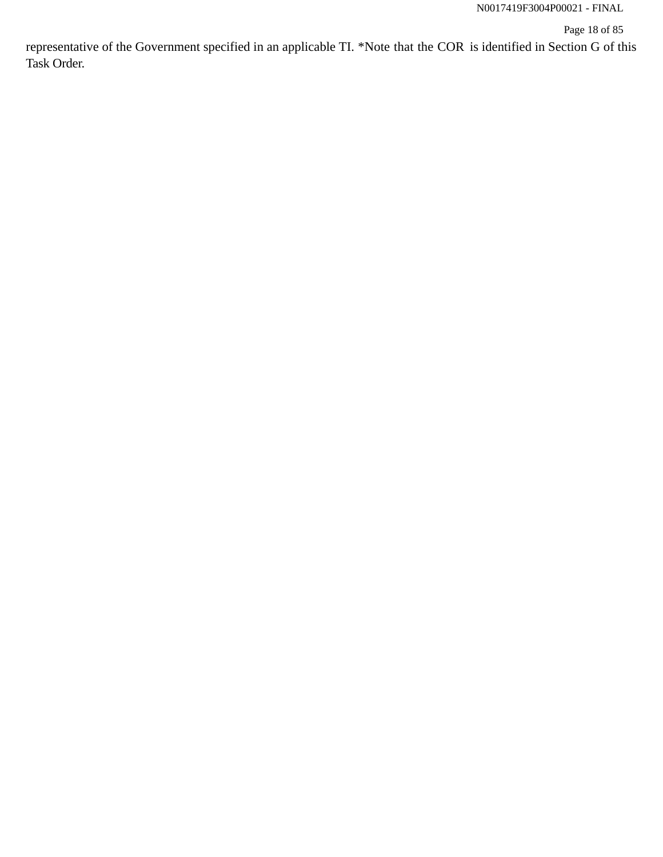## Page 18 of 85

representative of the Government specified in an applicable TI. \*Note that the COR is identified in Section G of this Task Order.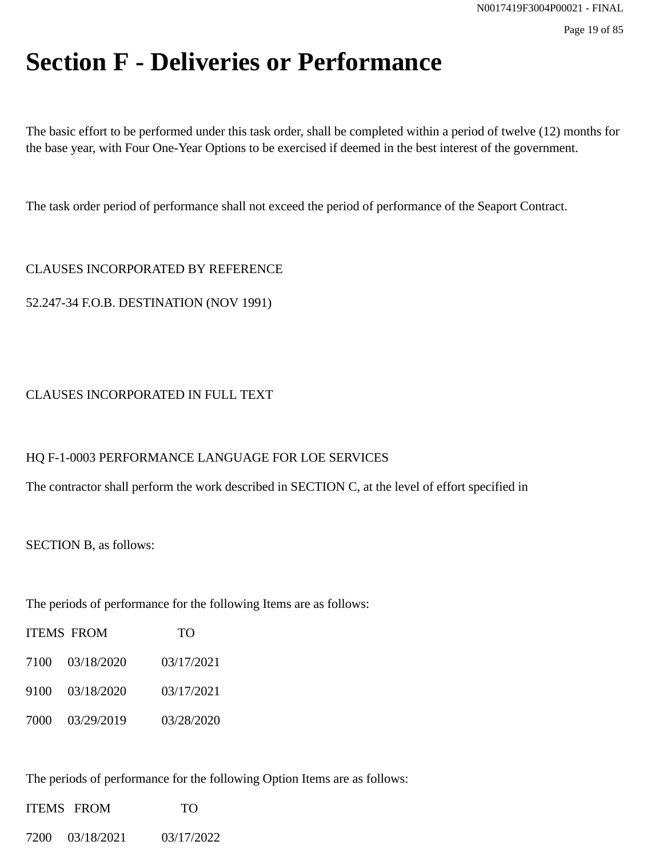# **Section F - Deliveries or Performance**

The basic effort to be performed under this task order, shall be completed within a period of twelve (12) months for the base year, with Four One-Year Options to be exercised if deemed in the best interest of the government.

The task order period of performance shall not exceed the period of performance of the Seaport Contract.

CLAUSES INCORPORATED BY REFERENCE

52.247-34 F.O.B. DESTINATION (NOV 1991)

#### CLAUSES INCORPORATED IN FULL TEXT

#### HQ F-1-0003 PERFORMANCE LANGUAGE FOR LOE SERVICES

The contractor shall perform the work described in SECTION C, at the level of effort specified in

SECTION B, as follows:

The periods of performance for the following Items are as follows:

|      | <b>ITEMS FROM</b> | TO         |
|------|-------------------|------------|
| 7100 | 03/18/2020        | 03/17/2021 |
|      | 9100 03/18/2020   | 03/17/2021 |
| 7000 | 03/29/2019        | 03/28/2020 |

The periods of performance for the following Option Items are as follows:

| <b>ITEMS FROM</b> | TO.        |
|-------------------|------------|
| 7200 03/18/2021   | 03/17/2022 |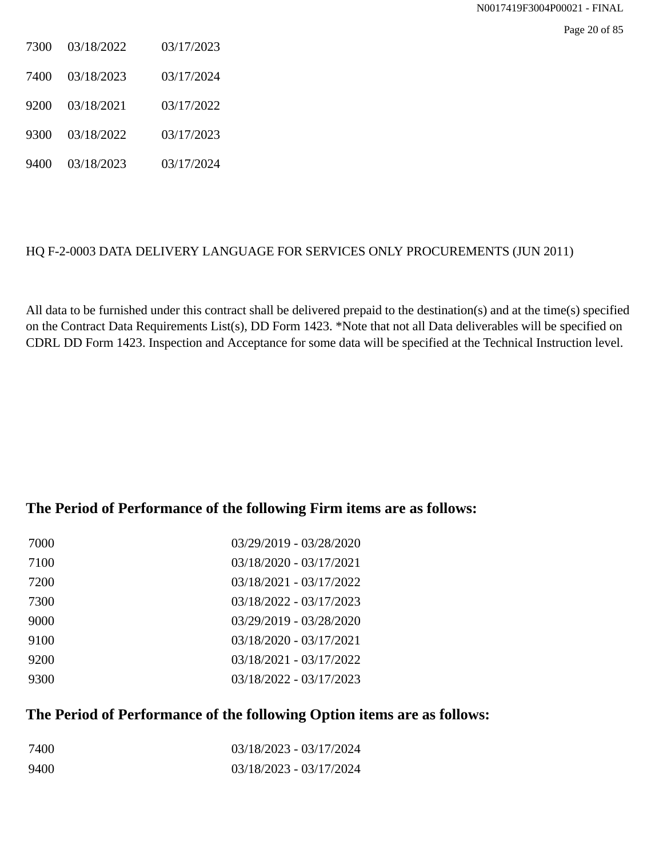Page 20 of 85

7300 03/18/2022 03/17/2023 7400 03/18/2023 03/17/2024 9200 03/18/2021 03/17/2022 9300 03/18/2022 03/17/2023 9400 03/18/2023 03/17/2024

## HQ F-2-0003 DATA DELIVERY LANGUAGE FOR SERVICES ONLY PROCUREMENTS (JUN 2011)

All data to be furnished under this contract shall be delivered prepaid to the destination(s) and at the time(s) specified on the Contract Data Requirements List(s), DD Form 1423. \*Note that not all Data deliverables will be specified on CDRL DD Form 1423. Inspection and Acceptance for some data will be specified at the Technical Instruction level.

# **The Period of Performance of the following Firm items are as follows:**

| 7000 | 03/29/2019 - 03/28/2020   |
|------|---------------------------|
| 7100 | $03/18/2020 - 03/17/2021$ |
| 7200 | 03/18/2021 - 03/17/2022   |
| 7300 | 03/18/2022 - 03/17/2023   |
| 9000 | 03/29/2019 - 03/28/2020   |
| 9100 | 03/18/2020 - 03/17/2021   |
| 9200 | 03/18/2021 - 03/17/2022   |
| 9300 | 03/18/2022 - 03/17/2023   |

# **The Period of Performance of the following Option items are as follows:**

| 7400 | $03/18/2023 - 03/17/2024$ |
|------|---------------------------|
| 9400 | 03/18/2023 - 03/17/2024   |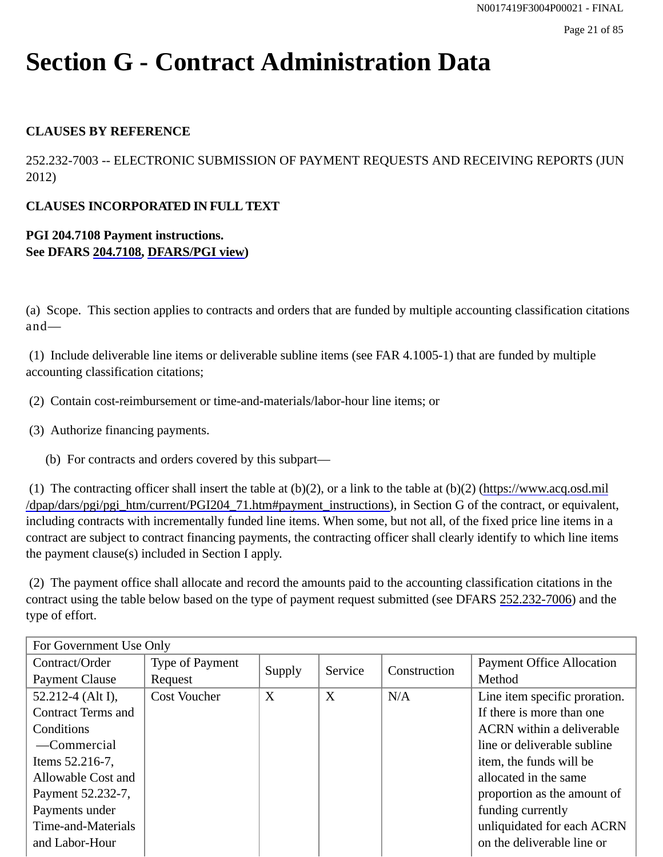Page 21 of 85

# **Section G - Contract Administration Data**

# **CLAUSES BY REFERENCE**

252.232-7003 -- ELECTRONIC SUBMISSION OF PAYMENT REQUESTS AND RECEIVING REPORTS (JUN 2012)

# **CLAUSES INCORPORATED IN FULL TEXT**

## **PGI 204.7108 Payment instructions. See DFARS 204.7108, DFARS/PGI view)**

(a) Scope. This section applies to contracts and orders that are funded by multiple accounting classification citations and—

 (1) Include deliverable line items or deliverable subline items (see FAR 4.1005-1) that are funded by multiple accounting classification citations;

(2) Contain cost-reimbursement or time-and-materials/labor-hour line items; or

- (3) Authorize financing payments.
	- (b) For contracts and orders covered by this subpart—

(1) The contracting officer shall insert the table at  $(b)(2)$ , or a link to the table at  $(b)(2)$  (https://www.acq.osd.mil /dpap/dars/pgi/pgi\_htm/current/PGI204\_71.htm#payment\_instructions), in Section G of the contract, or equivalent, including contracts with incrementally funded line items. When some, but not all, of the fixed price line items in a contract are subject to contract financing payments, the contracting officer shall clearly identify to which line items the payment clause(s) included in Section I apply.

 (2) The payment office shall allocate and record the amounts paid to the accounting classification citations in the contract using the table below based on the type of payment request submitted (see DFARS 252.232-7006) and the type of effort.

| For Government Use Only   |                        |                   |   |              |                                  |
|---------------------------|------------------------|-------------------|---|--------------|----------------------------------|
| Contract/Order            | <b>Type of Payment</b> | Service<br>Supply |   | Construction | <b>Payment Office Allocation</b> |
| <b>Payment Clause</b>     | Request                |                   |   |              | Method                           |
| 52.212-4 (Alt I),         | <b>Cost Voucher</b>    | X                 | X | N/A          | Line item specific proration.    |
| <b>Contract Terms and</b> |                        |                   |   |              | If there is more than one        |
| Conditions                |                        |                   |   |              | <b>ACRN</b> within a deliverable |
| -Commercial               |                        |                   |   |              | line or deliverable subline      |
| Items 52.216-7,           |                        |                   |   |              | item, the funds will be          |
| Allowable Cost and        |                        |                   |   |              | allocated in the same            |
| Payment 52.232-7,         |                        |                   |   |              | proportion as the amount of      |
| Payments under            |                        |                   |   |              | funding currently                |
| Time-and-Materials        |                        |                   |   |              | unliquidated for each ACRN       |
| and Labor-Hour            |                        |                   |   |              | on the deliverable line or       |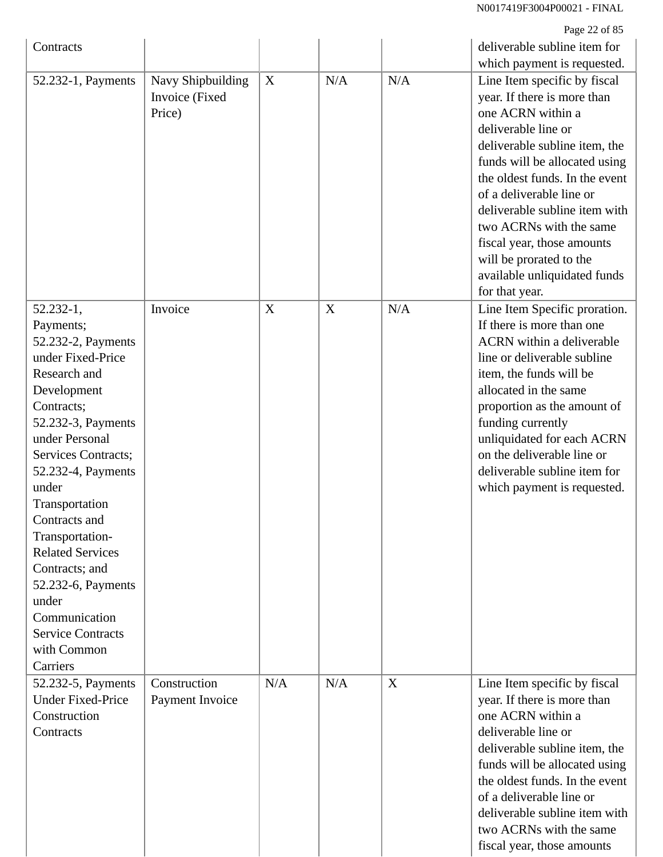| Contracts                                                                                                                                                                                                                                                                                                                                                                                                                   |                                               |     |     |     | deliverable subline item for<br>which payment is requested.                                                                                                                                                                                                                                                                                                                                                    |
|-----------------------------------------------------------------------------------------------------------------------------------------------------------------------------------------------------------------------------------------------------------------------------------------------------------------------------------------------------------------------------------------------------------------------------|-----------------------------------------------|-----|-----|-----|----------------------------------------------------------------------------------------------------------------------------------------------------------------------------------------------------------------------------------------------------------------------------------------------------------------------------------------------------------------------------------------------------------------|
| 52.232-1, Payments                                                                                                                                                                                                                                                                                                                                                                                                          | Navy Shipbuilding<br>Invoice (Fixed<br>Price) | X   | N/A | N/A | Line Item specific by fiscal<br>year. If there is more than<br>one ACRN within a<br>deliverable line or<br>deliverable subline item, the<br>funds will be allocated using<br>the oldest funds. In the event<br>of a deliverable line or<br>deliverable subline item with<br>two ACRNs with the same<br>fiscal year, those amounts<br>will be prorated to the<br>available unliquidated funds<br>for that year. |
| $52.232 - 1$ ,<br>Payments;<br>52.232-2, Payments<br>under Fixed-Price<br>Research and<br>Development<br>Contracts;<br>52.232-3, Payments<br>under Personal<br>Services Contracts;<br>52.232-4, Payments<br>under<br>Transportation<br>Contracts and<br>Transportation-<br><b>Related Services</b><br>Contracts; and<br>52.232-6, Payments<br>under<br>Communication<br><b>Service Contracts</b><br>with Common<br>Carriers | Invoice                                       | X   | X   | N/A | Line Item Specific proration.<br>If there is more than one<br><b>ACRN</b> within a deliverable<br>line or deliverable subline<br>item, the funds will be<br>allocated in the same<br>proportion as the amount of<br>funding currently<br>unliquidated for each ACRN<br>on the deliverable line or<br>deliverable subline item for<br>which payment is requested.                                               |
| 52.232-5, Payments<br><b>Under Fixed-Price</b><br>Construction<br>Contracts                                                                                                                                                                                                                                                                                                                                                 | Construction<br>Payment Invoice               | N/A | N/A | X   | Line Item specific by fiscal<br>year. If there is more than<br>one ACRN within a<br>deliverable line or<br>deliverable subline item, the<br>funds will be allocated using<br>the oldest funds. In the event<br>of a deliverable line or<br>deliverable subline item with<br>two ACRNs with the same<br>fiscal year, those amounts                                                                              |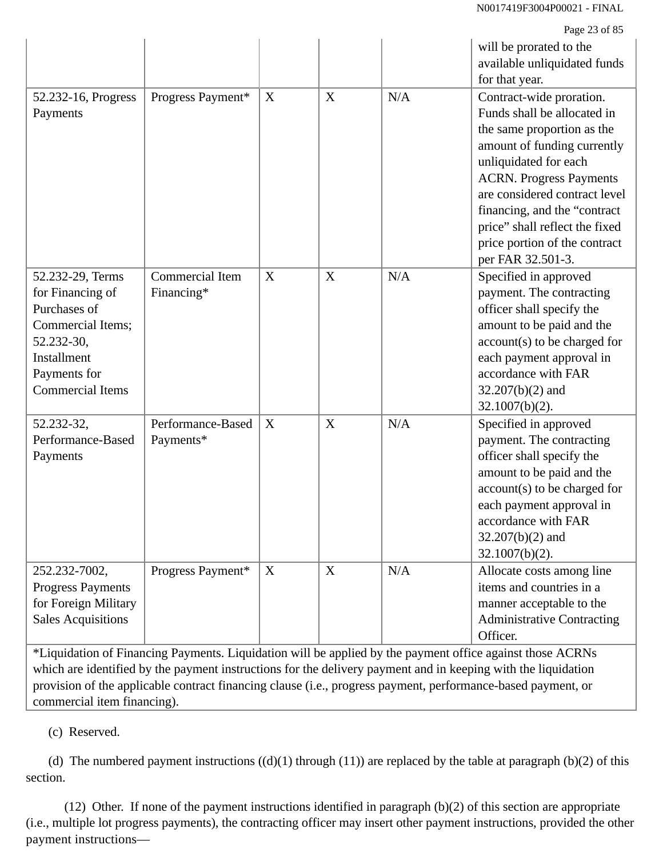|                                                                                                                                                   |                                |   |   |     | Page 23 of 85                                                                                                                                                                                                                                                                                                                             |
|---------------------------------------------------------------------------------------------------------------------------------------------------|--------------------------------|---|---|-----|-------------------------------------------------------------------------------------------------------------------------------------------------------------------------------------------------------------------------------------------------------------------------------------------------------------------------------------------|
|                                                                                                                                                   |                                |   |   |     | will be prorated to the<br>available unliquidated funds<br>for that year.                                                                                                                                                                                                                                                                 |
| 52.232-16, Progress<br>Payments                                                                                                                   | Progress Payment*              | X | X | N/A | Contract-wide proration.<br>Funds shall be allocated in<br>the same proportion as the<br>amount of funding currently<br>unliquidated for each<br><b>ACRN.</b> Progress Payments<br>are considered contract level<br>financing, and the "contract"<br>price" shall reflect the fixed<br>price portion of the contract<br>per FAR 32.501-3. |
| 52.232-29, Terms<br>for Financing of<br>Purchases of<br>Commercial Items;<br>52.232-30,<br>Installment<br>Payments for<br><b>Commercial Items</b> | Commercial Item<br>Financing*  | X | X | N/A | Specified in approved<br>payment. The contracting<br>officer shall specify the<br>amount to be paid and the<br>account(s) to be charged for<br>each payment approval in<br>accordance with FAR<br>$32.207(b)(2)$ and<br>$32.1007(b)(2)$ .                                                                                                 |
| 52.232-32,<br>Performance-Based<br>Payments                                                                                                       | Performance-Based<br>Payments* | X | X | N/A | Specified in approved<br>payment. The contracting<br>officer shall specify the<br>amount to be paid and the<br>account(s) to be charged for<br>each payment approval in<br>accordance with FAR<br>$32.207(b)(2)$ and<br>$32.1007(b)(2)$ .                                                                                                 |
| 252.232-7002,<br><b>Progress Payments</b><br>for Foreign Military<br><b>Sales Acquisitions</b>                                                    | Progress Payment*              | X | X | N/A | Allocate costs among line<br>items and countries in a<br>manner acceptable to the<br><b>Administrative Contracting</b><br>Officer.                                                                                                                                                                                                        |

\*Liquidation of Financing Payments. Liquidation will be applied by the payment office against those ACRNs which are identified by the payment instructions for the delivery payment and in keeping with the liquidation provision of the applicable contract financing clause (i.e., progress payment, performance-based payment, or commercial item financing).

## (c) Reserved.

(d) The numbered payment instructions  $((d)(1)$  through  $(11)$ ) are replaced by the table at paragraph  $(b)(2)$  of this section.

 (12) Other. If none of the payment instructions identified in paragraph (b)(2) of this section are appropriate (i.e., multiple lot progress payments), the contracting officer may insert other payment instructions, provided the other payment instructions—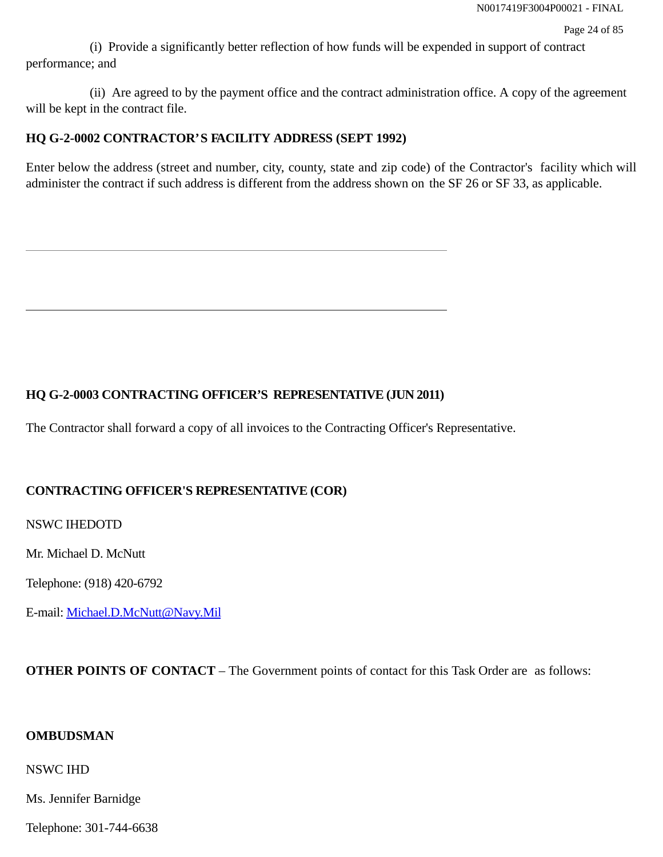(i) Provide a significantly better reflection of how funds will be expended in support of contract performance; and

 (ii) Are agreed to by the payment office and the contract administration office. A copy of the agreement will be kept in the contract file.

## **HQ G-2-0002 CONTRACTOR'S FACILITY ADDRESS (SEPT 1992)**

Enter below the address (street and number, city, county, state and zip code) of the Contractor's facility which will administer the contract if such address is different from the address shown on the SF 26 or SF 33, as applicable.

## **HQ G-2-0003 CONTRACTING OFFICER'S REPRESENTATIVE (JUN 2011)**

The Contractor shall forward a copy of all invoices to the Contracting Officer's Representative.

## **CONTRACTING OFFICER'S REPRESENTATIVE (COR)**

NSWC IHEDOTD

Mr. Michael D. McNutt

Telephone: (918) 420-6792

E-mail: Michael.D.McNutt@Navy.Mil

**OTHER POINTS OF CONTACT** – The Government points of contact for this Task Order are as follows:

### **OMBUDSMAN**

### NSWC IHD

Ms. Jennifer Barnidge

Telephone: 301-744-6638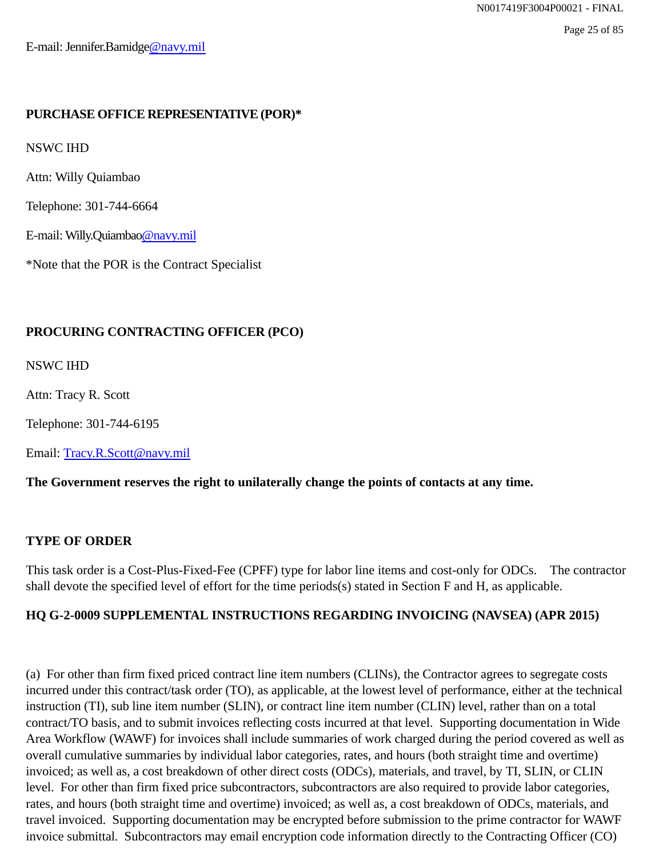Page 25 of 85

E-mail: Jennifer.Barnidge@navy.mil

# **PURCHASE OFFICE REPRESENTATIVE(POR)\***

NSWC IHD

Attn: Willy Quiambao

Telephone: 301-744-6664

E-mail: Willy.Quiambao@navy.mil

\*Note that the POR is the Contract Specialist

# **PROCURING CONTRACTING OFFICER (PCO)**

NSWC IHD

Attn: Tracy R. Scott

Telephone: 301-744-6195

Email: Tracy.R.Scott@navy.mil

**The Government reserves the right to unilaterally change the points of contacts at any time.**

# **TYPE OF ORDER**

This task order is a Cost-Plus-Fixed-Fee (CPFF) type for labor line items and cost-only for ODCs. The contractor shall devote the specified level of effort for the time periods(s) stated in Section F and H, as applicable.

# **HQ G-2-0009 SUPPLEMENTAL INSTRUCTIONS REGARDING INVOICING (NAVSEA) (APR 2015)**

(a) For other than firm fixed priced contract line item numbers (CLINs), the Contractor agrees to segregate costs incurred under this contract/task order (TO), as applicable, at the lowest level of performance, either at the technical instruction (TI), sub line item number (SLIN), or contract line item number (CLIN) level, rather than on a total contract/TO basis, and to submit invoices reflecting costs incurred at that level. Supporting documentation in Wide Area Workflow (WAWF) for invoices shall include summaries of work charged during the period covered as well as overall cumulative summaries by individual labor categories, rates, and hours (both straight time and overtime) invoiced; as well as, a cost breakdown of other direct costs (ODCs), materials, and travel, by TI, SLIN, or CLIN level. For other than firm fixed price subcontractors, subcontractors are also required to provide labor categories, rates, and hours (both straight time and overtime) invoiced; as well as, a cost breakdown of ODCs, materials, and travel invoiced. Supporting documentation may be encrypted before submission to the prime contractor for WAWF invoice submittal. Subcontractors may email encryption code information directly to the Contracting Officer (CO)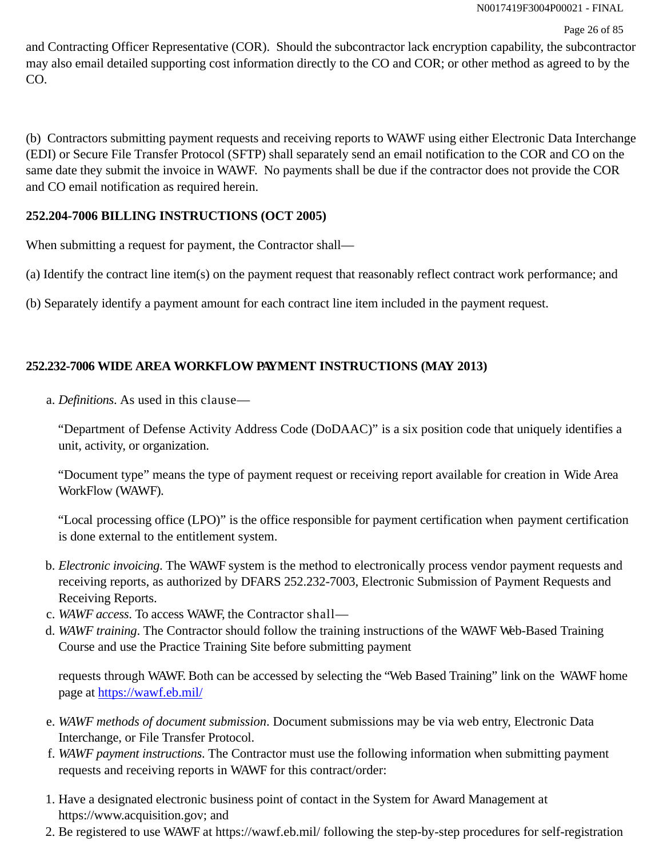and Contracting Officer Representative (COR). Should the subcontractor lack encryption capability, the subcontractor may also email detailed supporting cost information directly to the CO and COR; or other method as agreed to by the CO.

(b) Contractors submitting payment requests and receiving reports to WAWF using either Electronic Data Interchange (EDI) or Secure File Transfer Protocol (SFTP) shall separately send an email notification to the COR and CO on the same date they submit the invoice in WAWF. No payments shall be due if the contractor does not provide the COR and CO email notification as required herein.

## **252.204-7006 BILLING INSTRUCTIONS (OCT 2005)**

When submitting a request for payment, the Contractor shall—

(a) Identify the contract line item(s) on the payment request that reasonably reflect contract work performance; and

(b) Separately identify a payment amount for each contract line item included in the payment request.

## **252.232-7006 WIDE AREA WORKFLOW PAYMENT INSTRUCTIONS (MAY 2013)**

*Definitions*. As used in this clause— a.

"Department of Defense Activity Address Code (DoDAAC)" is a six position code that uniquely identifies a unit, activity, or organization.

"Document type" means the type of payment request or receiving report available for creation in Wide Area WorkFlow (WAWF).

"Local processing office (LPO)" is the office responsible for payment certification when payment certification is done external to the entitlement system.

- *Electronic invoicing*. The WAWF system is the method to electronically process vendor payment requests and b. receiving reports, as authorized by DFARS 252.232-7003, Electronic Submission of Payment Requests and Receiving Reports.
- c. *WAWF access*. To access WAWF, the Contractor shall—
- *WAWF training*. The Contractor should follow the training instructions of the WAWF Web-Based Training d. Course and use the Practice Training Site before submitting payment

requests through WAWF. Both can be accessed by selecting the "Web Based Training" link on the WAWF home page at https://wawf.eb.mil/

- *WAWF methods of document submission*. Document submissions may be via web entry, Electronic Data e. Interchange, or File Transfer Protocol.
- *WAWF payment instructions*. The Contractor must use the following information when submitting payment f. requests and receiving reports in WAWF for this contract/order:
- 1. Have a designated electronic business point of contact in the System for Award Management at https://www.acquisition.gov; and
- 2. Be registered to use WAWF at https://wawf.eb.mil/ following the step-by-step procedures for self-registration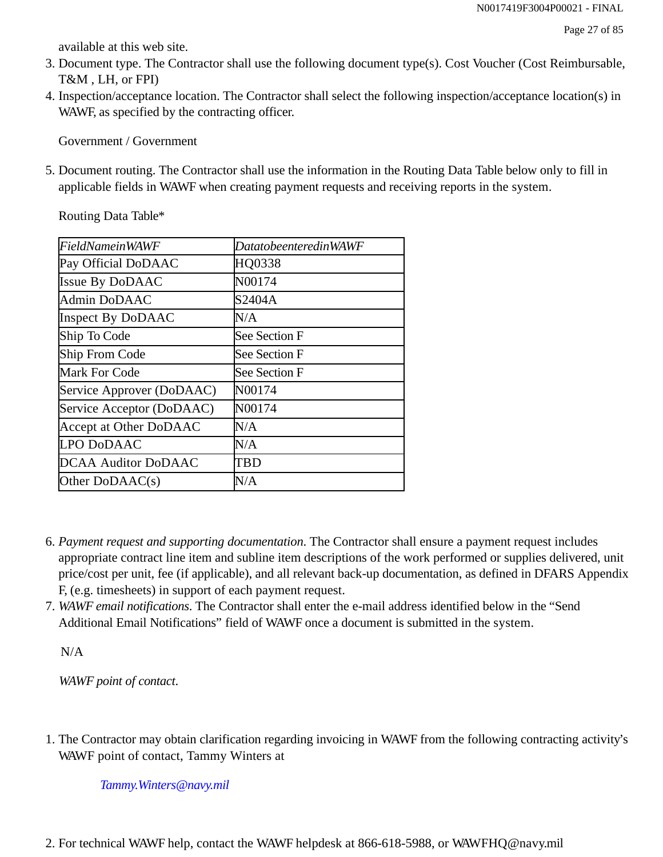available at this web site.

- 3. Document type. The Contractor shall use the following document type(s). Cost Voucher (Cost Reimbursable, T&M , LH, or FPI)
- 4. Inspection/acceptance location. The Contractor shall select the following inspection/acceptance location(s) in WAWF, as specified by the contracting officer.

Government / Government

5. Document routing. The Contractor shall use the information in the Routing Data Table below only to fill in applicable fields in WAWF when creating payment requests and receiving reports in the system.

Routing Data Table\*

| <b>FieldNameinWAWF</b>    | <b>DatatobeenteredinWAWF</b> |
|---------------------------|------------------------------|
| Pay Official DoDAAC       | HQ0338                       |
| <b>Issue By DoDAAC</b>    | N00174                       |
| Admin DoDAAC              | S2404A                       |
| Inspect By DoDAAC         | N/A                          |
| Ship To Code              | <b>See Section F</b>         |
| Ship From Code            | See Section F                |
| Mark For Code             | See Section F                |
| Service Approver (DoDAAC) | N00174                       |
| Service Acceptor (DoDAAC) | N00174                       |
| Accept at Other DoDAAC    | N/A                          |
| LPO DoDAAC                | N/A                          |
| DCAA Auditor DoDAAC       | TBD                          |
| Other DoDAAC(s)           | N/A                          |

- *Payment request and supporting documentation*. The Contractor shall ensure a payment request includes 6. appropriate contract line item and subline item descriptions of the work performed or supplies delivered, unit price/cost per unit, fee (if applicable), and all relevant back-up documentation, as defined in DFARS Appendix F, (e.g. timesheets) in support of each payment request.
- *WAWF email notifications*. The Contractor shall enter the e-mail address identified below in the "Send 7. Additional Email Notifications" field of WAWF once a document is submitted in the system.

N/A

*WAWF point of contact*.

1. The Contractor may obtain clarification regarding invoicing in WAWF from the following contracting activity's WAWF point of contact, Tammy Winters at

*Tammy.Winters@navy.mil*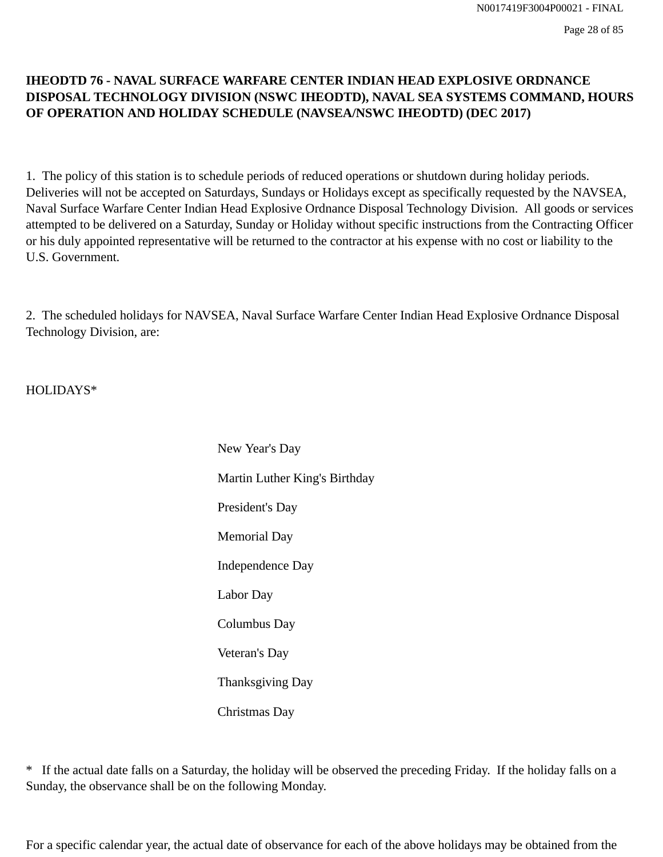## **IHEODTD 76 - NAVAL SURFACE WARFARE CENTER INDIAN HEAD EXPLOSIVE ORDNANCE DISPOSAL TECHNOLOGY DIVISION (NSWC IHEODTD), NAVAL SEA SYSTEMS COMMAND, HOURS OF OPERATION AND HOLIDAY SCHEDULE (NAVSEA/NSWC IHEODTD) (DEC 2017)**

1. The policy of this station is to schedule periods of reduced operations or shutdown during holiday periods. Deliveries will not be accepted on Saturdays, Sundays or Holidays except as specifically requested by the NAVSEA, Naval Surface Warfare Center Indian Head Explosive Ordnance Disposal Technology Division. All goods or services attempted to be delivered on a Saturday, Sunday or Holiday without specific instructions from the Contracting Officer or his duly appointed representative will be returned to the contractor at his expense with no cost or liability to the U.S. Government.

2. The scheduled holidays for NAVSEA, Naval Surface Warfare Center Indian Head Explosive Ordnance Disposal Technology Division, are:

HOLIDAYS\*

 New Year's Day Martin Luther King's Birthday President's Day Memorial Day Independence Day Labor Day Columbus Day Veteran's Day Thanksgiving Day Christmas Day

\* If the actual date falls on a Saturday, the holiday will be observed the preceding Friday. If the holiday falls on a Sunday, the observance shall be on the following Monday.

For a specific calendar year, the actual date of observance for each of the above holidays may be obtained from the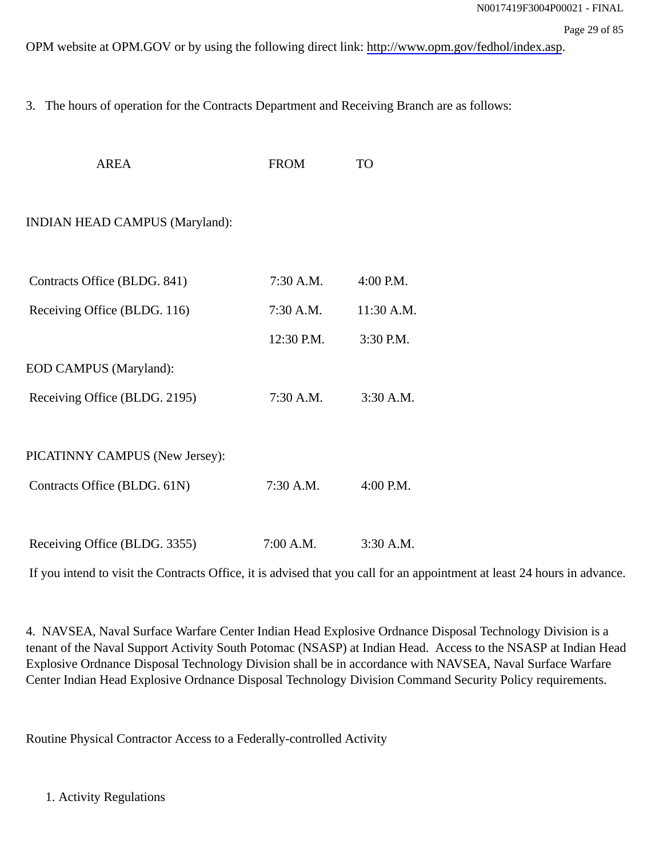OPM website at OPM.GOV or by using the following direct link: http://www.opm.gov/fedhol/index.asp.

3. The hours of operation for the Contracts Department and Receiving Branch are as follows:

| <b>AREA</b>                           | <b>FROM</b>  | <b>TO</b>    |
|---------------------------------------|--------------|--------------|
| <b>INDIAN HEAD CAMPUS (Maryland):</b> |              |              |
| Contracts Office (BLDG. 841)          | 7:30 A.M.    | 4:00 P.M.    |
| Receiving Office (BLDG. 116)          | 7:30 A.M.    | $11:30$ A.M. |
|                                       | $12:30$ P.M. | 3:30 P.M.    |
| EOD CAMPUS (Maryland):                |              |              |
| Receiving Office (BLDG. 2195)         | $7:30$ A.M.  | 3:30 A.M.    |
|                                       |              |              |
| PICATINNY CAMPUS (New Jersey):        |              |              |
| Contracts Office (BLDG. 61N)          | $7:30$ A.M.  | 4:00 P.M.    |
|                                       |              |              |
| Receiving Office (BLDG. 3355)         | 7:00 A.M.    | 3:30 A.M.    |

If you intend to visit the Contracts Office, it is advised that you call for an appointment at least 24 hours in advance.

4. NAVSEA, Naval Surface Warfare Center Indian Head Explosive Ordnance Disposal Technology Division is a tenant of the Naval Support Activity South Potomac (NSASP) at Indian Head. Access to the NSASP at Indian Head Explosive Ordnance Disposal Technology Division shall be in accordance with NAVSEA, Naval Surface Warfare Center Indian Head Explosive Ordnance Disposal Technology Division Command Security Policy requirements.

Routine Physical Contractor Access to a Federally-controlled Activity

1. Activity Regulations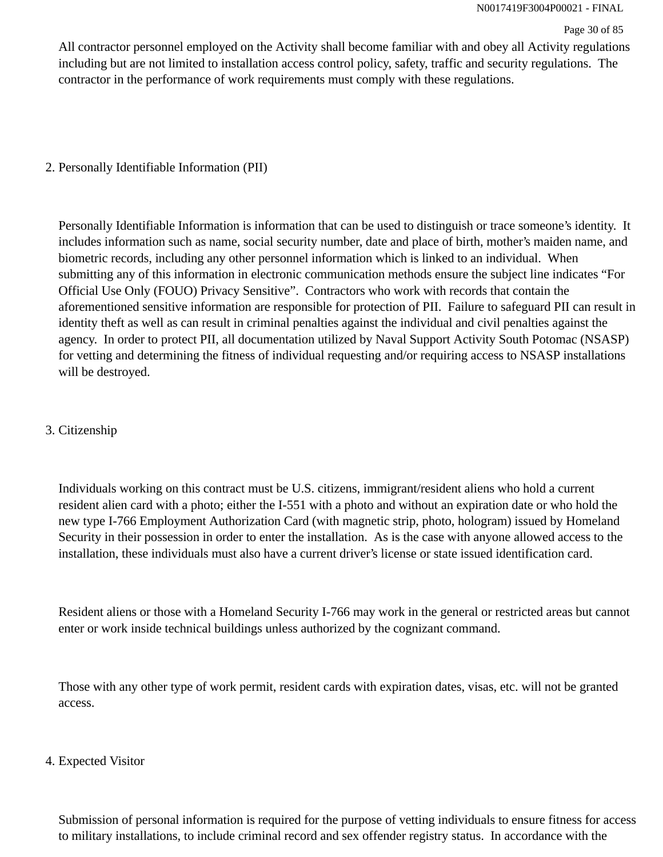All contractor personnel employed on the Activity shall become familiar with and obey all Activity regulations including but are not limited to installation access control policy, safety, traffic and security regulations. The contractor in the performance of work requirements must comply with these regulations.

2. Personally Identifiable Information (PII)

Personally Identifiable Information is information that can be used to distinguish or trace someone's identity. It includes information such as name, social security number, date and place of birth, mother's maiden name, and biometric records, including any other personnel information which is linked to an individual. When submitting any of this information in electronic communication methods ensure the subject line indicates "For Official Use Only (FOUO) Privacy Sensitive". Contractors who work with records that contain the aforementioned sensitive information are responsible for protection of PII. Failure to safeguard PII can result in identity theft as well as can result in criminal penalties against the individual and civil penalties against the agency. In order to protect PII, all documentation utilized by Naval Support Activity South Potomac (NSASP) for vetting and determining the fitness of individual requesting and/or requiring access to NSASP installations will be destroyed.

## Citizenship 3.

Individuals working on this contract must be U.S. citizens, immigrant/resident aliens who hold a current resident alien card with a photo; either the I-551 with a photo and without an expiration date or who hold the new type I-766 Employment Authorization Card (with magnetic strip, photo, hologram) issued by Homeland Security in their possession in order to enter the installation. As is the case with anyone allowed access to the installation, these individuals must also have a current driver's license or state issued identification card.

Resident aliens or those with a Homeland Security I-766 may work in the general or restricted areas but cannot enter or work inside technical buildings unless authorized by the cognizant command.

Those with any other type of work permit, resident cards with expiration dates, visas, etc. will not be granted access.

Expected Visitor 4.

Submission of personal information is required for the purpose of vetting individuals to ensure fitness for access to military installations, to include criminal record and sex offender registry status. In accordance with the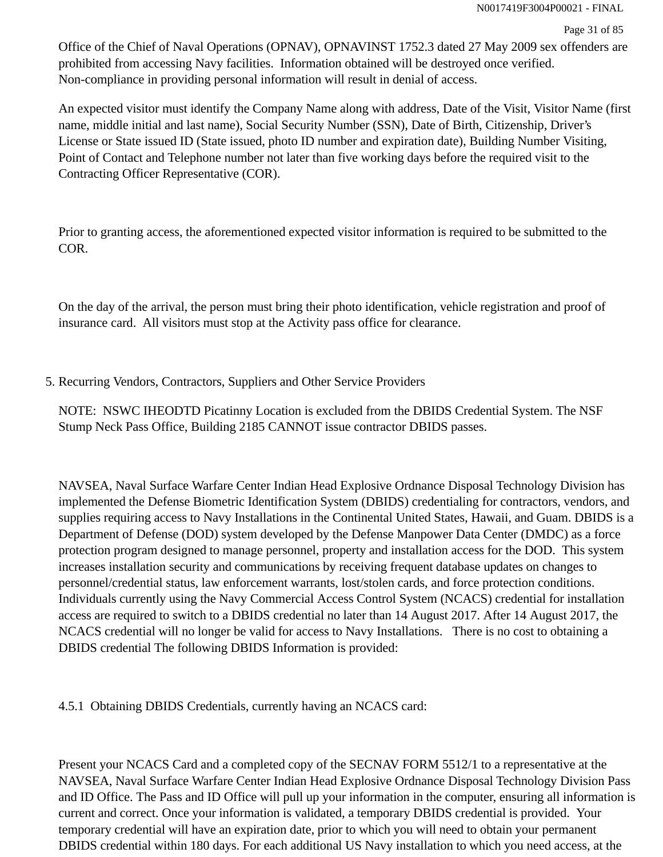Office of the Chief of Naval Operations (OPNAV), OPNAVINST 1752.3 dated 27 May 2009 sex offenders are prohibited from accessing Navy facilities. Information obtained will be destroyed once verified. Non-compliance in providing personal information will result in denial of access.

An expected visitor must identify the Company Name along with address, Date of the Visit, Visitor Name (first name, middle initial and last name), Social Security Number (SSN), Date of Birth, Citizenship, Driver's License or State issued ID (State issued, photo ID number and expiration date), Building Number Visiting, Point of Contact and Telephone number not later than five working days before the required visit to the Contracting Officer Representative (COR).

Prior to granting access, the aforementioned expected visitor information is required to be submitted to the COR.

On the day of the arrival, the person must bring their photo identification, vehicle registration and proof of insurance card. All visitors must stop at the Activity pass office for clearance.

5. Recurring Vendors, Contractors, Suppliers and Other Service Providers

NOTE: NSWC IHEODTD Picatinny Location is excluded from the DBIDS Credential System. The NSF Stump Neck Pass Office, Building 2185 CANNOT issue contractor DBIDS passes.

NAVSEA, Naval Surface Warfare Center Indian Head Explosive Ordnance Disposal Technology Division has implemented the Defense Biometric Identification System (DBIDS) credentialing for contractors, vendors, and supplies requiring access to Navy Installations in the Continental United States, Hawaii, and Guam. DBIDS is a Department of Defense (DOD) system developed by the Defense Manpower Data Center (DMDC) as a force protection program designed to manage personnel, property and installation access for the DOD. This system increases installation security and communications by receiving frequent database updates on changes to personnel/credential status, law enforcement warrants, lost/stolen cards, and force protection conditions. Individuals currently using the Navy Commercial Access Control System (NCACS) credential for installation access are required to switch to a DBIDS credential no later than 14 August 2017. After 14 August 2017, the NCACS credential will no longer be valid for access to Navy Installations. There is no cost to obtaining a DBIDS credential The following DBIDS Information is provided:

4.5.1 Obtaining DBIDS Credentials, currently having an NCACS card:

Present your NCACS Card and a completed copy of the SECNAV FORM 5512/1 to a representative at the NAVSEA, Naval Surface Warfare Center Indian Head Explosive Ordnance Disposal Technology Division Pass and ID Office. The Pass and ID Office will pull up your information in the computer, ensuring all information is current and correct. Once your information is validated, a temporary DBIDS credential is provided. Your temporary credential will have an expiration date, prior to which you will need to obtain your permanent DBIDS credential within 180 days. For each additional US Navy installation to which you need access, at the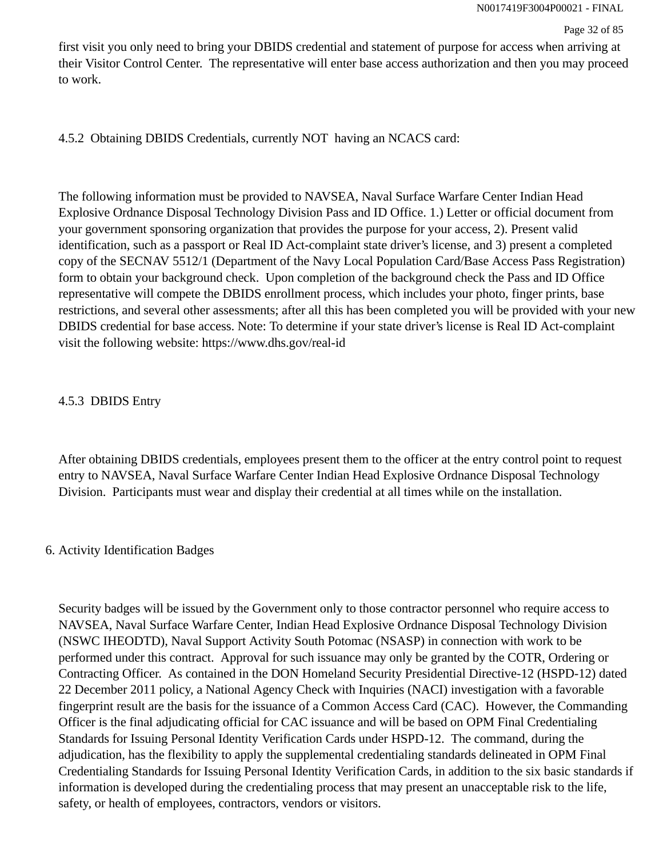first visit you only need to bring your DBIDS credential and statement of purpose for access when arriving at their Visitor Control Center. The representative will enter base access authorization and then you may proceed to work.

4.5.2 Obtaining DBIDS Credentials, currently NOT having an NCACS card:

The following information must be provided to NAVSEA, Naval Surface Warfare Center Indian Head Explosive Ordnance Disposal Technology Division Pass and ID Office. 1.) Letter or official document from your government sponsoring organization that provides the purpose for your access, 2). Present valid identification, such as a passport or Real ID Act-complaint state driver's license, and 3) present a completed copy of the SECNAV 5512/1 (Department of the Navy Local Population Card/Base Access Pass Registration) form to obtain your background check. Upon completion of the background check the Pass and ID Office representative will compete the DBIDS enrollment process, which includes your photo, finger prints, base restrictions, and several other assessments; after all this has been completed you will be provided with your new DBIDS credential for base access. Note: To determine if your state driver's license is Real ID Act-complaint visit the following website: https://www.dhs.gov/real-id

### 4.5.3 DBIDS Entry

After obtaining DBIDS credentials, employees present them to the officer at the entry control point to request entry to NAVSEA, Naval Surface Warfare Center Indian Head Explosive Ordnance Disposal Technology Division. Participants must wear and display their credential at all times while on the installation.

## Activity Identification Badges 6.

Security badges will be issued by the Government only to those contractor personnel who require access to NAVSEA, Naval Surface Warfare Center, Indian Head Explosive Ordnance Disposal Technology Division (NSWC IHEODTD), Naval Support Activity South Potomac (NSASP) in connection with work to be performed under this contract. Approval for such issuance may only be granted by the COTR, Ordering or Contracting Officer. As contained in the DON Homeland Security Presidential Directive-12 (HSPD-12) dated 22 December 2011 policy, a National Agency Check with Inquiries (NACI) investigation with a favorable fingerprint result are the basis for the issuance of a Common Access Card (CAC). However, the Commanding Officer is the final adjudicating official for CAC issuance and will be based on OPM Final Credentialing Standards for Issuing Personal Identity Verification Cards under HSPD-12. The command, during the adjudication, has the flexibility to apply the supplemental credentialing standards delineated in OPM Final Credentialing Standards for Issuing Personal Identity Verification Cards, in addition to the six basic standards if information is developed during the credentialing process that may present an unacceptable risk to the life, safety, or health of employees, contractors, vendors or visitors.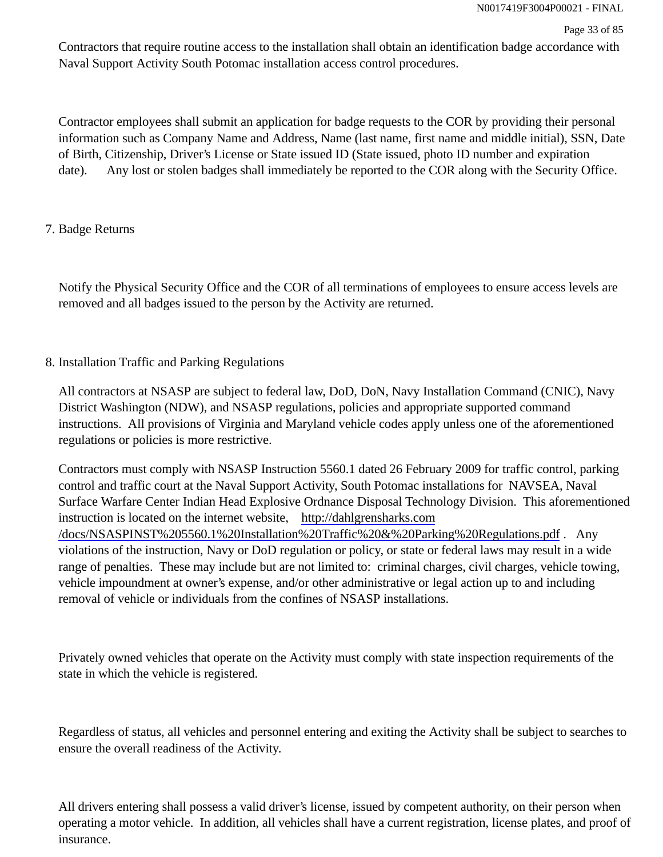Contractors that require routine access to the installation shall obtain an identification badge accordance with Naval Support Activity South Potomac installation access control procedures.

Contractor employees shall submit an application for badge requests to the COR by providing their personal information such as Company Name and Address, Name (last name, first name and middle initial), SSN, Date of Birth, Citizenship, Driver's License or State issued ID (State issued, photo ID number and expiration date). Any lost or stolen badges shall immediately be reported to the COR along with the Security Office.

### 7. Badge Returns

Notify the Physical Security Office and the COR of all terminations of employees to ensure access levels are removed and all badges issued to the person by the Activity are returned.

### 8. Installation Traffic and Parking Regulations

All contractors at NSASP are subject to federal law, DoD, DoN, Navy Installation Command (CNIC), Navy District Washington (NDW), and NSASP regulations, policies and appropriate supported command instructions. All provisions of Virginia and Maryland vehicle codes apply unless one of the aforementioned regulations or policies is more restrictive.

Contractors must comply with NSASP Instruction 5560.1 dated 26 February 2009 for traffic control, parking control and traffic court at the Naval Support Activity, South Potomac installations for NAVSEA, Naval Surface Warfare Center Indian Head Explosive Ordnance Disposal Technology Division. This aforementioned instruction is located on the internet website, http://dahlgrensharks.com /docs/NSASPINST%205560.1%20Installation%20Traffic%20&%20Parking%20Regulations.pdf . Any violations of the instruction, Navy or DoD regulation or policy, or state or federal laws may result in a wide range of penalties. These may include but are not limited to: criminal charges, civil charges, vehicle towing, vehicle impoundment at owner's expense, and/or other administrative or legal action up to and including removal of vehicle or individuals from the confines of NSASP installations.

Privately owned vehicles that operate on the Activity must comply with state inspection requirements of the state in which the vehicle is registered.

Regardless of status, all vehicles and personnel entering and exiting the Activity shall be subject to searches to ensure the overall readiness of the Activity.

All drivers entering shall possess a valid driver's license, issued by competent authority, on their person when operating a motor vehicle. In addition, all vehicles shall have a current registration, license plates, and proof of insurance.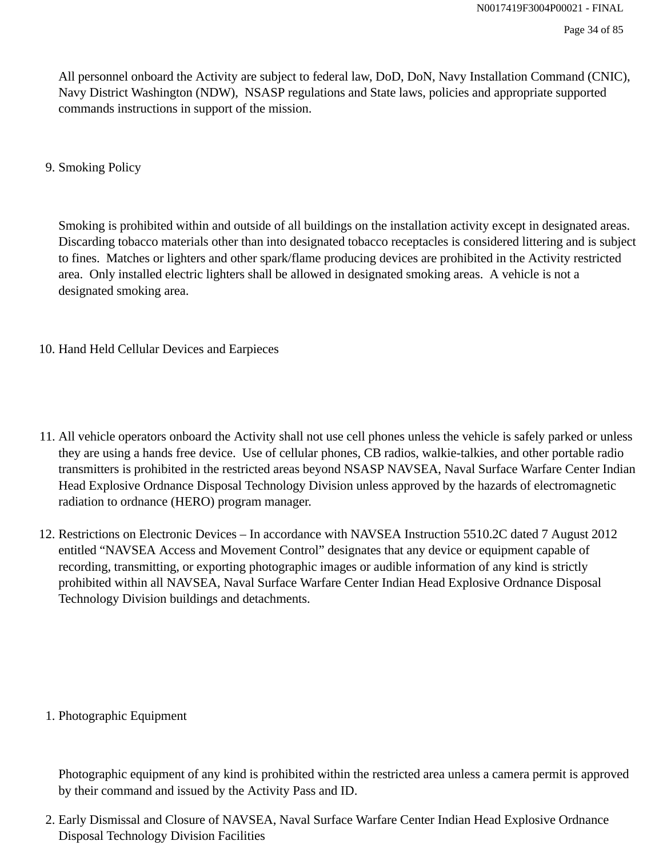All personnel onboard the Activity are subject to federal law, DoD, DoN, Navy Installation Command (CNIC), Navy District Washington (NDW), NSASP regulations and State laws, policies and appropriate supported commands instructions in support of the mission.

9. Smoking Policy

Smoking is prohibited within and outside of all buildings on the installation activity except in designated areas. Discarding tobacco materials other than into designated tobacco receptacles is considered littering and is subject to fines. Matches or lighters and other spark/flame producing devices are prohibited in the Activity restricted area. Only installed electric lighters shall be allowed in designated smoking areas. A vehicle is not a designated smoking area.

- 10. Hand Held Cellular Devices and Earpieces
- All vehicle operators onboard the Activity shall not use cell phones unless the vehicle is safely parked or unless 11. they are using a hands free device. Use of cellular phones, CB radios, walkie-talkies, and other portable radio transmitters is prohibited in the restricted areas beyond NSASP NAVSEA, Naval Surface Warfare Center Indian Head Explosive Ordnance Disposal Technology Division unless approved by the hazards of electromagnetic radiation to ordnance (HERO) program manager.
- 12. Restrictions on Electronic Devices In accordance with NAVSEA Instruction 5510.2C dated 7 August 2012 entitled "NAVSEA Access and Movement Control" designates that any device or equipment capable of recording, transmitting, or exporting photographic images or audible information of any kind is strictly prohibited within all NAVSEA, Naval Surface Warfare Center Indian Head Explosive Ordnance Disposal Technology Division buildings and detachments.

1. Photographic Equipment

Photographic equipment of any kind is prohibited within the restricted area unless a camera permit is approved by their command and issued by the Activity Pass and ID.

Early Dismissal and Closure of NAVSEA, Naval Surface Warfare Center Indian Head Explosive Ordnance 2. Disposal Technology Division Facilities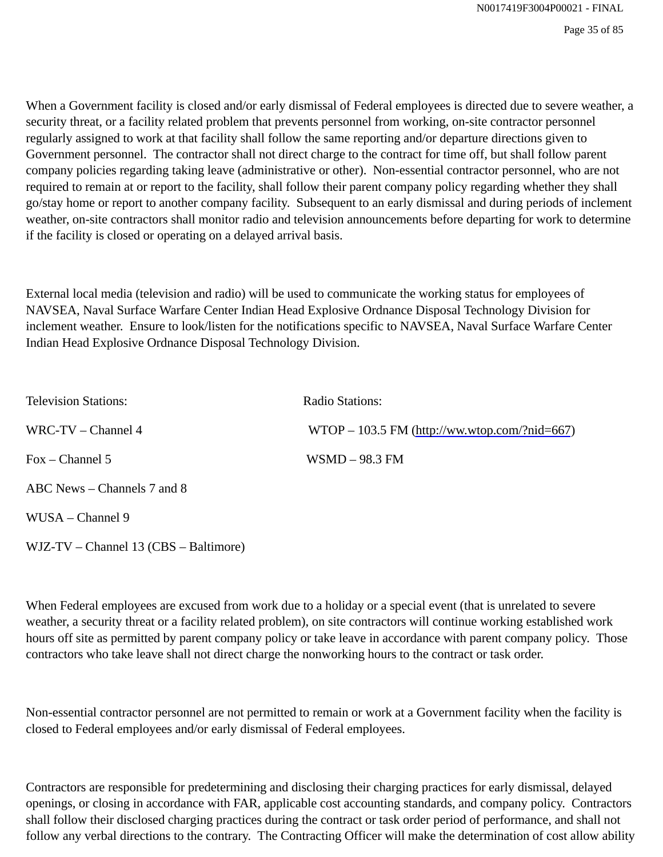When a Government facility is closed and/or early dismissal of Federal employees is directed due to severe weather, a security threat, or a facility related problem that prevents personnel from working, on-site contractor personnel regularly assigned to work at that facility shall follow the same reporting and/or departure directions given to Government personnel. The contractor shall not direct charge to the contract for time off, but shall follow parent company policies regarding taking leave (administrative or other). Non-essential contractor personnel, who are not required to remain at or report to the facility, shall follow their parent company policy regarding whether they shall go/stay home or report to another company facility. Subsequent to an early dismissal and during periods of inclement weather, on-site contractors shall monitor radio and television announcements before departing for work to determine if the facility is closed or operating on a delayed arrival basis.

External local media (television and radio) will be used to communicate the working status for employees of NAVSEA, Naval Surface Warfare Center Indian Head Explosive Ordnance Disposal Technology Division for inclement weather. Ensure to look/listen for the notifications specific to NAVSEA, Naval Surface Warfare Center Indian Head Explosive Ordnance Disposal Technology Division.

| <b>Television Stations:</b>   | Radio Stations:                                  |
|-------------------------------|--------------------------------------------------|
| $WRC-TV - Channel 4$          | $WTOP - 103.5 FM (http://www.wtop.com/?nid=667)$ |
| $Fox$ – Channel 5             | $WSMD - 98.3 FM$                                 |
| $ABC$ News – Channels 7 and 8 |                                                  |
| $WUSA - Channel 9$            |                                                  |

WJZ-TV – Channel 13 (CBS – Baltimore)

When Federal employees are excused from work due to a holiday or a special event (that is unrelated to severe weather, a security threat or a facility related problem), on site contractors will continue working established work hours off site as permitted by parent company policy or take leave in accordance with parent company policy. Those contractors who take leave shall not direct charge the nonworking hours to the contract or task order.

Non-essential contractor personnel are not permitted to remain or work at a Government facility when the facility is closed to Federal employees and/or early dismissal of Federal employees.

Contractors are responsible for predetermining and disclosing their charging practices for early dismissal, delayed openings, or closing in accordance with FAR, applicable cost accounting standards, and company policy. Contractors shall follow their disclosed charging practices during the contract or task order period of performance, and shall not follow any verbal directions to the contrary. The Contracting Officer will make the determination of cost allow ability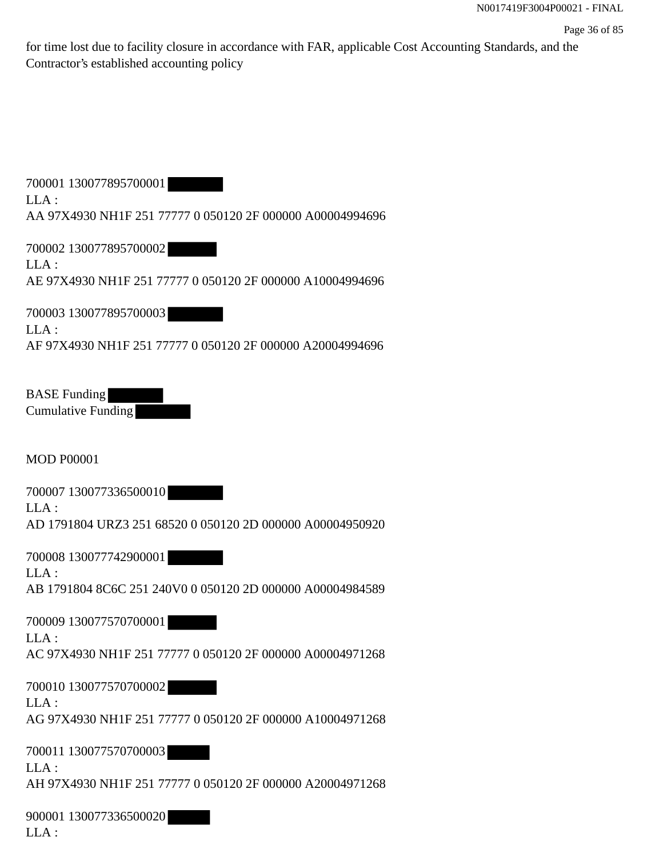for time lost due to facility closure in accordance with FAR, applicable Cost Accounting Standards, and the Contractor's established accounting policy

700001 130077895700001 LLA : AA 97X4930 NH1F 251 77777 0 050120 2F 000000 A00004994696

700002 130077895700002 LLA : AE 97X4930 NH1F 251 77777 0 050120 2F 000000 A10004994696

700003 130077895700003  $LLA$ : AF 97X4930 NH1F 251 77777 0 050120 2F 000000 A20004994696

BASE Funding Cumulative Funding

MOD P00001

700007 130077336500010

 $LLA$ :

AD 1791804 URZ3 251 68520 0 050120 2D 000000 A00004950920

700008 130077742900001 LLA :

AB 1791804 8C6C 251 240V0 0 050120 2D 000000 A00004984589

700009 130077570700001 LLA :

AC 97X4930 NH1F 251 77777 0 050120 2F 000000 A00004971268

700010 130077570700002 LLA : AG 97X4930 NH1F 251 77777 0 050120 2F 000000 A10004971268

700011 130077570700003

LLA :

AH 97X4930 NH1F 251 77777 0 050120 2F 000000 A20004971268

900001 130077336500020 LLA :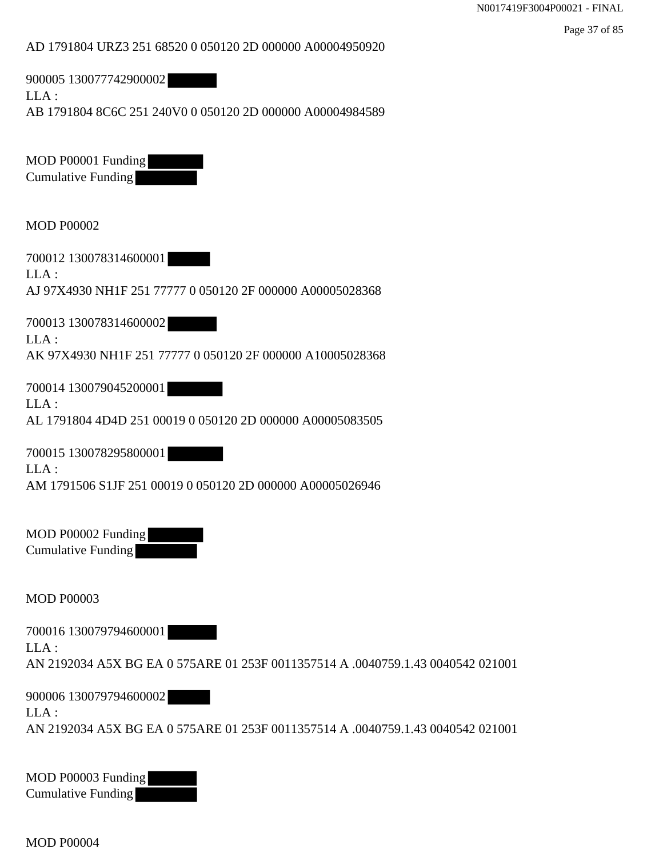Page 37 of 85

AD 1791804 URZ3 251 68520 0 050120 2D 000000 A00004950920

900005 130077742900002

LLA :

AB 1791804 8C6C 251 240V0 0 050120 2D 000000 A00004984589

MOD P00001 Funding Cumulative Funding

MOD P00002

700012 130078314600001 LLA : AJ 97X4930 NH1F 251 77777 0 050120 2F 000000 A00005028368

700013 130078314600002

LLA :

AK 97X4930 NH1F 251 77777 0 050120 2F 000000 A10005028368

700014 130079045200001 LLA : AL 1791804 4D4D 251 00019 0 050120 2D 000000 A00005083505

700015 130078295800001 LLA : AM 1791506 S1JF 251 00019 0 050120 2D 000000 A00005026946

MOD P00002 Funding Cumulative Funding

MOD P00003

700016 130079794600001

LLA :

AN 2192034 A5X BG EA 0 575ARE 01 253F 0011357514 A .0040759.1.43 0040542 021001

900006 130079794600002 LLA : AN 2192034 A5X BG EA 0 575ARE 01 253F 0011357514 A .0040759.1.43 0040542 021001

MOD P00003 Funding Cumulative Funding

MOD P00004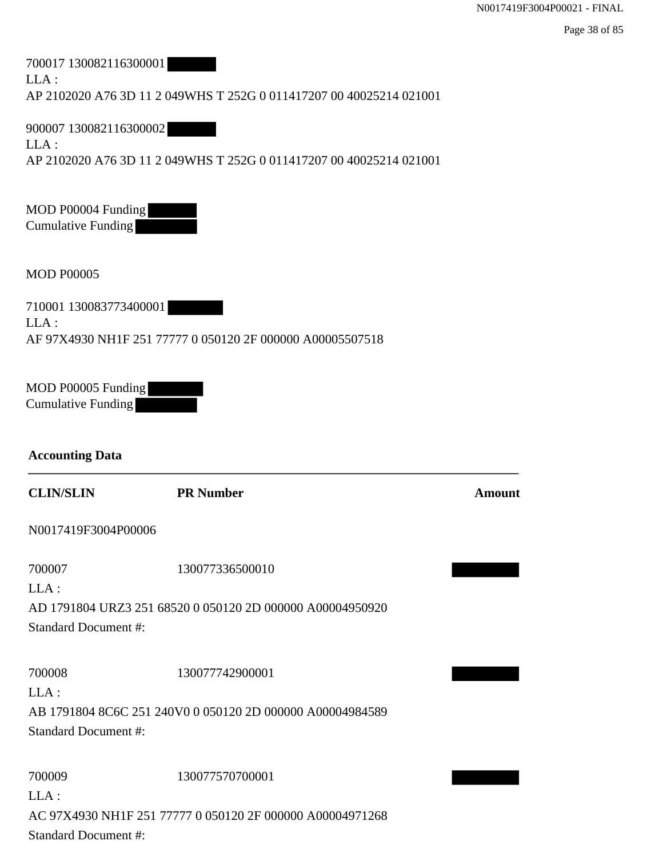700017 130082116300001 LLA : AP 2102020 A76 3D 11 2 049WHS T 252G 0 011417207 00 40025214 021001

900007 130082116300002 LLA : AP 2102020 A76 3D 11 2 049WHS T 252G 0 011417207 00 40025214 021001

MOD P00004 Funding Cumulative Funding

MOD P00005

710001 130083773400001 LLA : AF 97X4930 NH1F 251 77777 0 050120 2F 000000 A00005507518

MOD P00005 Funding Cumulative Funding

| <b>Accounting Data</b>      |                                                           |               |
|-----------------------------|-----------------------------------------------------------|---------------|
| <b>CLIN/SLIN</b>            | <b>PR Number</b>                                          | <b>Amount</b> |
| N0017419F3004P00006         |                                                           |               |
| 700007                      | 130077336500010                                           |               |
| $LLA$ :                     |                                                           |               |
|                             | AD 1791804 URZ3 251 68520 0 050120 2D 000000 A00004950920 |               |
| <b>Standard Document #:</b> |                                                           |               |
| 700008                      | 130077742900001                                           |               |
| $LLA$ :                     |                                                           |               |
|                             | AB 1791804 8C6C 251 240V0 0 050120 2D 000000 A00004984589 |               |
| <b>Standard Document #:</b> |                                                           |               |
| 700009                      | 130077570700001                                           |               |
| $LLA$ :                     |                                                           |               |
|                             | AC 97X4930 NH1F 251 77777 0 050120 2F 000000 A00004971268 |               |
| <b>Standard Document #:</b> |                                                           |               |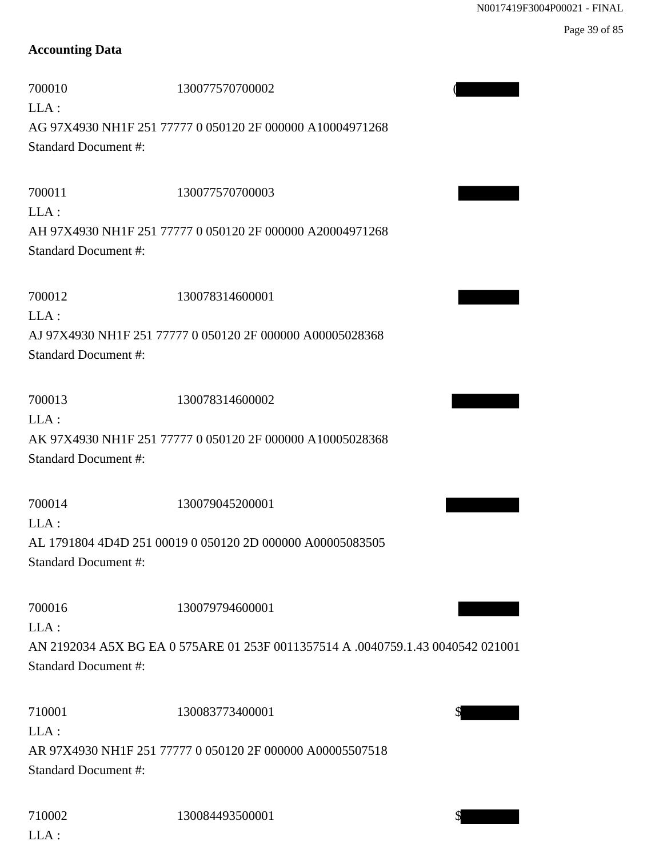Page 39 of 85

# **Accounting Data**

LLA :

| 700010<br>$LLA$ :<br><b>Standard Document #:</b>                         | 130077570700002<br>AG 97X4930 NH1F 251 77777 0 050120 2F 000000 A10004971268                       |  |
|--------------------------------------------------------------------------|----------------------------------------------------------------------------------------------------|--|
| 700011<br>$LLA$ :<br><b>Standard Document #:</b>                         | 130077570700003<br>AH 97X4930 NH1F 251 77777 0 050120 2F 000000 A20004971268                       |  |
| 700012<br>$LLA$ :<br><b>Standard Document #:</b>                         | 130078314600001<br>AJ 97X4930 NH1F 251 77777 0 050120 2F 000000 A00005028368                       |  |
| 700013<br>$LLA$ :<br><b>Standard Document #:</b>                         | 130078314600002<br>AK 97X4930 NH1F 251 77777 0 050120 2F 000000 A10005028368                       |  |
| 700014<br>$LLA$ :<br>$\sim$ $\sim$ $\sim$<br><b>Standard Document #:</b> | 130079045200001<br>AL 1791804 4D4D 251 00019 0 050120 2D 000000 A00005083505                       |  |
| 700016<br>$LLA$ :<br><b>Standard Document #:</b>                         | 130079794600001<br>AN 2192034 A5X BG EA 0 575ARE 01 253F 0011357514 A .0040759.1.43 0040542 021001 |  |
| 710001<br>$LLA$ :<br><b>Standard Document #:</b>                         | 130083773400001<br>AR 97X4930 NH1F 251 77777 0 050120 2F 000000 A00005507518                       |  |
| 710002                                                                   | 130084493500001                                                                                    |  |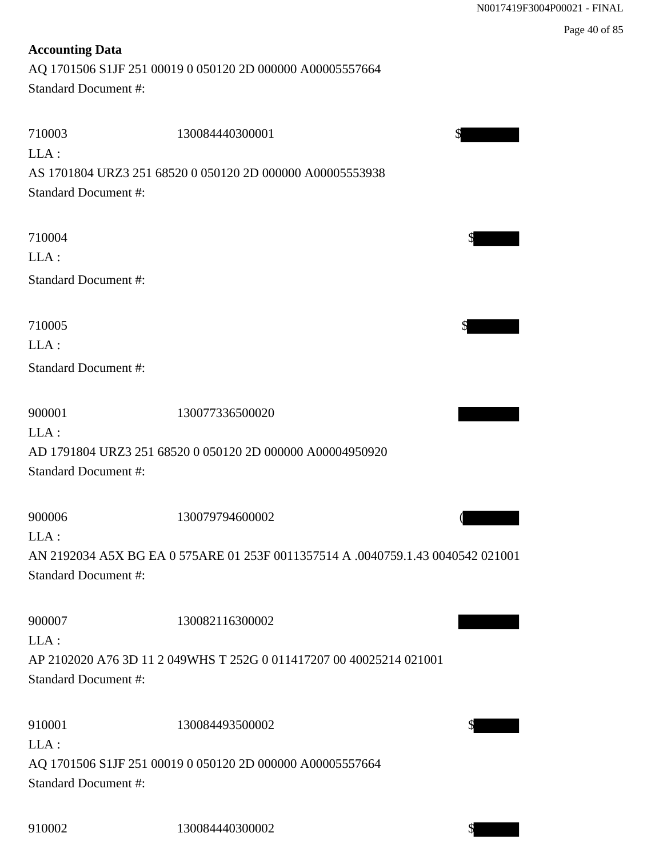Page 40 of 85

# **Accounting Data**

AQ 1701506 S1JF 251 00019 0 050120 2D 000000 A00005557664 Standard Document #:

| 710003<br>$LLA$ :<br><b>Standard Document #:</b> | 130084440300001<br>AS 1701804 URZ3 251 68520 0 050120 2D 000000 A00005553938                       |  |
|--------------------------------------------------|----------------------------------------------------------------------------------------------------|--|
| 710004<br>$LLA$ :<br><b>Standard Document #:</b> |                                                                                                    |  |
| 710005<br>$LLA$ :<br><b>Standard Document #:</b> |                                                                                                    |  |
| 900001<br>$LLA$ :<br><b>Standard Document #:</b> | 130077336500020<br>AD 1791804 URZ3 251 68520 0 050120 2D 000000 A00004950920                       |  |
| 900006<br>$LLA$ :<br><b>Standard Document #:</b> | 130079794600002<br>AN 2192034 A5X BG EA 0 575ARE 01 253F 0011357514 A .0040759.1.43 0040542 021001 |  |
| 900007<br>$LLA$ :<br><b>Standard Document #:</b> | 130082116300002<br>AP 2102020 A76 3D 11 2 049WHS T 252G 0 011417207 00 40025214 021001             |  |
| 910001<br>$LLA$ :<br><b>Standard Document #:</b> | 130084493500002<br>AQ 1701506 S1JF 251 00019 0 050120 2D 000000 A00005557664                       |  |

910002 130084440300002 \$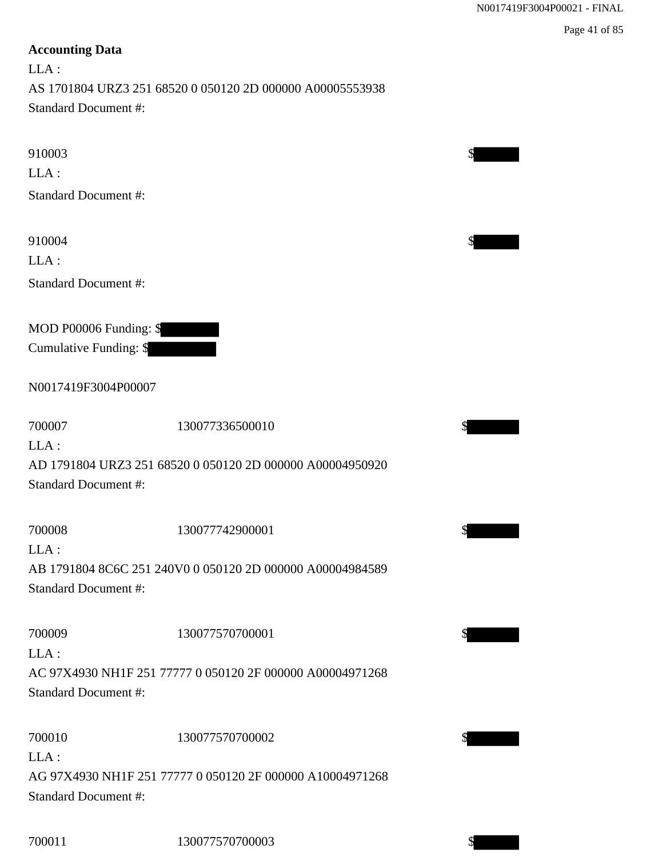Page 41 of 85

| <b>Accounting Data</b> |  |
|------------------------|--|
|------------------------|--|

LLA : AS 1701804 URZ3 251 68520 0 050120 2D 000000 A00005553938 Standard Document #:

| 910003<br>$LLA$ :<br><b>Standard Document #:</b>                        |                                                                              |  |
|-------------------------------------------------------------------------|------------------------------------------------------------------------------|--|
| 910004<br>$LLA$ :<br><b>Standard Document #:</b>                        |                                                                              |  |
| MOD P00006 Funding: \$<br>Cumulative Funding: \$<br>N0017419F3004P00007 |                                                                              |  |
| 700007<br>$LLA$ :<br><b>Standard Document #:</b>                        | 130077336500010<br>AD 1791804 URZ3 251 68520 0 050120 2D 000000 A00004950920 |  |
| 700008<br>$LLA$ :<br><b>Standard Document #:</b>                        | 130077742900001<br>AB 1791804 8C6C 251 240V0 0 050120 2D 000000 A00004984589 |  |
| 700009<br>$LLA$ :<br><b>Standard Document #:</b>                        | 130077570700001<br>AC 97X4930 NH1F 251 77777 0 050120 2F 000000 A00004971268 |  |
| 700010<br>$LLA$ :<br><b>Standard Document #:</b>                        | 130077570700002<br>AG 97X4930 NH1F 251 77777 0 050120 2F 000000 A10004971268 |  |

700011 130077570700003 \$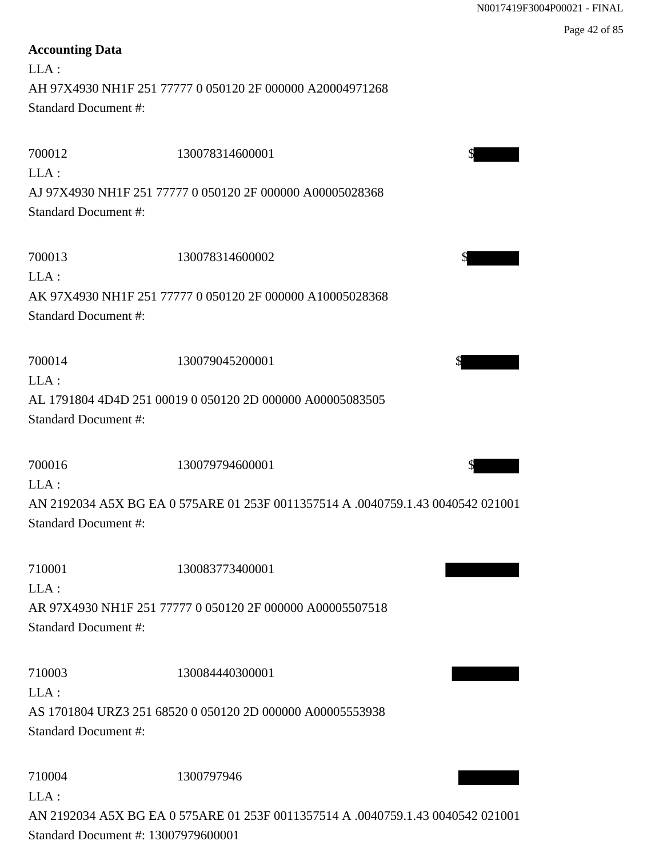Page 42 of 85

| <b>Accounting Data</b> |  |
|------------------------|--|

LLA : AH 97X4930 NH1F 251 77777 0 050120 2F 000000 A20004971268 Standard Document #:

| 700012               | 130078314600001                                           |  |
|----------------------|-----------------------------------------------------------|--|
| $LLA$ :              |                                                           |  |
|                      | AJ 97X4930 NH1F 251 77777 0 050120 2F 000000 A00005028368 |  |
| Standard Document #: |                                                           |  |
|                      |                                                           |  |

| 700013               | 130078314600002                                           |  |
|----------------------|-----------------------------------------------------------|--|
| LLA :                |                                                           |  |
|                      | AK 97X4930 NH1F 251 77777 0 050120 2F 000000 A10005028368 |  |
| Standard Document #: |                                                           |  |

700014 130079045200001 \$ LLA : AL 1791804 4D4D 251 00019 0 050120 2D 000000 A00005083505 Standard Document #:

700016 130079794600001 \$

LLA :

AN 2192034 A5X BG EA 0 575ARE 01 253F 0011357514 A .0040759.1.43 0040542 021001 Standard Document #:

| 710001               | 130083773400001                                           |
|----------------------|-----------------------------------------------------------|
| LLA:                 |                                                           |
|                      | AR 97X4930 NH1F 251 77777 0 050120 2F 000000 A00005507518 |
| Standard Document #: |                                                           |
|                      |                                                           |

| 710003               | 130084440300001                                           |
|----------------------|-----------------------------------------------------------|
| LLA :                |                                                           |
|                      | AS 1701804 URZ3 251 68520 0 050120 2D 000000 A00005553938 |
| Standard Document #: |                                                           |

710004 1300797946 LLA : AN 2192034 A5X BG EA 0 575ARE 01 253F 0011357514 A .0040759.1.43 0040542 021001 Standard Document #: 13007979600001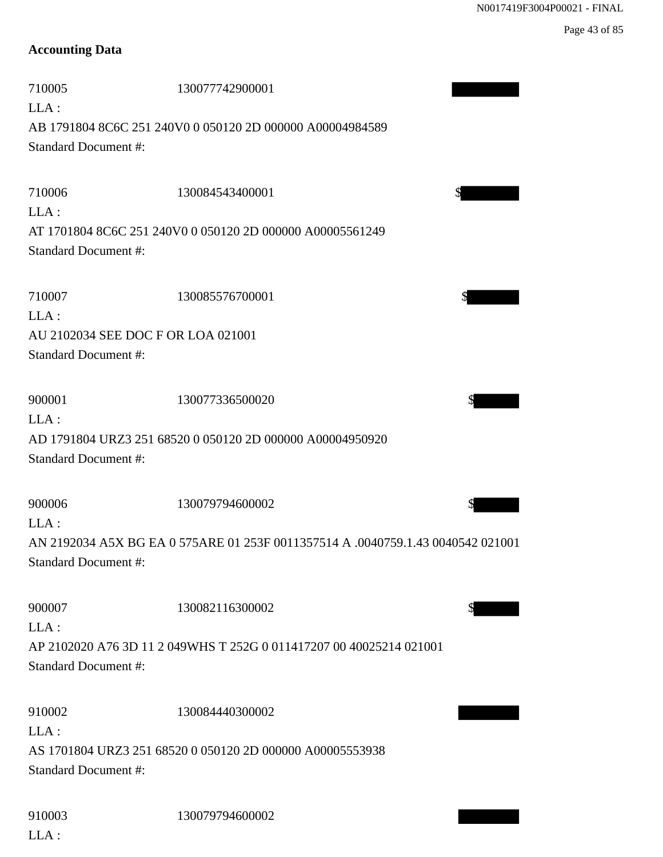| <b>Accounting Data</b> |  |
|------------------------|--|
|                        |  |

LLA :

| 710005<br>$LLA$ :<br><b>Standard Document #:</b>                                       | 130077742900001<br>AB 1791804 8C6C 251 240V0 0 050120 2D 000000 A00004984589                       |  |
|----------------------------------------------------------------------------------------|----------------------------------------------------------------------------------------------------|--|
| 710006<br>$LLA$ :<br><b>Standard Document #:</b>                                       | 130084543400001<br>AT 1701804 8C6C 251 240V0 0 050120 2D 000000 A00005561249                       |  |
| 710007<br>$LLA$ :<br>AU 2102034 SEE DOC F OR LOA 021001<br><b>Standard Document #:</b> | 130085576700001                                                                                    |  |
| 900001<br>$LLA$ :<br><b>Standard Document #:</b>                                       | 130077336500020<br>AD 1791804 URZ3 251 68520 0 050120 2D 000000 A00004950920                       |  |
| 900006<br>$LLA$ :<br><b>Standard Document #:</b>                                       | 130079794600002<br>AN 2192034 A5X BG EA 0 575ARE 01 253F 0011357514 A .0040759.1.43 0040542 021001 |  |
| 900007<br>$LLA$ :<br><b>Standard Document #:</b>                                       | 130082116300002<br>AP 2102020 A76 3D 11 2 049WHS T 252G 0 011417207 00 40025214 021001             |  |
| 910002<br>$LLA$ :<br><b>Standard Document #:</b>                                       | 130084440300002<br>AS 1701804 URZ3 251 68520 0 050120 2D 000000 A00005553938                       |  |
| 910003                                                                                 | 130079794600002                                                                                    |  |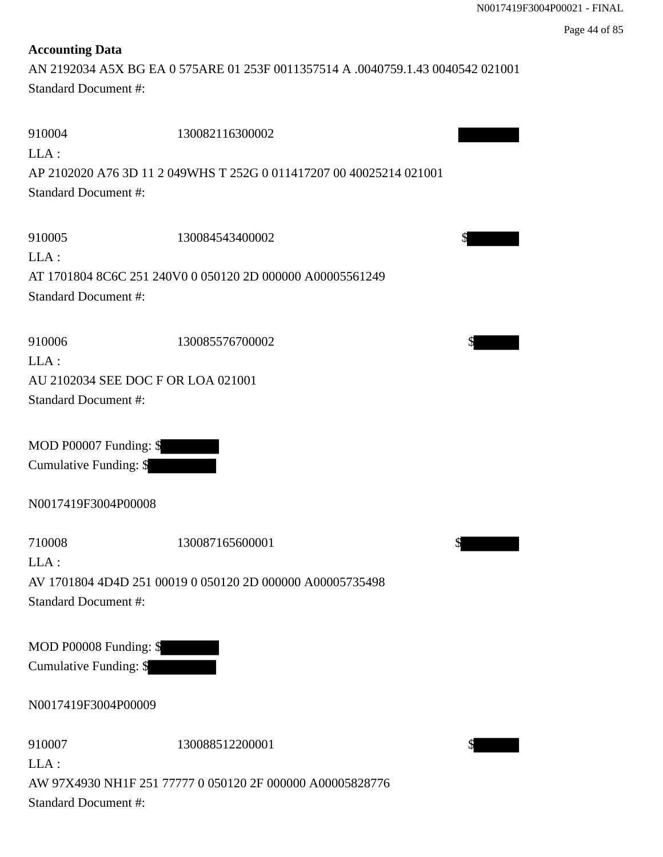## **Accounting Data**

AN 2192034 A5X BG EA 0 575ARE 01 253F 0011357514 A .0040759.1.43 0040542 021001 Standard Document #:

| 910004<br>$LLA$ :<br><b>Standard Document #:</b>                                       | 130082116300002<br>AP 2102020 A76 3D 11 2 049WHS T 252G 0 011417207 00 40025214 021001 |  |
|----------------------------------------------------------------------------------------|----------------------------------------------------------------------------------------|--|
| 910005<br>$LLA$ :<br><b>Standard Document #:</b>                                       | 130084543400002<br>AT 1701804 8C6C 251 240V0 0 050120 2D 000000 A00005561249           |  |
| 910006<br>$LLA$ :<br>AU 2102034 SEE DOC F OR LOA 021001<br><b>Standard Document #:</b> | 130085576700002                                                                        |  |
| MOD P00007 Funding: \$<br>Cumulative Funding: \$<br>N0017419F3004P00008                |                                                                                        |  |
| 710008<br>$LLA$ :<br>Standard Document #:                                              | 130087165600001<br>AV 1701804 4D4D 251 00019 0 050120 2D 000000 A00005735498           |  |
| MOD P00008 Funding: \$<br>Cumulative Funding: \$                                       |                                                                                        |  |
| N0017419F3004P00009                                                                    |                                                                                        |  |
| 910007<br>$LLA$ :<br><b>Standard Document #:</b>                                       | 130088512200001<br>AW 97X4930 NH1F 251 77777 0 050120 2F 000000 A00005828776           |  |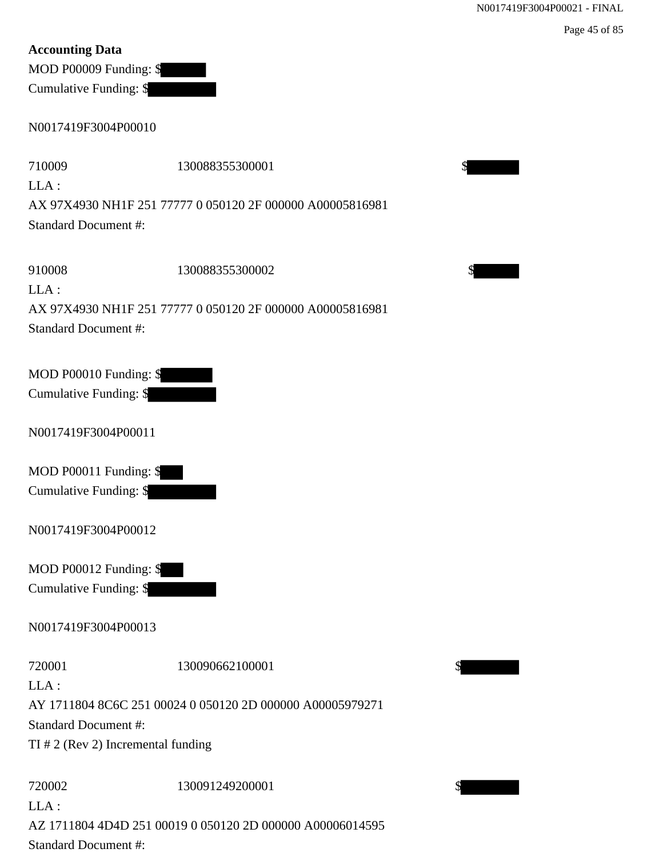Page 45 of 85

| <b>Accounting Data</b><br>MOD P00009 Funding: \$<br><b>Cumulative Funding: \$</b>         |                                                                              |  |  |
|-------------------------------------------------------------------------------------------|------------------------------------------------------------------------------|--|--|
| N0017419F3004P00010                                                                       |                                                                              |  |  |
| 710009<br>$LLA$ :<br><b>Standard Document #:</b>                                          | 130088355300001<br>AX 97X4930 NH1F 251 77777 0 050120 2F 000000 A00005816981 |  |  |
| 910008<br>$LLA$ :<br><b>Standard Document #:</b>                                          | 130088355300002<br>AX 97X4930 NH1F 251 77777 0 050120 2F 000000 A00005816981 |  |  |
| MOD P00010 Funding: \$<br><b>Cumulative Funding: \$</b>                                   |                                                                              |  |  |
| N0017419F3004P00011                                                                       |                                                                              |  |  |
| MOD P00011 Funding: \$<br>Cumulative Funding: \$                                          |                                                                              |  |  |
| N0017419F3004P00012                                                                       |                                                                              |  |  |
| MOD P00012 Funding: \$<br><b>Cumulative Funding: \$</b>                                   |                                                                              |  |  |
| N0017419F3004P00013                                                                       |                                                                              |  |  |
| 720001<br>$LLA$ :<br><b>Standard Document #:</b><br>$TI \# 2$ (Rev 2) Incremental funding | 130090662100001<br>AY 1711804 8C6C 251 00024 0 050120 2D 000000 A00005979271 |  |  |
| 720002<br>$LLA$ :<br><b>Standard Document #:</b>                                          | 130091249200001<br>AZ 1711804 4D4D 251 00019 0 050120 2D 000000 A00006014595 |  |  |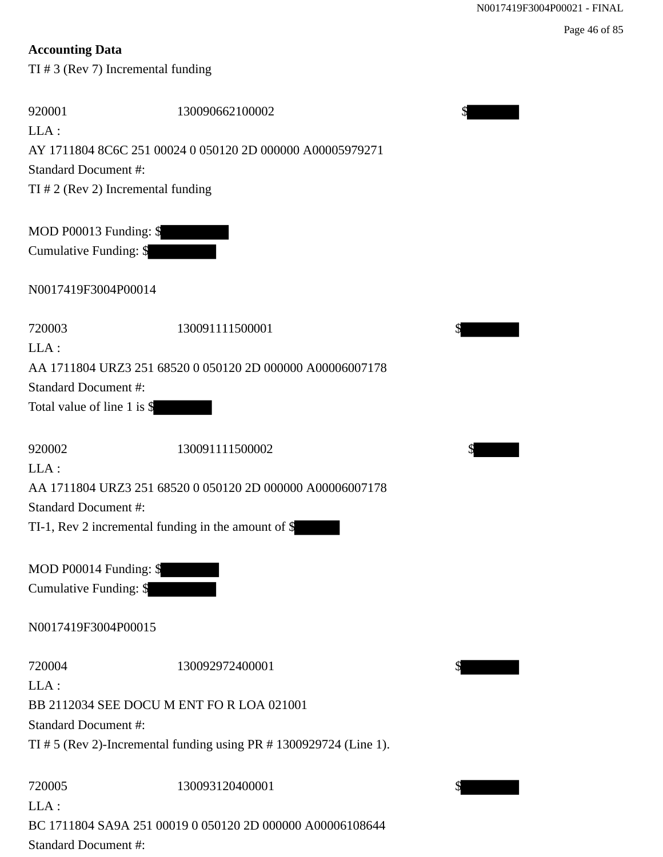Page 46 of 85

| <b>Accounting Data</b> |  |
|------------------------|--|
|                        |  |

TI # 3 (Rev 7) Incremental funding

| 920001<br>$LLA$ :<br><b>Standard Document #:</b><br>TI $# 2$ (Rev 2) Incremental funding      | 130090662100002<br>AY 1711804 8C6C 251 00024 0 050120 2D 000000 A00005979271 |  |
|-----------------------------------------------------------------------------------------------|------------------------------------------------------------------------------|--|
| MOD P00013 Funding: $$$<br><b>Cumulative Funding: \$</b>                                      |                                                                              |  |
| N0017419F3004P00014                                                                           |                                                                              |  |
| 720003                                                                                        | 130091111500001                                                              |  |
| $LLA$ :<br><b>Standard Document #:</b><br>Total value of line 1 is \$                         | AA 1711804 URZ3 251 68520 0 050120 2D 000000 A00006007178                    |  |
| 920002                                                                                        | 130091111500002                                                              |  |
| $LLA$ :<br><b>Standard Document #:</b><br>TI-1, Rev 2 incremental funding in the amount of \$ | AA 1711804 URZ3 251 68520 0 050120 2D 000000 A00006007178                    |  |
| MOD P00014 Funding: \$<br>Cumulative Funding: \$                                              |                                                                              |  |
| N0017419F3004P00015                                                                           |                                                                              |  |
| 720004<br>$LLA$ :                                                                             | 130092972400001                                                              |  |
| BB 2112034 SEE DOCU M ENT FOR LOA 021001<br><b>Standard Document #:</b>                       |                                                                              |  |
|                                                                                               | TI # 5 (Rev 2)-Incremental funding using PR # 1300929724 (Line 1).           |  |
| 720005<br>$LLA$ :                                                                             | 130093120400001<br>BC 1711804 SA9A 251 00019 0 050120 2D 000000 A00006108644 |  |
| <b>Standard Document #:</b>                                                                   |                                                                              |  |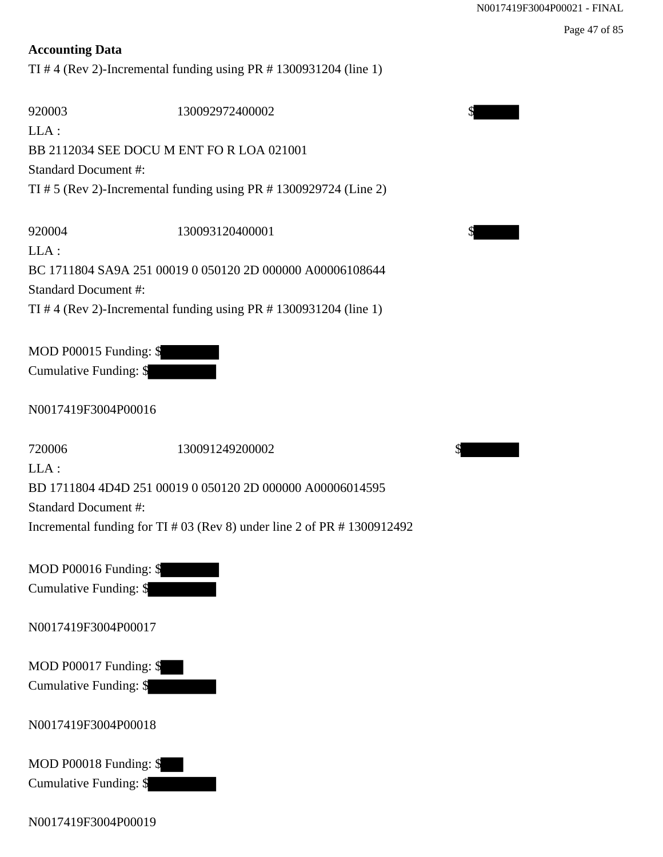Page 47 of 85

# **Accounting Data**

TI # 4 (Rev 2)-Incremental funding using PR # 1300931204 (line 1)

| 920003<br>$LLA$ :                        | 130092972400002                                                         |  |  |
|------------------------------------------|-------------------------------------------------------------------------|--|--|
| BB 2112034 SEE DOCU M ENT FOR LOA 021001 |                                                                         |  |  |
| <b>Standard Document #:</b>              | TI # 5 (Rev 2)-Incremental funding using PR # 1300929724 (Line 2)       |  |  |
|                                          |                                                                         |  |  |
| 920004                                   | 130093120400001                                                         |  |  |
| $LLA$ :                                  |                                                                         |  |  |
|                                          | BC 1711804 SA9A 251 00019 0 050120 2D 000000 A00006108644               |  |  |
| <b>Standard Document #:</b>              |                                                                         |  |  |
|                                          | TI # 4 (Rev 2)-Incremental funding using PR # $1300931204$ (line 1)     |  |  |
|                                          |                                                                         |  |  |
| MOD P00015 Funding: $$$                  |                                                                         |  |  |
| Cumulative Funding: \$                   |                                                                         |  |  |
| N0017419F3004P00016                      |                                                                         |  |  |
|                                          |                                                                         |  |  |
| 720006                                   | 130091249200002                                                         |  |  |
| $LLA$ :                                  |                                                                         |  |  |
|                                          | BD 1711804 4D4D 251 00019 0 050120 2D 000000 A00006014595               |  |  |
| <b>Standard Document #:</b>              |                                                                         |  |  |
|                                          | Incremental funding for TI # 03 (Rev 8) under line 2 of PR # 1300912492 |  |  |
|                                          |                                                                         |  |  |
| MOD P00016 Funding: \$                   |                                                                         |  |  |
| Cumulative Funding: \$                   |                                                                         |  |  |
| N0017419F3004P00017                      |                                                                         |  |  |
|                                          |                                                                         |  |  |
| MOD P00017 Funding: \$                   |                                                                         |  |  |
| Cumulative Funding: \$                   |                                                                         |  |  |
| N0017419F3004P00018                      |                                                                         |  |  |

| MOD P00018 Funding: \$ |  |
|------------------------|--|
| Cumulative Funding: \$ |  |

N0017419F3004P00019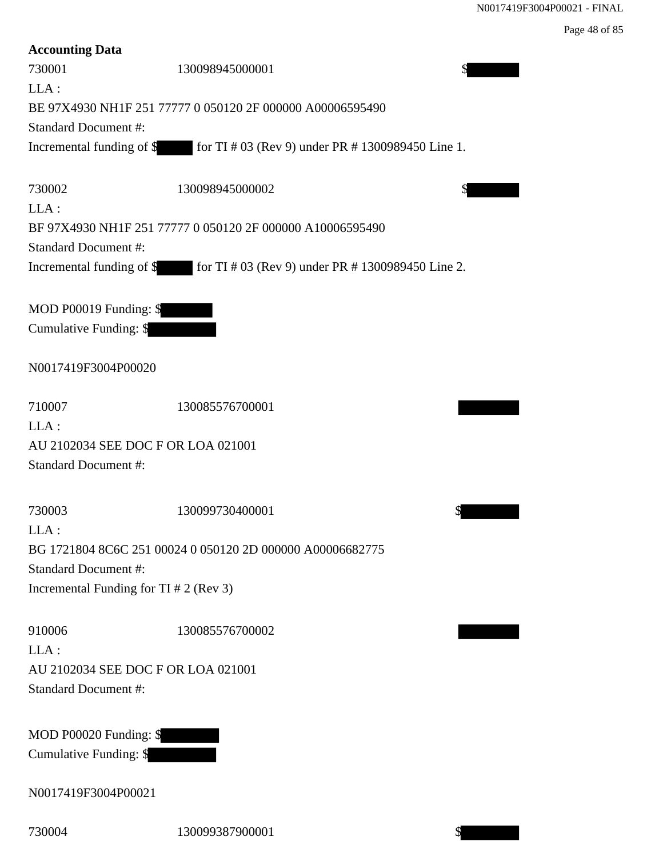| <b>Accounting Data</b><br>730001<br>$LLA$ :<br><b>Standard Document #:</b>                   | 130098945000001<br>BE 97X4930 NH1F 251 77777 0 050120 2F 000000 A00006595490<br>Incremental funding of $\$\$ for TI # 03 (Rev 9) under PR # 1300989450 Line 1. |  |
|----------------------------------------------------------------------------------------------|----------------------------------------------------------------------------------------------------------------------------------------------------------------|--|
| 730002<br>$LLA$ :<br><b>Standard Document #:</b>                                             | 130098945000002<br>BF 97X4930 NH1F 251 77777 0 050120 2F 000000 A10006595490<br>Incremental funding of $\$$ for TI # 03 (Rev 9) under PR # 1300989450 Line 2.  |  |
| MOD P00019 Funding: \$<br>Cumulative Funding: \$                                             |                                                                                                                                                                |  |
| N0017419F3004P00020                                                                          |                                                                                                                                                                |  |
| 710007<br>$LLA$ :<br>AU 2102034 SEE DOC F OR LOA 021001<br><b>Standard Document #:</b>       | 130085576700001                                                                                                                                                |  |
| 730003<br>$LLA$ :<br><b>Standard Document #:</b><br>Incremental Funding for TI $# 2$ (Rev 3) | 130099730400001<br>BG 1721804 8C6C 251 00024 0 050120 2D 000000 A00006682775                                                                                   |  |
| 910006<br>$LLA$ :<br>AU 2102034 SEE DOC F OR LOA 021001<br><b>Standard Document #:</b>       | 130085576700002                                                                                                                                                |  |
| MOD P00020 Funding: \$<br>Cumulative Funding: \$                                             |                                                                                                                                                                |  |
| N0017419F3004P00021                                                                          |                                                                                                                                                                |  |
| 730004                                                                                       | 130099387900001                                                                                                                                                |  |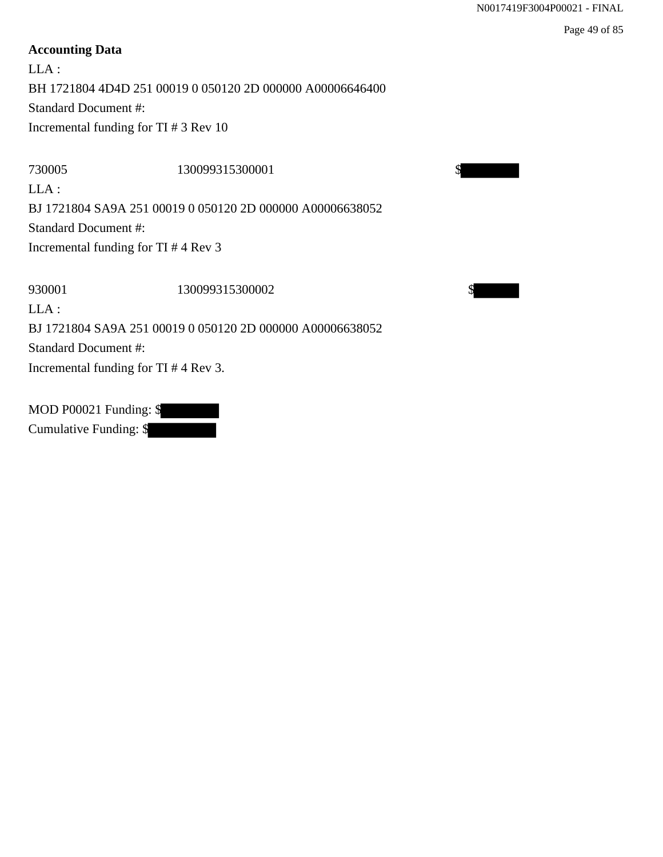Page 49 of 85

# **Accounting Data**

LLA : BH 1721804 4D4D 251 00019 0 050120 2D 000000 A00006646400 Standard Document #: Incremental funding for TI # 3 Rev 10

730005 130099315300001 \$ LLA : BJ 1721804 SA9A 251 00019 0 050120 2D 000000 A00006638052 Standard Document #: Incremental funding for TI # 4 Rev 3

| 930001                                  | 130099315300002                                           |  |
|-----------------------------------------|-----------------------------------------------------------|--|
| $LLA$ :                                 |                                                           |  |
|                                         | BJ 1721804 SA9A 251 00019 0 050120 2D 000000 A00006638052 |  |
| <b>Standard Document #:</b>             |                                                           |  |
| Incremental funding for $TI$ # 4 Rev 3. |                                                           |  |
|                                         |                                                           |  |

| MOD P00021 Funding: \$ |
|------------------------|
| Cumulative Funding: \$ |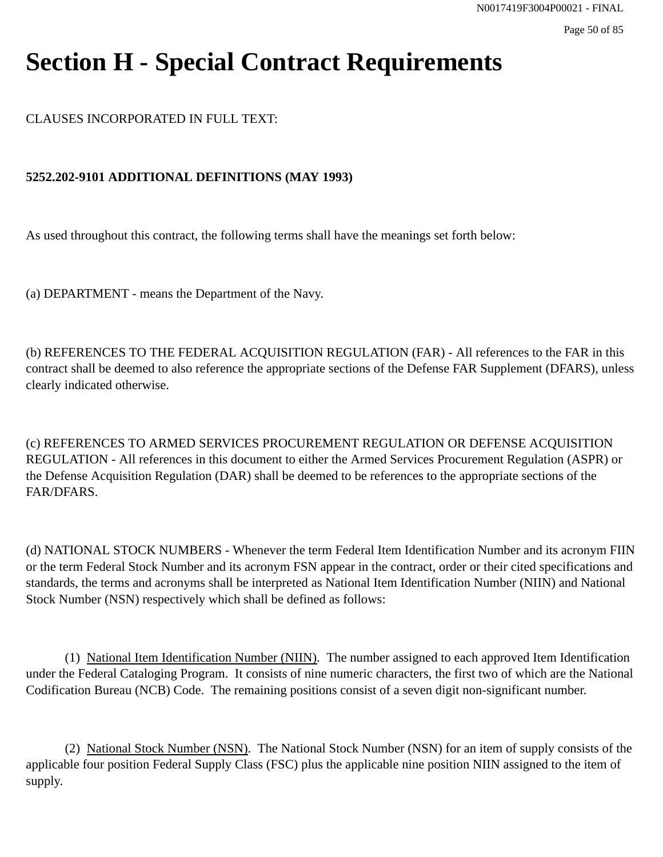Page 50 of 85

# **Section H - Special Contract Requirements**

CLAUSES INCORPORATED IN FULL TEXT:

# **5252.202-9101 ADDITIONAL DEFINITIONS (MAY 1993)**

As used throughout this contract, the following terms shall have the meanings set forth below:

(a) DEPARTMENT - means the Department of the Navy.

(b) REFERENCES TO THE FEDERAL ACQUISITION REGULATION (FAR) - All references to the FAR in this contract shall be deemed to also reference the appropriate sections of the Defense FAR Supplement (DFARS), unless clearly indicated otherwise.

(c) REFERENCES TO ARMED SERVICES PROCUREMENT REGULATION OR DEFENSE ACQUISITION REGULATION - All references in this document to either the Armed Services Procurement Regulation (ASPR) or the Defense Acquisition Regulation (DAR) shall be deemed to be references to the appropriate sections of the FAR/DFARS.

(d) NATIONAL STOCK NUMBERS - Whenever the term Federal Item Identification Number and its acronym FIIN or the term Federal Stock Number and its acronym FSN appear in the contract, order or their cited specifications and standards, the terms and acronyms shall be interpreted as National Item Identification Number (NIIN) and National Stock Number (NSN) respectively which shall be defined as follows:

 (1) National Item Identification Number (NIIN). The number assigned to each approved Item Identification under the Federal Cataloging Program. It consists of nine numeric characters, the first two of which are the National Codification Bureau (NCB) Code. The remaining positions consist of a seven digit non-significant number.

 (2) National Stock Number (NSN). The National Stock Number (NSN) for an item of supply consists of the applicable four position Federal Supply Class (FSC) plus the applicable nine position NIIN assigned to the item of supply.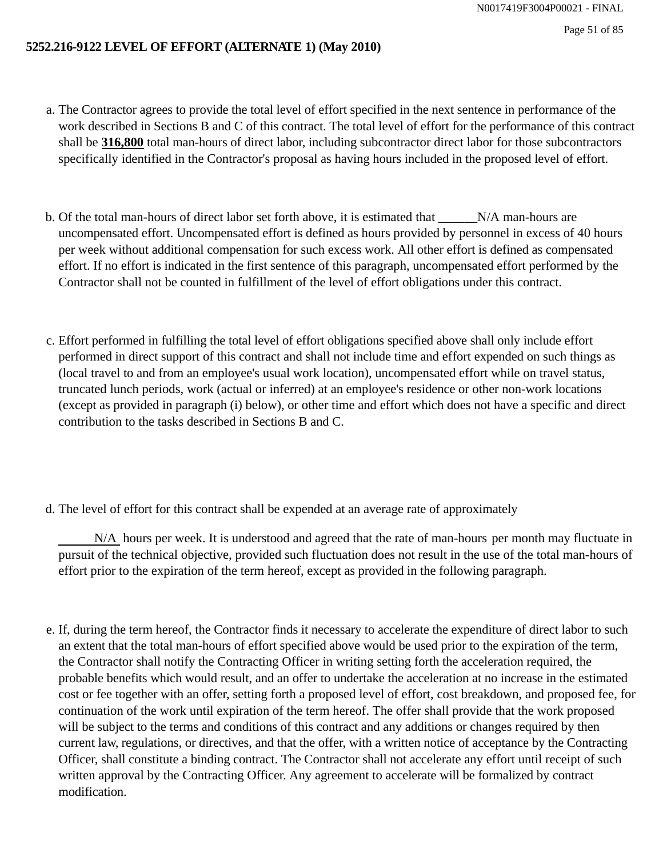#### **5252.216-9122 LEVEL OF EFFORT (ALTERNATE 1) (May 2010)**

- a. The Contractor agrees to provide the total level of effort specified in the next sentence in performance of the work described in Sections B and C of this contract. The total level of effort for the performance of this contract shall be **316,800** total man-hours of direct labor, including subcontractor direct labor for those subcontractors specifically identified in the Contractor's proposal as having hours included in the proposed level of effort.
- b. Of the total man-hours of direct labor set forth above, it is estimated that \_\_\_\_\_\_N/A man-hours are uncompensated effort. Uncompensated effort is defined as hours provided by personnel in excess of 40 hours per week without additional compensation for such excess work. All other effort is defined as compensated effort. If no effort is indicated in the first sentence of this paragraph, uncompensated effort performed by the Contractor shall not be counted in fulfillment of the level of effort obligations under this contract.
- c. Effort performed in fulfilling the total level of effort obligations specified above shall only include effort performed in direct support of this contract and shall not include time and effort expended on such things as (local travel to and from an employee's usual work location), uncompensated effort while on travel status, truncated lunch periods, work (actual or inferred) at an employee's residence or other non-work locations (except as provided in paragraph (i) below), or other time and effort which does not have a specific and direct contribution to the tasks described in Sections B and C.
- d. The level of effort for this contract shall be expended at an average rate of approximately

 N/A hours per week. It is understood and agreed that the rate of man-hours per month may fluctuate in pursuit of the technical objective, provided such fluctuation does not result in the use of the total man-hours of effort prior to the expiration of the term hereof, except as provided in the following paragraph.

e. If, during the term hereof, the Contractor finds it necessary to accelerate the expenditure of direct labor to such an extent that the total man-hours of effort specified above would be used prior to the expiration of the term, the Contractor shall notify the Contracting Officer in writing setting forth the acceleration required, the probable benefits which would result, and an offer to undertake the acceleration at no increase in the estimated cost or fee together with an offer, setting forth a proposed level of effort, cost breakdown, and proposed fee, for continuation of the work until expiration of the term hereof. The offer shall provide that the work proposed will be subject to the terms and conditions of this contract and any additions or changes required by then current law, regulations, or directives, and that the offer, with a written notice of acceptance by the Contracting Officer, shall constitute a binding contract. The Contractor shall not accelerate any effort until receipt of such written approval by the Contracting Officer. Any agreement to accelerate will be formalized by contract modification.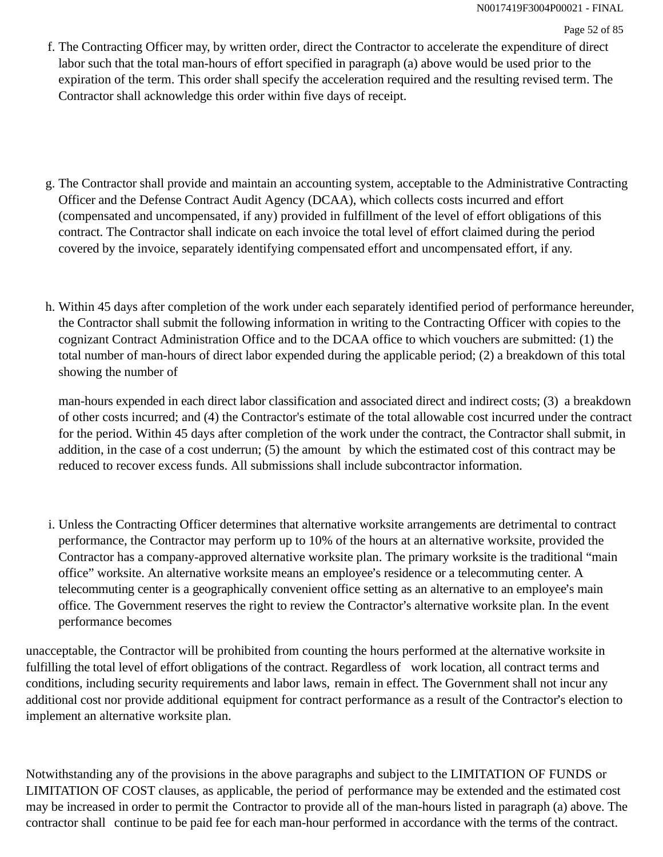- f. The Contracting Officer may, by written order, direct the Contractor to accelerate the expenditure of direct labor such that the total man-hours of effort specified in paragraph (a) above would be used prior to the expiration of the term. This order shall specify the acceleration required and the resulting revised term. The Contractor shall acknowledge this order within five days of receipt.
- g. The Contractor shall provide and maintain an accounting system, acceptable to the Administrative Contracting Officer and the Defense Contract Audit Agency (DCAA), which collects costs incurred and effort (compensated and uncompensated, if any) provided in fulfillment of the level of effort obligations of this contract. The Contractor shall indicate on each invoice the total level of effort claimed during the period covered by the invoice, separately identifying compensated effort and uncompensated effort, if any.
- h. Within 45 days after completion of the work under each separately identified period of performance hereunder, the Contractor shall submit the following information in writing to the Contracting Officer with copies to the cognizant Contract Administration Office and to the DCAA office to which vouchers are submitted: (1) the total number of man-hours of direct labor expended during the applicable period; (2) a breakdown of this total showing the number of

man-hours expended in each direct labor classification and associated direct and indirect costs; (3) a breakdown of other costs incurred; and (4) the Contractor's estimate of the total allowable cost incurred under the contract for the period. Within 45 days after completion of the work under the contract, the Contractor shall submit, in addition, in the case of a cost underrun; (5) the amount by which the estimated cost of this contract may be reduced to recover excess funds. All submissions shall include subcontractor information.

i. Unless the Contracting Officer determines that alternative worksite arrangements are detrimental to contract performance, the Contractor may perform up to 10% of the hours at an alternative worksite, provided the Contractor has a company-approved alternative worksite plan. The primary worksite is the traditional "main office" worksite. An alternative worksite means an employee's residence or a telecommuting center. A telecommuting center is a geographically convenient office setting as an alternative to an employee's main office. The Government reserves the right to review the Contractor's alternative worksite plan. In the event performance becomes

unacceptable, the Contractor will be prohibited from counting the hours performed at the alternative worksite in fulfilling the total level of effort obligations of the contract. Regardless of work location, all contract terms and conditions, including security requirements and labor laws, remain in effect. The Government shall not incur any additional cost nor provide additional equipment for contract performance as a result of the Contractor's election to implement an alternative worksite plan.

Notwithstanding any of the provisions in the above paragraphs and subject to the LIMITATION OF FUNDS or LIMITATION OF COST clauses, as applicable, the period of performance may be extended and the estimated cost may be increased in order to permit the Contractor to provide all of the man-hours listed in paragraph (a) above. The contractor shall continue to be paid fee for each man-hour performed in accordance with the terms of the contract.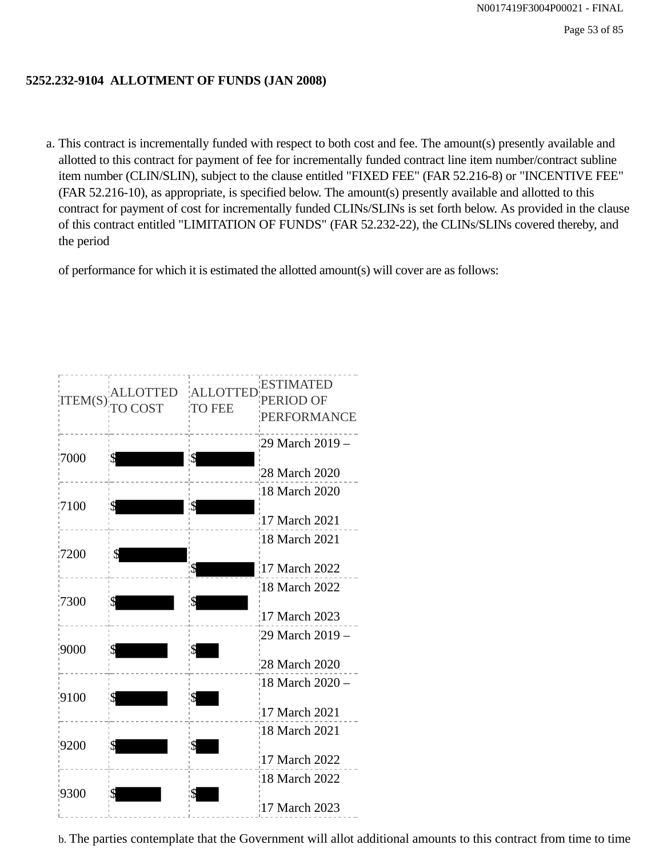Page 53 of 85

## **5252.232-9104 ALLOTMENT OF FUNDS (JAN 2008)**

a. This contract is incrementally funded with respect to both cost and fee. The amount(s) presently available and allotted to this contract for payment of fee for incrementally funded contract line item number/contract subline item number (CLIN/SLIN), subject to the clause entitled "FIXED FEE" (FAR 52.216-8) or "INCENTIVE FEE" (FAR 52.216-10), as appropriate, is specified below. The amount(s) presently available and allotted to this contract for payment of cost for incrementally funded CLINs/SLINs is set forth below. As provided in the clause of this contract entitled "LIMITATION OF FUNDS" (FAR 52.232-22), the CLINs/SLINs covered thereby, and the period

of performance for which it is estimated the allotted amount(s) will cover are as follows:

| ITEM(S) | ALLOTTED ALLOTTEI<br><b>TO COST</b> | <b>TO FEE</b>           | <b>ESTIMATED</b><br>PERIOD OF<br>PERFORMANCE |
|---------|-------------------------------------|-------------------------|----------------------------------------------|
| 7000    | \$                                  | \$                      | 29 March 2019 –                              |
|         |                                     |                         | 28 March 2020                                |
| 7100    | \$                                  | $\overline{\mathbf{3}}$ | 18 March 2020                                |
|         |                                     |                         | 17 March 2021                                |
| 7200    | \$                                  |                         | 18 March 2021                                |
|         |                                     | \$                      | 17 March 2022                                |
|         |                                     |                         | 18 March 2022                                |
| 7300    | \$                                  | \$                      | 17 March 2023                                |
| 9000    | \$                                  | $\mathcal{S}$           | 29 March 2019 –                              |
|         |                                     |                         | 28 March 2020                                |
|         |                                     |                         | 18 March 2020 -                              |
| 9100    | \$                                  | $\mathbb{S}$            | 17 March 2021                                |
|         |                                     |                         | 18 March 2021                                |
| 9200    | \$                                  | \$                      | 17 March 2022                                |
|         |                                     |                         | 18 March 2022                                |
| 9300    | \$                                  | \$                      | 17 March 2023                                |

b. The parties contemplate that the Government will allot additional amounts to this contract from time to time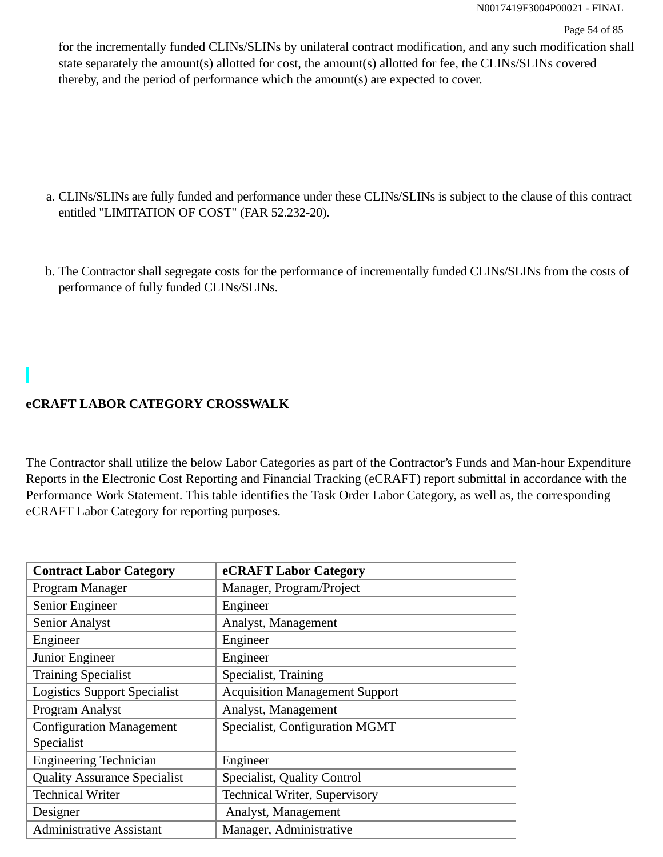for the incrementally funded CLINs/SLINs by unilateral contract modification, and any such modification shall state separately the amount(s) allotted for cost, the amount(s) allotted for fee, the CLINs/SLINs covered thereby, and the period of performance which the amount(s) are expected to cover.

- a. CLINs/SLINs are fully funded and performance under these CLINs/SLINs is subject to the clause of this contract entitled "LIMITATION OF COST" (FAR 52.232-20).
- b. The Contractor shall segregate costs for the performance of incrementally funded CLINs/SLINs from the costs of performance of fully funded CLINs/SLINs.

#### **eCRAFT LABOR CATEGORY CROSSWALK**

The Contractor shall utilize the below Labor Categories as part of the Contractor's Funds and Man-hour Expenditure Reports in the Electronic Cost Reporting and Financial Tracking (eCRAFT) report submittal in accordance with the Performance Work Statement. This table identifies the Task Order Labor Category, as well as, the corresponding eCRAFT Labor Category for reporting purposes.

| <b>Contract Labor Category</b>      | eCRAFT Labor Category                 |
|-------------------------------------|---------------------------------------|
| Program Manager                     | Manager, Program/Project              |
| Senior Engineer                     | Engineer                              |
| Senior Analyst                      | Analyst, Management                   |
| Engineer                            | Engineer                              |
| Junior Engineer                     | Engineer                              |
| <b>Training Specialist</b>          | Specialist, Training                  |
| <b>Logistics Support Specialist</b> | <b>Acquisition Management Support</b> |
| Program Analyst                     | Analyst, Management                   |
| <b>Configuration Management</b>     | Specialist, Configuration MGMT        |
| Specialist                          |                                       |
| <b>Engineering Technician</b>       | Engineer                              |
| <b>Quality Assurance Specialist</b> | Specialist, Quality Control           |
| <b>Technical Writer</b>             | Technical Writer, Supervisory         |
| Designer                            | Analyst, Management                   |
| <b>Administrative Assistant</b>     | Manager, Administrative               |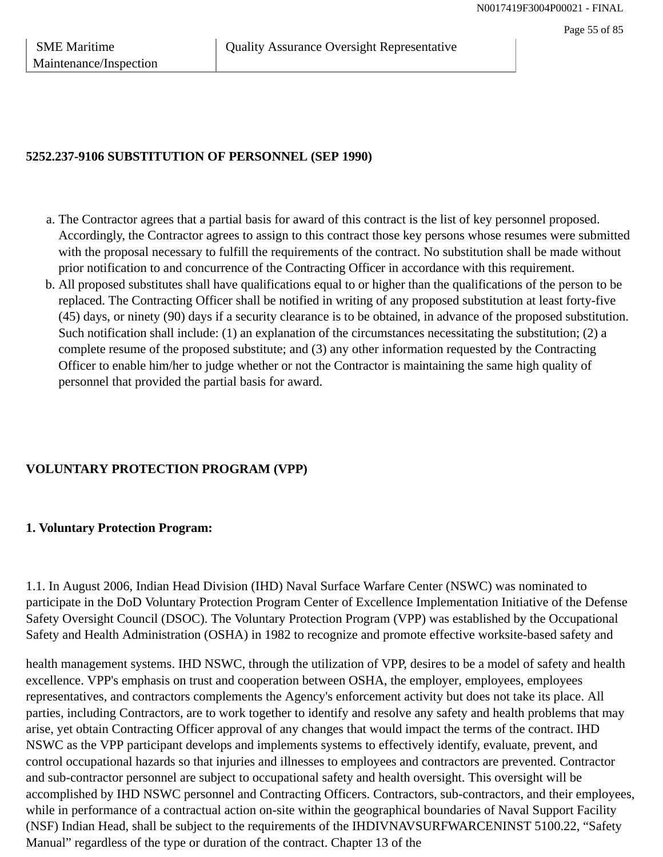## **5252.237-9106 SUBSTITUTION OF PERSONNEL (SEP 1990)**

- a. The Contractor agrees that a partial basis for award of this contract is the list of key personnel proposed. Accordingly, the Contractor agrees to assign to this contract those key persons whose resumes were submitted with the proposal necessary to fulfill the requirements of the contract. No substitution shall be made without prior notification to and concurrence of the Contracting Officer in accordance with this requirement.
- All proposed substitutes shall have qualifications equal to or higher than the qualifications of the person to be b. replaced. The Contracting Officer shall be notified in writing of any proposed substitution at least forty-five (45) days, or ninety (90) days if a security clearance is to be obtained, in advance of the proposed substitution. Such notification shall include: (1) an explanation of the circumstances necessitating the substitution; (2) a complete resume of the proposed substitute; and (3) any other information requested by the Contracting Officer to enable him/her to judge whether or not the Contractor is maintaining the same high quality of personnel that provided the partial basis for award.

# **VOLUNTARY PROTECTION PROGRAM (VPP)**

## **1. Voluntary Protection Program:**

1.1. In August 2006, Indian Head Division (IHD) Naval Surface Warfare Center (NSWC) was nominated to participate in the DoD Voluntary Protection Program Center of Excellence Implementation Initiative of the Defense Safety Oversight Council (DSOC). The Voluntary Protection Program (VPP) was established by the Occupational Safety and Health Administration (OSHA) in 1982 to recognize and promote effective worksite-based safety and

health management systems. IHD NSWC, through the utilization of VPP, desires to be a model of safety and health excellence. VPP's emphasis on trust and cooperation between OSHA, the employer, employees, employees representatives, and contractors complements the Agency's enforcement activity but does not take its place. All parties, including Contractors, are to work together to identify and resolve any safety and health problems that may arise, yet obtain Contracting Officer approval of any changes that would impact the terms of the contract. IHD NSWC as the VPP participant develops and implements systems to effectively identify, evaluate, prevent, and control occupational hazards so that injuries and illnesses to employees and contractors are prevented. Contractor and sub-contractor personnel are subject to occupational safety and health oversight. This oversight will be accomplished by IHD NSWC personnel and Contracting Officers. Contractors, sub-contractors, and their employees, while in performance of a contractual action on-site within the geographical boundaries of Naval Support Facility (NSF) Indian Head, shall be subject to the requirements of the IHDIVNAVSURFWARCENINST 5100.22, "Safety Manual" regardless of the type or duration of the contract. Chapter 13 of the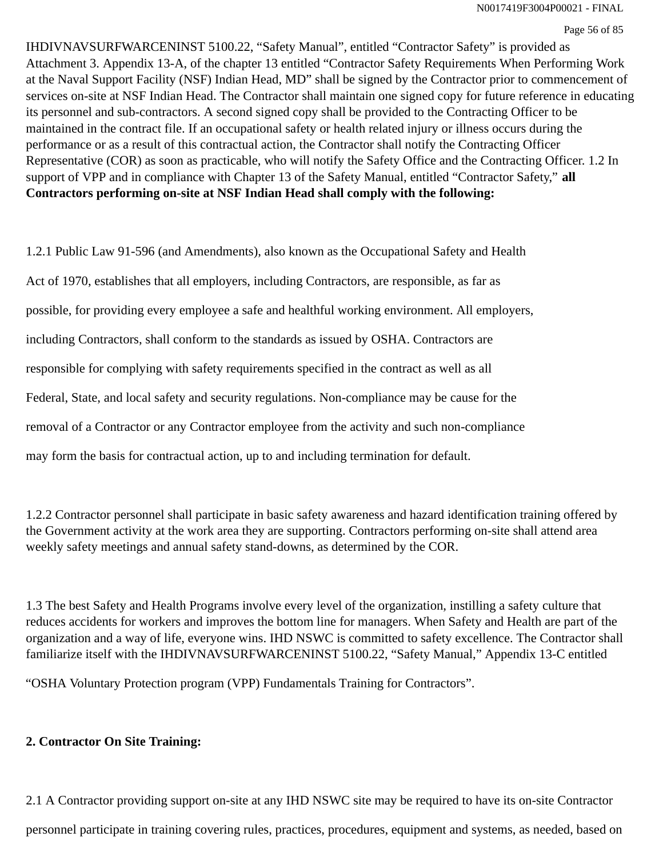IHDIVNAVSURFWARCENINST 5100.22, "Safety Manual", entitled "Contractor Safety" is provided as Attachment 3. Appendix 13-A, of the chapter 13 entitled "Contractor Safety Requirements When Performing Work at the Naval Support Facility (NSF) Indian Head, MD" shall be signed by the Contractor prior to commencement of services on-site at NSF Indian Head. The Contractor shall maintain one signed copy for future reference in educating its personnel and sub-contractors. A second signed copy shall be provided to the Contracting Officer to be maintained in the contract file. If an occupational safety or health related injury or illness occurs during the performance or as a result of this contractual action, the Contractor shall notify the Contracting Officer Representative (COR) as soon as practicable, who will notify the Safety Office and the Contracting Officer. 1.2 In support of VPP and in compliance with Chapter 13 of the Safety Manual, entitled "Contractor Safety," **all Contractors performing on-site at NSF Indian Head shall comply with the following:**

1.2.1 Public Law 91-596 (and Amendments), also known as the Occupational Safety and Health Act of 1970, establishes that all employers, including Contractors, are responsible, as far as possible, for providing every employee a safe and healthful working environment. All employers, including Contractors, shall conform to the standards as issued by OSHA. Contractors are responsible for complying with safety requirements specified in the contract as well as all Federal, State, and local safety and security regulations. Non-compliance may be cause for the removal of a Contractor or any Contractor employee from the activity and such non-compliance may form the basis for contractual action, up to and including termination for default.

1.2.2 Contractor personnel shall participate in basic safety awareness and hazard identification training offered by the Government activity at the work area they are supporting. Contractors performing on-site shall attend area weekly safety meetings and annual safety stand-downs, as determined by the COR.

1.3 The best Safety and Health Programs involve every level of the organization, instilling a safety culture that reduces accidents for workers and improves the bottom line for managers. When Safety and Health are part of the organization and a way of life, everyone wins. IHD NSWC is committed to safety excellence. The Contractor shall familiarize itself with the IHDIVNAVSURFWARCENINST 5100.22, "Safety Manual," Appendix 13-C entitled

"OSHA Voluntary Protection program (VPP) Fundamentals Training for Contractors".

#### **2. Contractor On Site Training:**

2.1 A Contractor providing support on-site at any IHD NSWC site may be required to have its on-site Contractor personnel participate in training covering rules, practices, procedures, equipment and systems, as needed, based on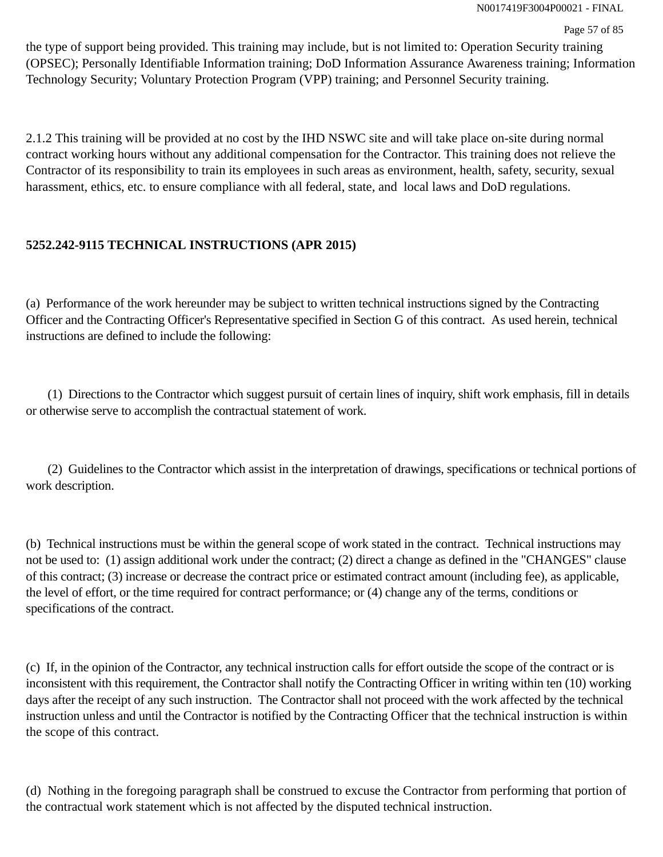the type of support being provided. This training may include, but is not limited to: Operation Security training (OPSEC); Personally Identifiable Information training; DoD Information Assurance Awareness training; Information Technology Security; Voluntary Protection Program (VPP) training; and Personnel Security training.

2.1.2 This training will be provided at no cost by the IHD NSWC site and will take place on-site during normal contract working hours without any additional compensation for the Contractor. This training does not relieve the Contractor of its responsibility to train its employees in such areas as environment, health, safety, security, sexual harassment, ethics, etc. to ensure compliance with all federal, state, and local laws and DoD regulations.

#### **5252.242-9115 TECHNICAL INSTRUCTIONS (APR 2015)**

(a) Performance of the work hereunder may be subject to written technical instructions signed by the Contracting Officer and the Contracting Officer's Representative specified in Section G of this contract. As used herein, technical instructions are defined to include the following:

 (1) Directions to the Contractor which suggest pursuit of certain lines of inquiry, shift work emphasis, fill in details or otherwise serve to accomplish the contractual statement of work.

 (2) Guidelines to the Contractor which assist in the interpretation of drawings, specifications or technical portions of work description.

(b) Technical instructions must be within the general scope of work stated in the contract. Technical instructions may not be used to: (1) assign additional work under the contract; (2) direct a change as defined in the "CHANGES" clause of this contract; (3) increase or decrease the contract price or estimated contract amount (including fee), as applicable, the level of effort, or the time required for contract performance; or (4) change any of the terms, conditions or specifications of the contract.

(c) If, in the opinion of the Contractor, any technical instruction calls for effort outside the scope of the contract or is inconsistent with this requirement, the Contractor shall notify the Contracting Officer in writing within ten (10) working days after the receipt of any such instruction. The Contractor shall not proceed with the work affected by the technical instruction unless and until the Contractor is notified by the Contracting Officer that the technical instruction is within the scope of this contract.

(d) Nothing in the foregoing paragraph shall be construed to excuse the Contractor from performing that portion of the contractual work statement which is not affected by the disputed technical instruction.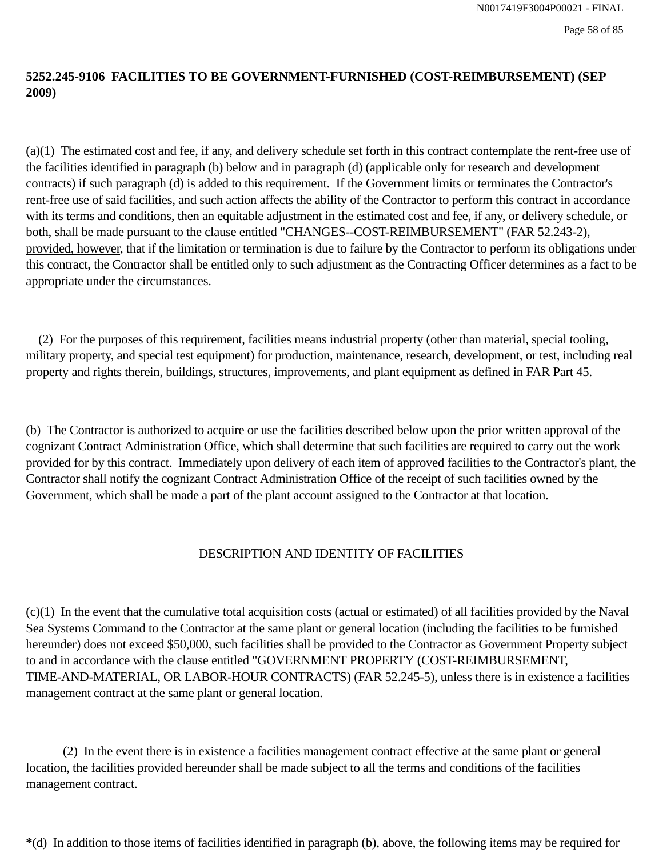Page 58 of 85

# **5252.245-9106 FACILITIES TO BE GOVERNMENT-FURNISHED (COST-REIMBURSEMENT) (SEP 2009)**

(a)(1) The estimated cost and fee, if any, and delivery schedule set forth in this contract contemplate the rent-free use of the facilities identified in paragraph (b) below and in paragraph (d) (applicable only for research and development contracts) if such paragraph (d) is added to this requirement. If the Government limits or terminates the Contractor's rent-free use of said facilities, and such action affects the ability of the Contractor to perform this contract in accordance with its terms and conditions, then an equitable adjustment in the estimated cost and fee, if any, or delivery schedule, or both, shall be made pursuant to the clause entitled "CHANGES--COST-REIMBURSEMENT" (FAR 52.243-2), provided, however, that if the limitation or termination is due to failure by the Contractor to perform its obligations under this contract, the Contractor shall be entitled only to such adjustment as the Contracting Officer determines as a fact to be appropriate under the circumstances.

 (2) For the purposes of this requirement, facilities means industrial property (other than material, special tooling, military property, and special test equipment) for production, maintenance, research, development, or test, including real property and rights therein, buildings, structures, improvements, and plant equipment as defined in FAR Part 45.

(b) The Contractor is authorized to acquire or use the facilities described below upon the prior written approval of the cognizant Contract Administration Office, which shall determine that such facilities are required to carry out the work provided for by this contract. Immediately upon delivery of each item of approved facilities to the Contractor's plant, the Contractor shall notify the cognizant Contract Administration Office of the receipt of such facilities owned by the Government, which shall be made a part of the plant account assigned to the Contractor at that location.

# DESCRIPTION AND IDENTITY OF FACILITIES

(c)(1) In the event that the cumulative total acquisition costs (actual or estimated) of all facilities provided by the Naval Sea Systems Command to the Contractor at the same plant or general location (including the facilities to be furnished hereunder) does not exceed \$50,000, such facilities shall be provided to the Contractor as Government Property subject to and in accordance with the clause entitled "GOVERNMENT PROPERTY (COST-REIMBURSEMENT, TIME-AND-MATERIAL, OR LABOR-HOUR CONTRACTS) (FAR 52.245-5), unless there is in existence a facilities management contract at the same plant or general location.

 (2) In the event there is in existence a facilities management contract effective at the same plant or general location, the facilities provided hereunder shall be made subject to all the terms and conditions of the facilities management contract.

**\***(d) In addition to those items of facilities identified in paragraph (b), above, the following items may be required for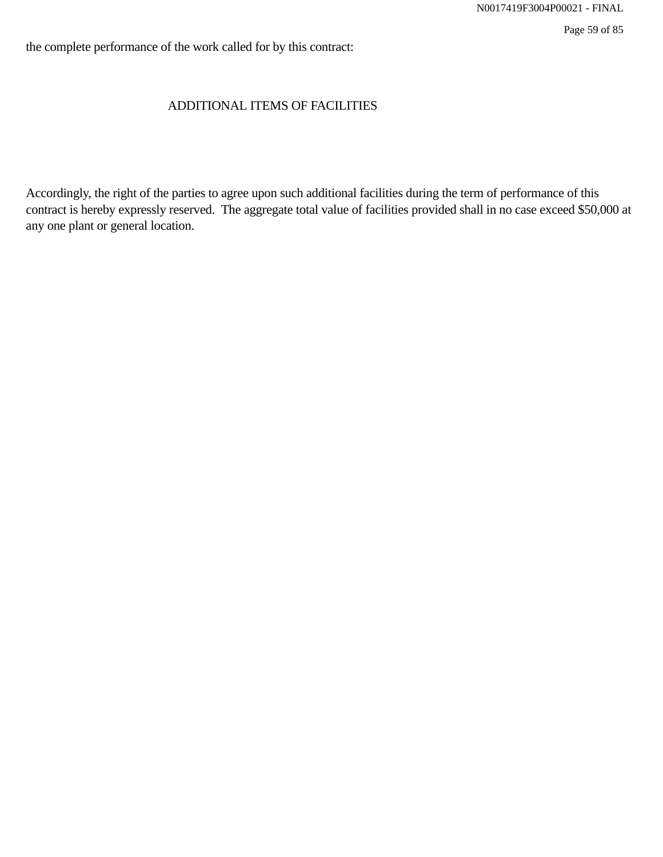Page 59 of 85

the complete performance of the work called for by this contract:

# ADDITIONAL ITEMS OF FACILITIES

Accordingly, the right of the parties to agree upon such additional facilities during the term of performance of this contract is hereby expressly reserved. The aggregate total value of facilities provided shall in no case exceed \$50,000 at any one plant or general location.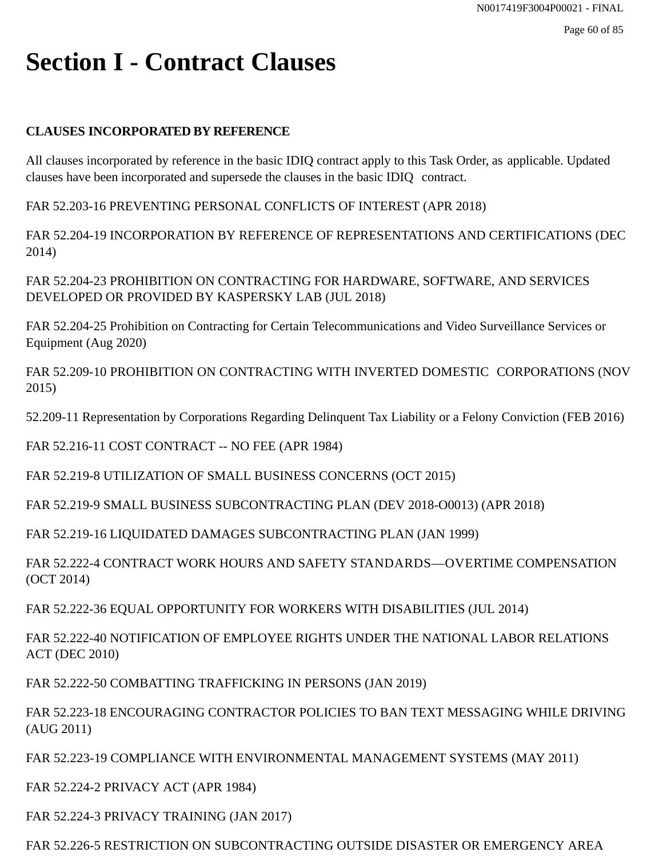# **Section I - Contract Clauses**

#### **CLAUSES INCORPORATED BY REFERENCE**

All clauses incorporated by reference in the basic IDIQ contract apply to this Task Order, as applicable. Updated clauses have been incorporated and supersede the clauses in the basic IDIQ contract.

FAR 52.203-16 PREVENTING PERSONAL CONFLICTS OF INTEREST (APR 2018)

FAR 52.204-19 INCORPORATION BY REFERENCE OF REPRESENTATIONS AND CERTIFICATIONS (DEC 2014)

FAR 52.204-23 PROHIBITION ON CONTRACTING FOR HARDWARE, SOFTWARE, AND SERVICES DEVELOPED OR PROVIDED BY KASPERSKY LAB (JUL 2018)

FAR 52.204-25 Prohibition on Contracting for Certain Telecommunications and Video Surveillance Services or Equipment (Aug 2020)

FAR 52.209-10 PROHIBITION ON CONTRACTING WITH INVERTED DOMESTIC CORPORATIONS (NOV 2015)

52.209-11 Representation by Corporations Regarding Delinquent Tax Liability or a Felony Conviction (FEB 2016)

FAR 52.216-11 COST CONTRACT -- NO FEE (APR 1984)

FAR 52.219-8 UTILIZATION OF SMALL BUSINESS CONCERNS (OCT 2015)

FAR 52.219-9 SMALL BUSINESS SUBCONTRACTING PLAN (DEV 2018-O0013) (APR 2018)

FAR 52.219-16 LIQUIDATED DAMAGES SUBCONTRACTING PLAN (JAN 1999)

FAR 52.222-4 CONTRACT WORK HOURS AND SAFETY STANDARDS—OVERTIME COMPENSATION (OCT 2014)

FAR 52.222-36 EQUAL OPPORTUNITY FOR WORKERS WITH DISABILITIES (JUL 2014)

FAR 52.222-40 NOTIFICATION OF EMPLOYEE RIGHTS UNDER THE NATIONAL LABOR RELATIONS ACT (DEC 2010)

FAR 52.222-50 COMBATTING TRAFFICKING IN PERSONS (JAN 2019)

FAR 52.223-18 ENCOURAGING CONTRACTOR POLICIES TO BAN TEXT MESSAGING WHILE DRIVING (AUG 2011)

FAR 52.223-19 COMPLIANCE WITH ENVIRONMENTAL MANAGEMENT SYSTEMS (MAY 2011)

FAR 52.224-2 PRIVACY ACT (APR 1984)

FAR 52.224-3 PRIVACY TRAINING (JAN 2017)

FAR 52.226-5 RESTRICTION ON SUBCONTRACTING OUTSIDE DISASTER OR EMERGENCY AREA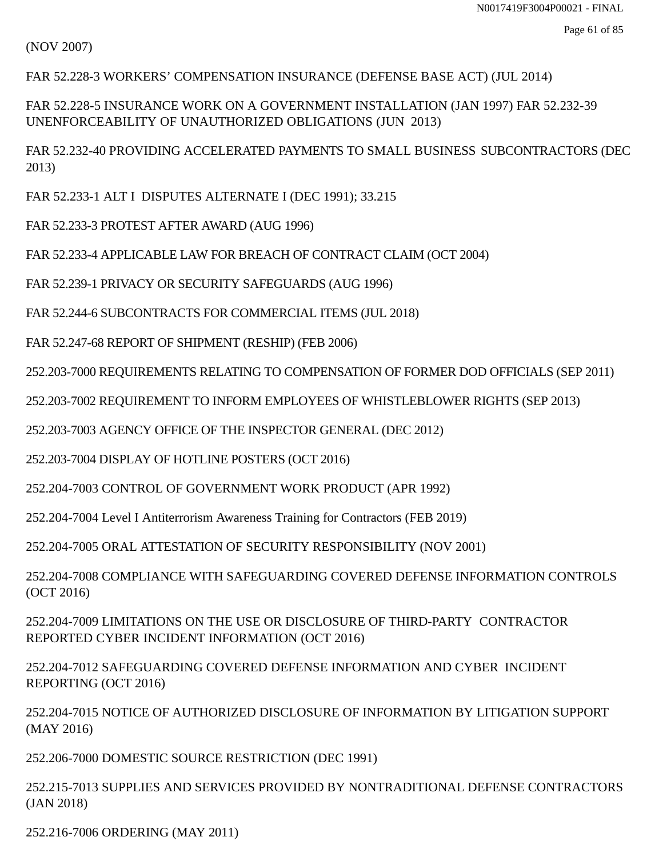(NOV 2007)

FAR 52.228-3 WORKERS' COMPENSATION INSURANCE (DEFENSE BASE ACT) (JUL 2014)

FAR 52.228-5 INSURANCE WORK ON A GOVERNMENT INSTALLATION (JAN 1997) FAR 52.232-39 UNENFORCEABILITY OF UNAUTHORIZED OBLIGATIONS (JUN 2013)

FAR 52.232-40 PROVIDING ACCELERATED PAYMENTS TO SMALL BUSINESS SUBCONTRACTORS (DEC 2013)

FAR 52.233-1 ALT I DISPUTES ALTERNATE I (DEC 1991); 33.215

FAR 52.233-3 PROTEST AFTER AWARD (AUG 1996)

FAR 52.233-4 APPLICABLE LAW FOR BREACH OF CONTRACT CLAIM (OCT 2004)

FAR 52.239-1 PRIVACY OR SECURITY SAFEGUARDS (AUG 1996)

FAR 52.244-6 SUBCONTRACTS FOR COMMERCIAL ITEMS (JUL 2018)

FAR 52.247-68 REPORT OF SHIPMENT (RESHIP) (FEB 2006)

252.203-7000 REQUIREMENTS RELATING TO COMPENSATION OF FORMER DOD OFFICIALS (SEP 2011)

252.203-7002 REQUIREMENT TO INFORM EMPLOYEES OF WHISTLEBLOWER RIGHTS (SEP 2013)

252.203-7003 AGENCY OFFICE OF THE INSPECTOR GENERAL (DEC 2012)

252.203-7004 DISPLAY OF HOTLINE POSTERS (OCT 2016)

252.204-7003 CONTROL OF GOVERNMENT WORK PRODUCT (APR 1992)

252.204-7004 Level I Antiterrorism Awareness Training for Contractors (FEB 2019)

252.204-7005 ORAL ATTESTATION OF SECURITY RESPONSIBILITY (NOV 2001)

252.204-7008 COMPLIANCE WITH SAFEGUARDING COVERED DEFENSE INFORMATION CONTROLS (OCT 2016)

252.204-7009 LIMITATIONS ON THE USE OR DISCLOSURE OF THIRD-PARTY CONTRACTOR REPORTED CYBER INCIDENT INFORMATION (OCT 2016)

252.204-7012 SAFEGUARDING COVERED DEFENSE INFORMATION AND CYBER INCIDENT REPORTING (OCT 2016)

252.204-7015 NOTICE OF AUTHORIZED DISCLOSURE OF INFORMATION BY LITIGATION SUPPORT (MAY 2016)

252.206-7000 DOMESTIC SOURCE RESTRICTION (DEC 1991)

252.215-7013 SUPPLIES AND SERVICES PROVIDED BY NONTRADITIONAL DEFENSE CONTRACTORS (JAN 2018)

252.216-7006 ORDERING (MAY 2011)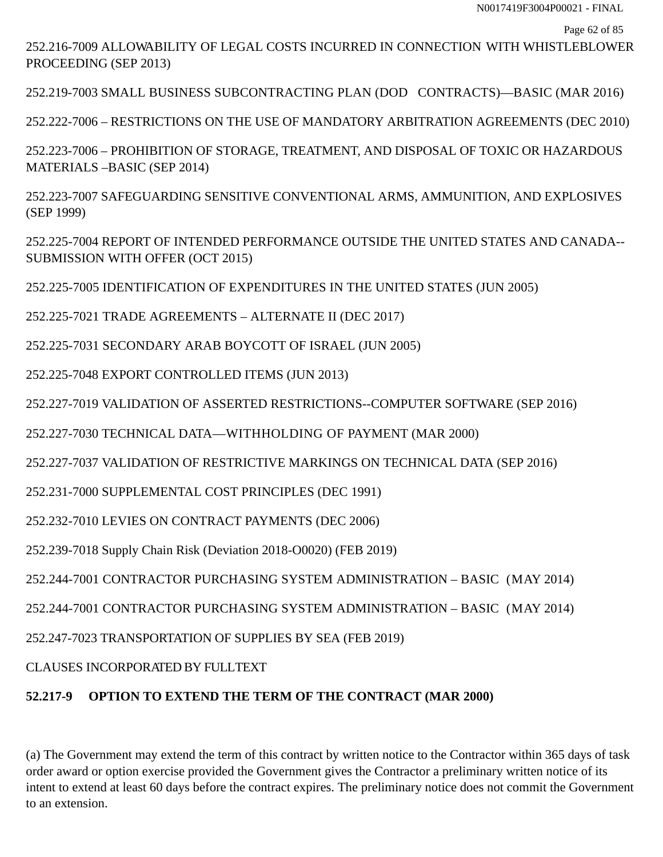252.216-7009 ALLOWABILITY OF LEGAL COSTS INCURRED IN CONNECTION WITH WHISTLEBLOWER PROCEEDING (SEP 2013)

252.219-7003 SMALL BUSINESS SUBCONTRACTING PLAN (DOD CONTRACTS)—BASIC (MAR 2016)

252.222-7006 – RESTRICTIONS ON THE USE OF MANDATORY ARBITRATION AGREEMENTS (DEC 2010)

252.223-7006 – PROHIBITION OF STORAGE, TREATMENT, AND DISPOSAL OF TOXIC OR HAZARDOUS MATERIALS –BASIC (SEP 2014)

252.223-7007 SAFEGUARDING SENSITIVE CONVENTIONAL ARMS, AMMUNITION, AND EXPLOSIVES (SEP 1999)

252.225-7004 REPORT OF INTENDED PERFORMANCE OUTSIDE THE UNITED STATES AND CANADA-- SUBMISSION WITH OFFER (OCT 2015)

252.225-7005 IDENTIFICATION OF EXPENDITURES IN THE UNITED STATES (JUN 2005)

252.225-7021 TRADE AGREEMENTS – ALTERNATE II (DEC 2017)

252.225-7031 SECONDARY ARAB BOYCOTT OF ISRAEL (JUN 2005)

252.225-7048 EXPORT CONTROLLED ITEMS (JUN 2013)

252.227-7019 VALIDATION OF ASSERTED RESTRICTIONS--COMPUTER SOFTWARE (SEP 2016)

252.227-7030 TECHNICAL DATA—WITHHOLDING OF PAYMENT (MAR 2000)

252.227-7037 VALIDATION OF RESTRICTIVE MARKINGS ON TECHNICAL DATA (SEP 2016)

252.231-7000 SUPPLEMENTAL COST PRINCIPLES (DEC 1991)

252.232-7010 LEVIES ON CONTRACT PAYMENTS (DEC 2006)

252.239-7018 Supply Chain Risk (Deviation 2018-O0020) (FEB 2019)

252.244-7001 CONTRACTOR PURCHASING SYSTEM ADMINISTRATION – BASIC (MAY 2014)

252.244-7001 CONTRACTOR PURCHASING SYSTEM ADMINISTRATION – BASIC (MAY 2014)

252.247-7023 TRANSPORTATION OF SUPPLIES BY SEA (FEB 2019)

CLAUSES INCORPORATED BY FULLTEXT

## **52.217-9 OPTION TO EXTEND THE TERM OF THE CONTRACT (MAR 2000)**

(a) The Government may extend the term of this contract by written notice to the Contractor within 365 days of task order award or option exercise provided the Government gives the Contractor a preliminary written notice of its intent to extend at least 60 days before the contract expires. The preliminary notice does not commit the Government to an extension.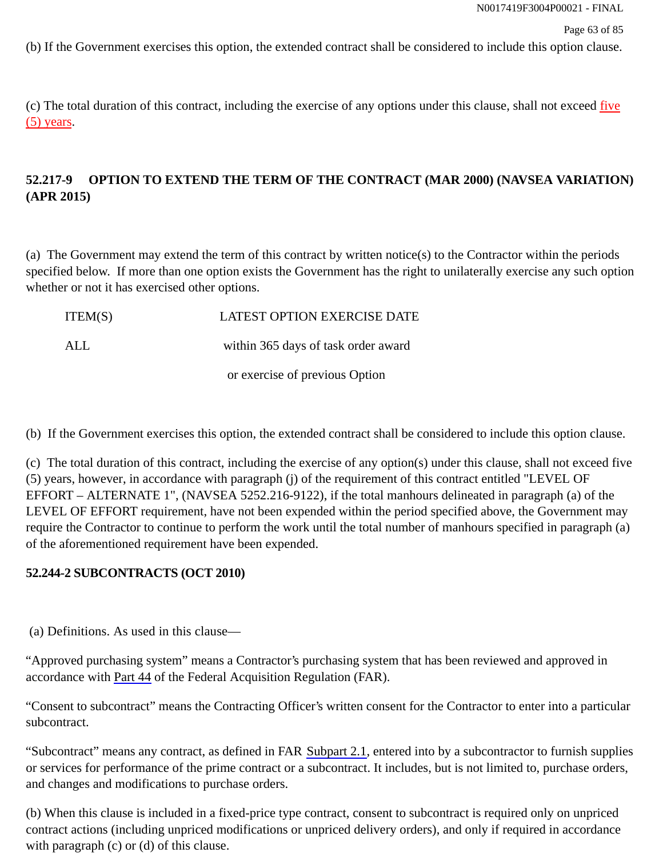(b) If the Government exercises this option, the extended contract shall be considered to include this option clause.

(c) The total duration of this contract, including the exercise of any options under this clause, shall not exceed five (5) years.

## **52.217-9 OPTION TO EXTEND THE TERM OF THE CONTRACT (MAR 2000) (NAVSEA VARIATION) (APR 2015)**

(a) The Government may extend the term of this contract by written notice(s) to the Contractor within the periods specified below. If more than one option exists the Government has the right to unilaterally exercise any such option whether or not it has exercised other options.

| ITEM(S) | LATEST OPTION EXERCISE DATE         |
|---------|-------------------------------------|
| ALL.    | within 365 days of task order award |
|         | or exercise of previous Option      |

(b) If the Government exercises this option, the extended contract shall be considered to include this option clause.

(c) The total duration of this contract, including the exercise of any option(s) under this clause, shall not exceed five (5) years, however, in accordance with paragraph (j) of the requirement of this contract entitled "LEVEL OF EFFORT – ALTERNATE 1", (NAVSEA 5252.216-9122), if the total manhours delineated in paragraph (a) of the LEVEL OF EFFORT requirement, have not been expended within the period specified above, the Government may require the Contractor to continue to perform the work until the total number of manhours specified in paragraph (a) of the aforementioned requirement have been expended.

#### **52.244-2 SUBCONTRACTS (OCT 2010)**

(a) Definitions. As used in this clause—

"Approved purchasing system" means a Contractor's purchasing system that has been reviewed and approved in accordance with Part 44 of the Federal Acquisition Regulation (FAR).

"Consent to subcontract" means the Contracting Officer's written consent for the Contractor to enter into a particular subcontract.

"Subcontract" means any contract, as defined in FAR Subpart 2.1, entered into by a subcontractor to furnish supplies or services for performance of the prime contract or a subcontract. It includes, but is not limited to, purchase orders, and changes and modifications to purchase orders.

(b) When this clause is included in a fixed-price type contract, consent to subcontract is required only on unpriced contract actions (including unpriced modifications or unpriced delivery orders), and only if required in accordance with paragraph (c) or (d) of this clause.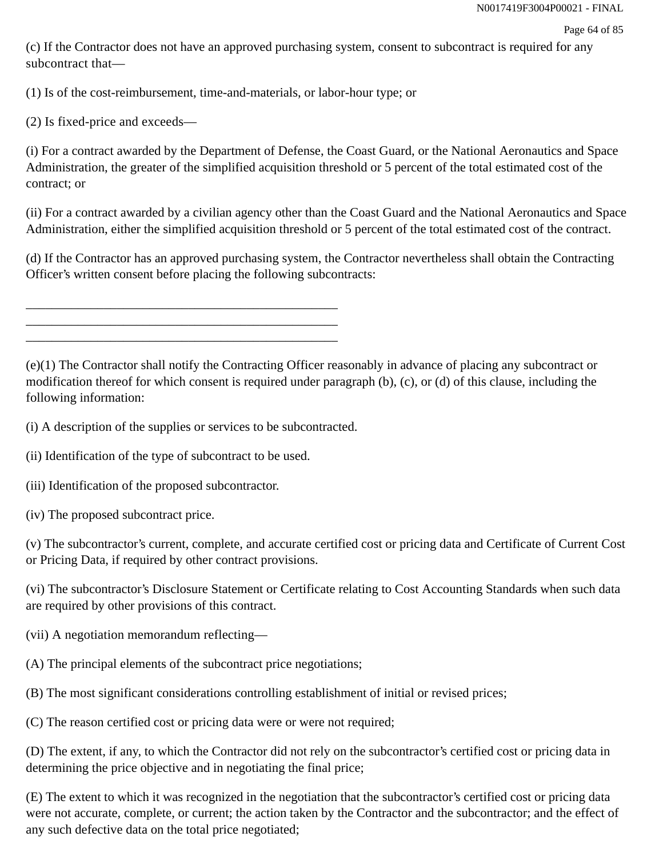(c) If the Contractor does not have an approved purchasing system, consent to subcontract is required for any subcontract that—

(1) Is of the cost-reimbursement, time-and-materials, or labor-hour type; or

(2) Is fixed-price and exceeds—

(i) For a contract awarded by the Department of Defense, the Coast Guard, or the National Aeronautics and Space Administration, the greater of the simplified acquisition threshold or 5 percent of the total estimated cost of the contract; or

(ii) For a contract awarded by a civilian agency other than the Coast Guard and the National Aeronautics and Space Administration, either the simplified acquisition threshold or 5 percent of the total estimated cost of the contract.

(d) If the Contractor has an approved purchasing system, the Contractor nevertheless shall obtain the Contracting Officer's written consent before placing the following subcontracts:

(e)(1) The Contractor shall notify the Contracting Officer reasonably in advance of placing any subcontract or modification thereof for which consent is required under paragraph (b), (c), or (d) of this clause, including the following information:

(i) A description of the supplies or services to be subcontracted.

\_\_\_\_\_\_\_\_\_\_\_\_\_\_\_\_\_\_\_\_\_\_\_\_\_\_\_\_\_\_\_\_\_\_\_\_\_\_\_\_\_\_\_\_\_\_\_\_ \_\_\_\_\_\_\_\_\_\_\_\_\_\_\_\_\_\_\_\_\_\_\_\_\_\_\_\_\_\_\_\_\_\_\_\_\_\_\_\_\_\_\_\_\_\_\_\_ \_\_\_\_\_\_\_\_\_\_\_\_\_\_\_\_\_\_\_\_\_\_\_\_\_\_\_\_\_\_\_\_\_\_\_\_\_\_\_\_\_\_\_\_\_\_\_\_

(ii) Identification of the type of subcontract to be used.

(iii) Identification of the proposed subcontractor.

(iv) The proposed subcontract price.

(v) The subcontractor's current, complete, and accurate certified cost or pricing data and Certificate of Current Cost or Pricing Data, if required by other contract provisions.

(vi) The subcontractor's Disclosure Statement or Certificate relating to Cost Accounting Standards when such data are required by other provisions of this contract.

(vii) A negotiation memorandum reflecting—

(A) The principal elements of the subcontract price negotiations;

(B) The most significant considerations controlling establishment of initial or revised prices;

(C) The reason certified cost or pricing data were or were not required;

(D) The extent, if any, to which the Contractor did not rely on the subcontractor's certified cost or pricing data in determining the price objective and in negotiating the final price;

(E) The extent to which it was recognized in the negotiation that the subcontractor's certified cost or pricing data were not accurate, complete, or current; the action taken by the Contractor and the subcontractor; and the effect of any such defective data on the total price negotiated;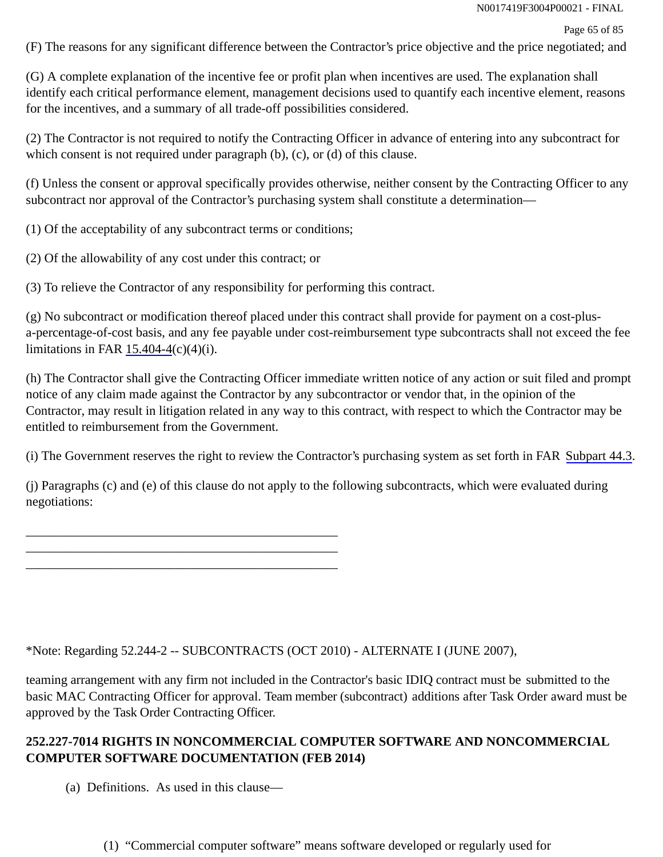(F) The reasons for any significant difference between the Contractor's price objective and the price negotiated; and

(G) A complete explanation of the incentive fee or profit plan when incentives are used. The explanation shall identify each critical performance element, management decisions used to quantify each incentive element, reasons for the incentives, and a summary of all trade-off possibilities considered.

(2) The Contractor is not required to notify the Contracting Officer in advance of entering into any subcontract for which consent is not required under paragraph (b), (c), or (d) of this clause.

(f) Unless the consent or approval specifically provides otherwise, neither consent by the Contracting Officer to any subcontract nor approval of the Contractor's purchasing system shall constitute a determination—

(1) Of the acceptability of any subcontract terms or conditions;

(2) Of the allowability of any cost under this contract; or

(3) To relieve the Contractor of any responsibility for performing this contract.

(g) No subcontract or modification thereof placed under this contract shall provide for payment on a cost-plusa-percentage-of-cost basis, and any fee payable under cost-reimbursement type subcontracts shall not exceed the fee limitations in FAR 15.404-4(c)(4)(i).

(h) The Contractor shall give the Contracting Officer immediate written notice of any action or suit filed and prompt notice of any claim made against the Contractor by any subcontractor or vendor that, in the opinion of the Contractor, may result in litigation related in any way to this contract, with respect to which the Contractor may be entitled to reimbursement from the Government.

(i) The Government reserves the right to review the Contractor's purchasing system as set forth in FAR Subpart 44.3.

(j) Paragraphs (c) and (e) of this clause do not apply to the following subcontracts, which were evaluated during negotiations:

\*Note: Regarding 52.244-2 -- SUBCONTRACTS (OCT 2010) - ALTERNATE I (JUNE 2007),

teaming arrangement with any firm not included in the Contractor's basic IDIQ contract must be submitted to the basic MAC Contracting Officer for approval. Team member (subcontract) additions after Task Order award must be approved by the Task Order Contracting Officer.

#### **252.227-7014 RIGHTS IN NONCOMMERCIAL COMPUTER SOFTWARE AND NONCOMMERCIAL COMPUTER SOFTWARE DOCUMENTATION (FEB 2014)**

(a) Definitions. As used in this clause—

\_\_\_\_\_\_\_\_\_\_\_\_\_\_\_\_\_\_\_\_\_\_\_\_\_\_\_\_\_\_\_\_\_\_\_\_\_\_\_\_\_\_\_\_\_\_\_\_ \_\_\_\_\_\_\_\_\_\_\_\_\_\_\_\_\_\_\_\_\_\_\_\_\_\_\_\_\_\_\_\_\_\_\_\_\_\_\_\_\_\_\_\_\_\_\_\_ \_\_\_\_\_\_\_\_\_\_\_\_\_\_\_\_\_\_\_\_\_\_\_\_\_\_\_\_\_\_\_\_\_\_\_\_\_\_\_\_\_\_\_\_\_\_\_\_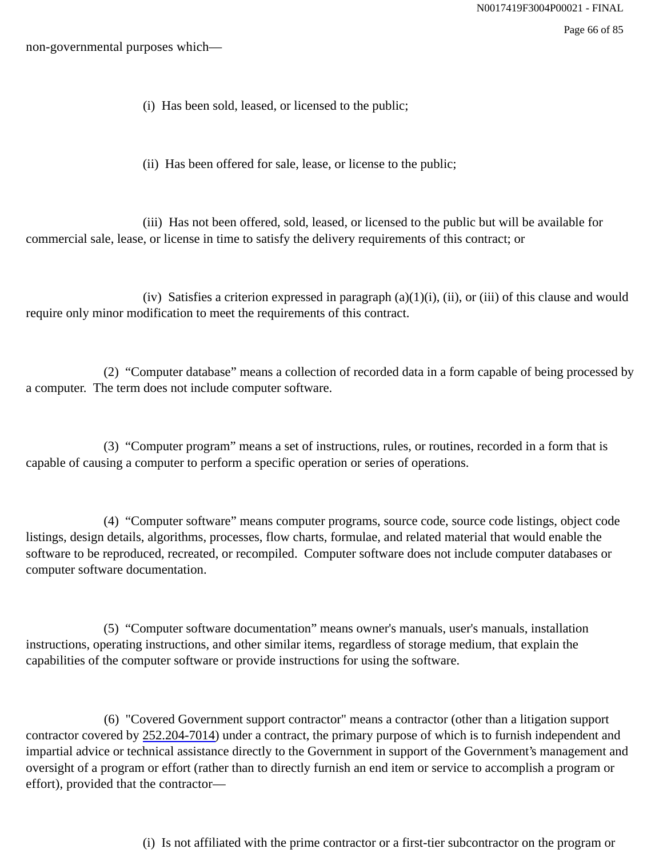Page 66 of 85

non-governmental purposes which—

(i) Has been sold, leased, or licensed to the public;

(ii) Has been offered for sale, lease, or license to the public;

 (iii) Has not been offered, sold, leased, or licensed to the public but will be available for commercial sale, lease, or license in time to satisfy the delivery requirements of this contract; or

(iv) Satisfies a criterion expressed in paragraph  $(a)(1)(i)$ ,  $(ii)$ , or  $(iii)$  of this clause and would require only minor modification to meet the requirements of this contract.

 (2) "Computer database" means a collection of recorded data in a form capable of being processed by a computer. The term does not include computer software.

 (3) "Computer program" means a set of instructions, rules, or routines, recorded in a form that is capable of causing a computer to perform a specific operation or series of operations.

 (4) "Computer software" means computer programs, source code, source code listings, object code listings, design details, algorithms, processes, flow charts, formulae, and related material that would enable the software to be reproduced, recreated, or recompiled. Computer software does not include computer databases or computer software documentation.

 (5) "Computer software documentation" means owner's manuals, user's manuals, installation instructions, operating instructions, and other similar items, regardless of storage medium, that explain the capabilities of the computer software or provide instructions for using the software.

 (6) "Covered Government support contractor" means a contractor (other than a litigation support contractor covered by 252.204-7014) under a contract, the primary purpose of which is to furnish independent and impartial advice or technical assistance directly to the Government in support of the Government's management and oversight of a program or effort (rather than to directly furnish an end item or service to accomplish a program or effort), provided that the contractor—

(i) Is not affiliated with the prime contractor or a first-tier subcontractor on the program or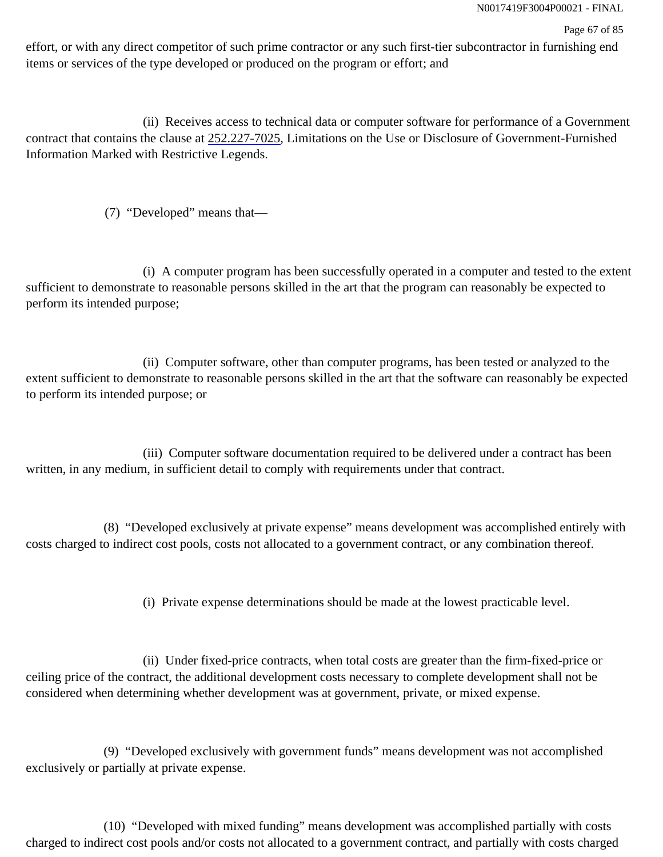effort, or with any direct competitor of such prime contractor or any such first-tier subcontractor in furnishing end items or services of the type developed or produced on the program or effort; and

 (ii) Receives access to technical data or computer software for performance of a Government contract that contains the clause at 252.227-7025, Limitations on the Use or Disclosure of Government-Furnished Information Marked with Restrictive Legends.

(7) "Developed" means that—

 (i) A computer program has been successfully operated in a computer and tested to the extent sufficient to demonstrate to reasonable persons skilled in the art that the program can reasonably be expected to perform its intended purpose;

 (ii) Computer software, other than computer programs, has been tested or analyzed to the extent sufficient to demonstrate to reasonable persons skilled in the art that the software can reasonably be expected to perform its intended purpose; or

 (iii) Computer software documentation required to be delivered under a contract has been written, in any medium, in sufficient detail to comply with requirements under that contract.

 (8) "Developed exclusively at private expense" means development was accomplished entirely with costs charged to indirect cost pools, costs not allocated to a government contract, or any combination thereof.

(i) Private expense determinations should be made at the lowest practicable level.

 (ii) Under fixed-price contracts, when total costs are greater than the firm-fixed-price or ceiling price of the contract, the additional development costs necessary to complete development shall not be considered when determining whether development was at government, private, or mixed expense.

 (9) "Developed exclusively with government funds" means development was not accomplished exclusively or partially at private expense.

 (10) "Developed with mixed funding" means development was accomplished partially with costs charged to indirect cost pools and/or costs not allocated to a government contract, and partially with costs charged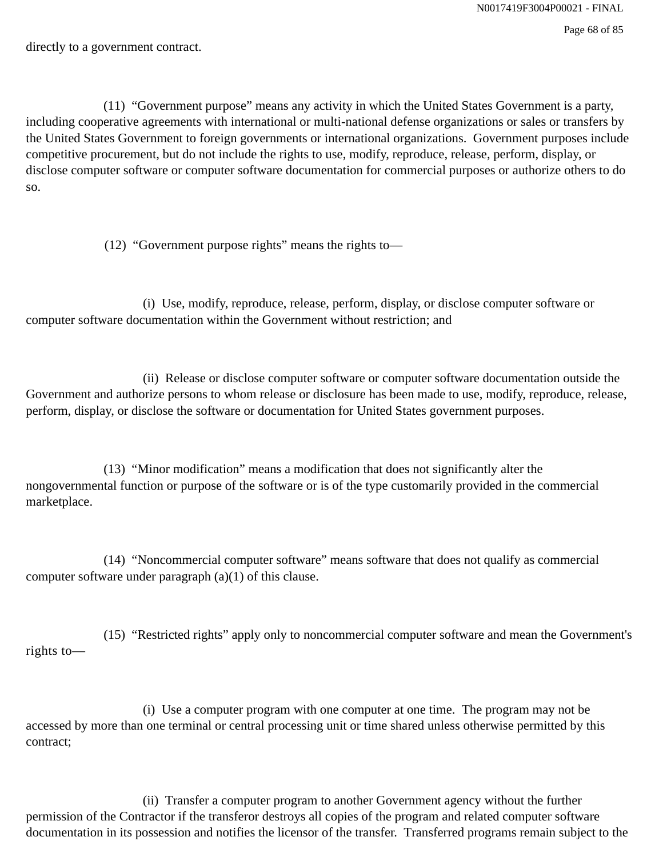directly to a government contract.

 (11) "Government purpose" means any activity in which the United States Government is a party, including cooperative agreements with international or multi-national defense organizations or sales or transfers by the United States Government to foreign governments or international organizations. Government purposes include competitive procurement, but do not include the rights to use, modify, reproduce, release, perform, display, or disclose computer software or computer software documentation for commercial purposes or authorize others to do so.

(12) "Government purpose rights" means the rights to—

 (i) Use, modify, reproduce, release, perform, display, or disclose computer software or computer software documentation within the Government without restriction; and

 (ii) Release or disclose computer software or computer software documentation outside the Government and authorize persons to whom release or disclosure has been made to use, modify, reproduce, release, perform, display, or disclose the software or documentation for United States government purposes.

 (13) "Minor modification" means a modification that does not significantly alter the nongovernmental function or purpose of the software or is of the type customarily provided in the commercial marketplace.

 (14) "Noncommercial computer software" means software that does not qualify as commercial computer software under paragraph (a)(1) of this clause.

 (15) "Restricted rights" apply only to noncommercial computer software and mean the Government's rights to—

 (i) Use a computer program with one computer at one time. The program may not be accessed by more than one terminal or central processing unit or time shared unless otherwise permitted by this contract;

 (ii) Transfer a computer program to another Government agency without the further permission of the Contractor if the transferor destroys all copies of the program and related computer software documentation in its possession and notifies the licensor of the transfer. Transferred programs remain subject to the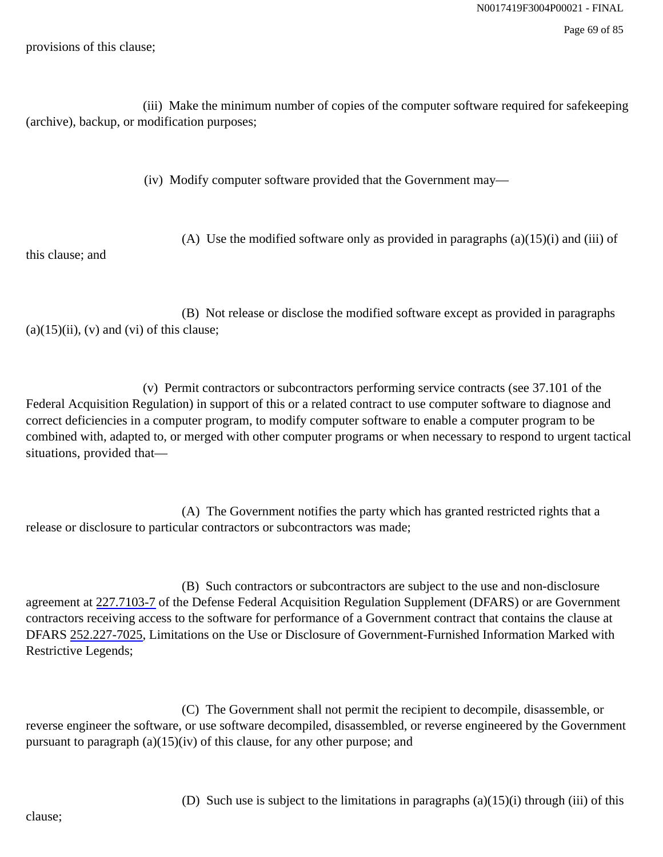Page 69 of 85

provisions of this clause;

 (iii) Make the minimum number of copies of the computer software required for safekeeping (archive), backup, or modification purposes;

(iv) Modify computer software provided that the Government may—

(A) Use the modified software only as provided in paragraphs  $(a)(15)(i)$  and (iii) of

this clause; and

 (B) Not release or disclose the modified software except as provided in paragraphs  $(a)(15)(ii)$ ,  $(v)$  and  $(vi)$  of this clause;

 (v) Permit contractors or subcontractors performing service contracts (see 37.101 of the Federal Acquisition Regulation) in support of this or a related contract to use computer software to diagnose and correct deficiencies in a computer program, to modify computer software to enable a computer program to be combined with, adapted to, or merged with other computer programs or when necessary to respond to urgent tactical situations, provided that—

 (A) The Government notifies the party which has granted restricted rights that a release or disclosure to particular contractors or subcontractors was made;

 (B) Such contractors or subcontractors are subject to the use and non-disclosure agreement at 227.7103-7 of the Defense Federal Acquisition Regulation Supplement (DFARS) or are Government contractors receiving access to the software for performance of a Government contract that contains the clause at DFARS 252.227-7025, Limitations on the Use or Disclosure of Government-Furnished Information Marked with Restrictive Legends;

 (C) The Government shall not permit the recipient to decompile, disassemble, or reverse engineer the software, or use software decompiled, disassembled, or reverse engineered by the Government pursuant to paragraph (a)(15)(iv) of this clause, for any other purpose; and

clause;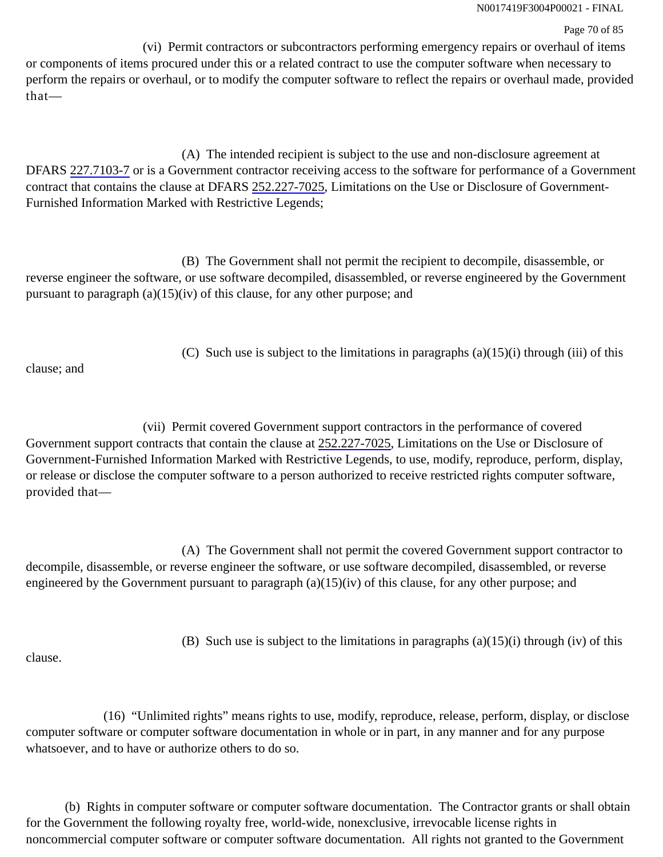(vi) Permit contractors or subcontractors performing emergency repairs or overhaul of items or components of items procured under this or a related contract to use the computer software when necessary to perform the repairs or overhaul, or to modify the computer software to reflect the repairs or overhaul made, provided that—

 (A) The intended recipient is subject to the use and non-disclosure agreement at DFARS 227.7103-7 or is a Government contractor receiving access to the software for performance of a Government contract that contains the clause at DFARS 252.227-7025, Limitations on the Use or Disclosure of Government-Furnished Information Marked with Restrictive Legends;

 (B) The Government shall not permit the recipient to decompile, disassemble, or reverse engineer the software, or use software decompiled, disassembled, or reverse engineered by the Government pursuant to paragraph  $(a)(15)(iv)$  of this clause, for any other purpose; and

(C) Such use is subject to the limitations in paragraphs  $(a)(15)(i)$  through (iii) of this

clause; and

 (vii) Permit covered Government support contractors in the performance of covered Government support contracts that contain the clause at 252.227-7025, Limitations on the Use or Disclosure of Government-Furnished Information Marked with Restrictive Legends, to use, modify, reproduce, perform, display, or release or disclose the computer software to a person authorized to receive restricted rights computer software, provided that—

 (A) The Government shall not permit the covered Government support contractor to decompile, disassemble, or reverse engineer the software, or use software decompiled, disassembled, or reverse engineered by the Government pursuant to paragraph (a)(15)(iv) of this clause, for any other purpose; and

(B) Such use is subject to the limitations in paragraphs  $(a)(15)(i)$  through  $(iv)$  of this

clause.

 (16) "Unlimited rights" means rights to use, modify, reproduce, release, perform, display, or disclose computer software or computer software documentation in whole or in part, in any manner and for any purpose whatsoever, and to have or authorize others to do so.

 (b) Rights in computer software or computer software documentation. The Contractor grants or shall obtain for the Government the following royalty free, world-wide, nonexclusive, irrevocable license rights in noncommercial computer software or computer software documentation. All rights not granted to the Government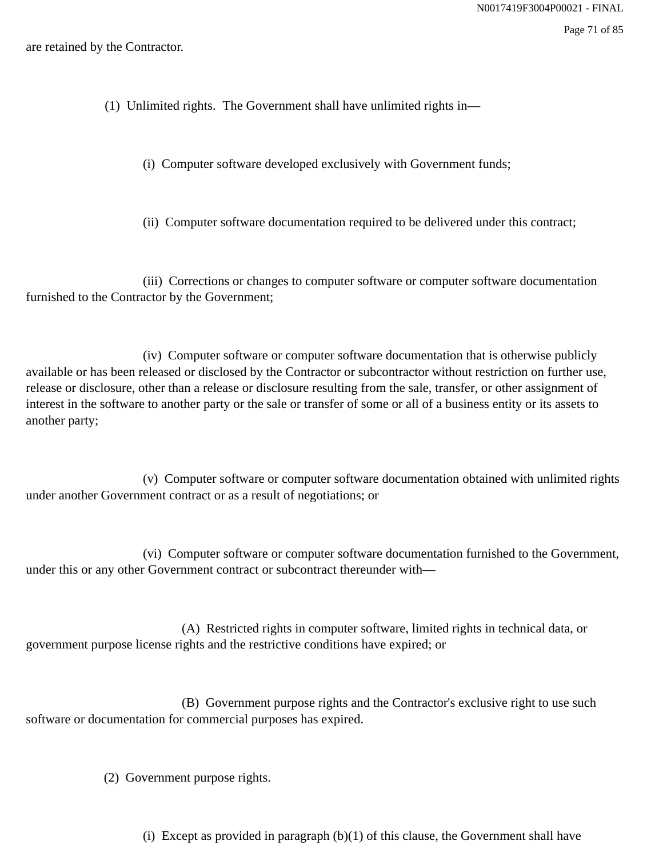are retained by the Contractor.

(1) Unlimited rights. The Government shall have unlimited rights in—

(i) Computer software developed exclusively with Government funds;

(ii) Computer software documentation required to be delivered under this contract;

 (iii) Corrections or changes to computer software or computer software documentation furnished to the Contractor by the Government;

 (iv) Computer software or computer software documentation that is otherwise publicly available or has been released or disclosed by the Contractor or subcontractor without restriction on further use, release or disclosure, other than a release or disclosure resulting from the sale, transfer, or other assignment of interest in the software to another party or the sale or transfer of some or all of a business entity or its assets to another party;

 (v) Computer software or computer software documentation obtained with unlimited rights under another Government contract or as a result of negotiations; or

 (vi) Computer software or computer software documentation furnished to the Government, under this or any other Government contract or subcontract thereunder with—

 (A) Restricted rights in computer software, limited rights in technical data, or government purpose license rights and the restrictive conditions have expired; or

 (B) Government purpose rights and the Contractor's exclusive right to use such software or documentation for commercial purposes has expired.

(2) Government purpose rights.

(i) Except as provided in paragraph  $(b)(1)$  of this clause, the Government shall have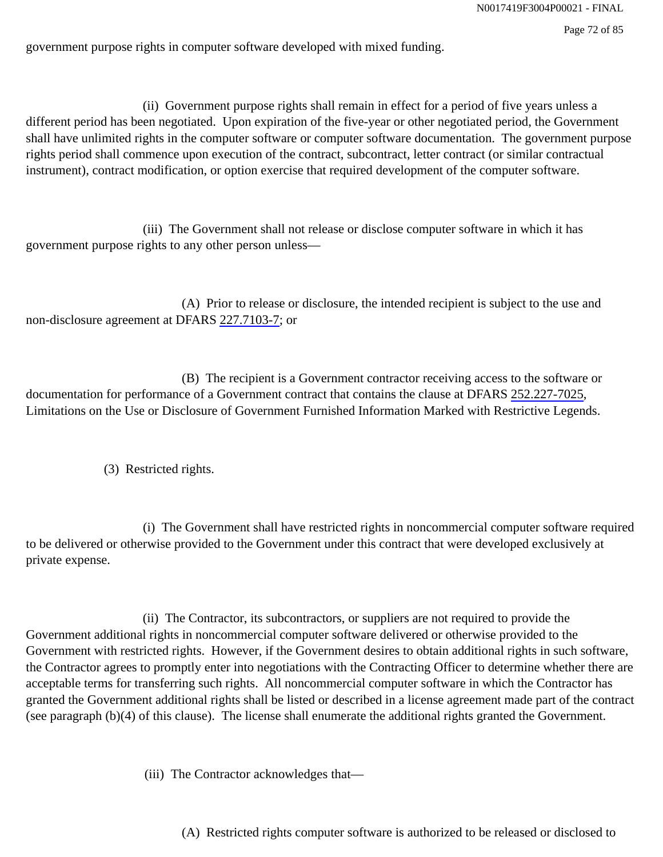government purpose rights in computer software developed with mixed funding.

 (ii) Government purpose rights shall remain in effect for a period of five years unless a different period has been negotiated. Upon expiration of the five-year or other negotiated period, the Government shall have unlimited rights in the computer software or computer software documentation. The government purpose rights period shall commence upon execution of the contract, subcontract, letter contract (or similar contractual instrument), contract modification, or option exercise that required development of the computer software.

 (iii) The Government shall not release or disclose computer software in which it has government purpose rights to any other person unless—

 (A) Prior to release or disclosure, the intended recipient is subject to the use and non-disclosure agreement at DFARS 227.7103-7; or

 (B) The recipient is a Government contractor receiving access to the software or documentation for performance of a Government contract that contains the clause at DFARS 252.227-7025, Limitations on the Use or Disclosure of Government Furnished Information Marked with Restrictive Legends.

(3) Restricted rights.

 (i) The Government shall have restricted rights in noncommercial computer software required to be delivered or otherwise provided to the Government under this contract that were developed exclusively at private expense.

 (ii) The Contractor, its subcontractors, or suppliers are not required to provide the Government additional rights in noncommercial computer software delivered or otherwise provided to the Government with restricted rights. However, if the Government desires to obtain additional rights in such software, the Contractor agrees to promptly enter into negotiations with the Contracting Officer to determine whether there are acceptable terms for transferring such rights. All noncommercial computer software in which the Contractor has granted the Government additional rights shall be listed or described in a license agreement made part of the contract (see paragraph (b)(4) of this clause). The license shall enumerate the additional rights granted the Government.

(iii) The Contractor acknowledges that—

(A) Restricted rights computer software is authorized to be released or disclosed to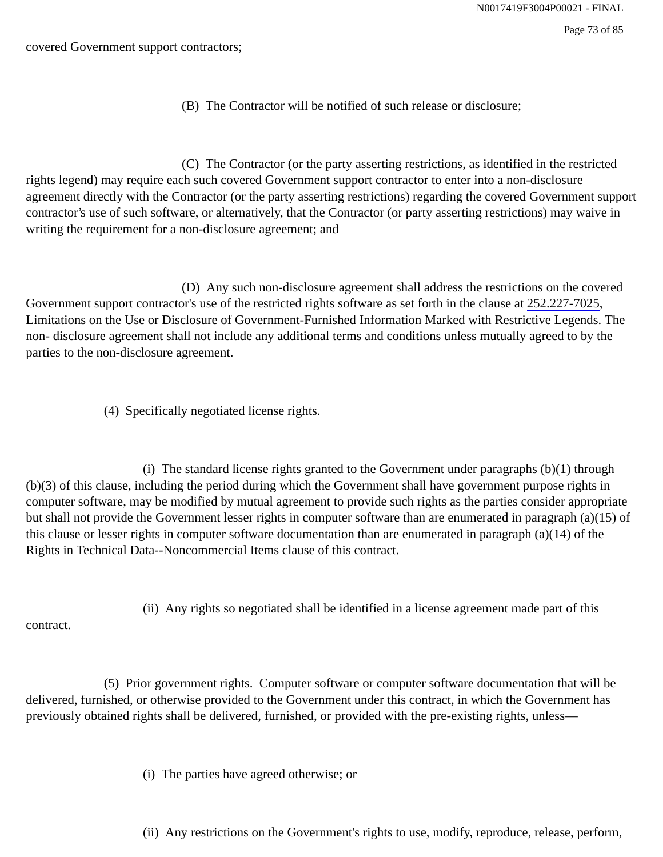Page 73 of 85

covered Government support contractors;

(B) The Contractor will be notified of such release or disclosure;

 (C) The Contractor (or the party asserting restrictions, as identified in the restricted rights legend) may require each such covered Government support contractor to enter into a non-disclosure agreement directly with the Contractor (or the party asserting restrictions) regarding the covered Government support contractor's use of such software, or alternatively, that the Contractor (or party asserting restrictions) may waive in writing the requirement for a non-disclosure agreement; and

 (D) Any such non-disclosure agreement shall address the restrictions on the covered Government support contractor's use of the restricted rights software as set forth in the clause at 252.227-7025, Limitations on the Use or Disclosure of Government-Furnished Information Marked with Restrictive Legends. The non- disclosure agreement shall not include any additional terms and conditions unless mutually agreed to by the parties to the non-disclosure agreement.

(4) Specifically negotiated license rights.

 (i) The standard license rights granted to the Government under paragraphs (b)(1) through (b)(3) of this clause, including the period during which the Government shall have government purpose rights in computer software, may be modified by mutual agreement to provide such rights as the parties consider appropriate but shall not provide the Government lesser rights in computer software than are enumerated in paragraph (a)(15) of this clause or lesser rights in computer software documentation than are enumerated in paragraph (a)(14) of the Rights in Technical Data--Noncommercial Items clause of this contract.

contract.

(ii) Any rights so negotiated shall be identified in a license agreement made part of this

 (5) Prior government rights. Computer software or computer software documentation that will be delivered, furnished, or otherwise provided to the Government under this contract, in which the Government has previously obtained rights shall be delivered, furnished, or provided with the pre-existing rights, unless—

(i) The parties have agreed otherwise; or

(ii) Any restrictions on the Government's rights to use, modify, reproduce, release, perform,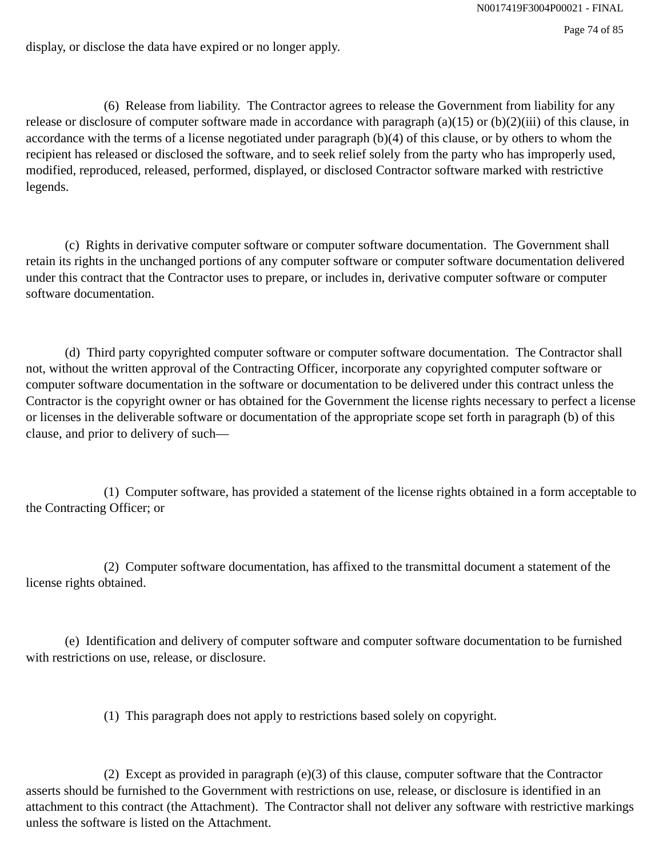display, or disclose the data have expired or no longer apply.

 (6) Release from liability. The Contractor agrees to release the Government from liability for any release or disclosure of computer software made in accordance with paragraph (a)(15) or (b)(2)(iii) of this clause, in accordance with the terms of a license negotiated under paragraph (b)(4) of this clause, or by others to whom the recipient has released or disclosed the software, and to seek relief solely from the party who has improperly used, modified, reproduced, released, performed, displayed, or disclosed Contractor software marked with restrictive legends.

 (c) Rights in derivative computer software or computer software documentation. The Government shall retain its rights in the unchanged portions of any computer software or computer software documentation delivered under this contract that the Contractor uses to prepare, or includes in, derivative computer software or computer software documentation.

 (d) Third party copyrighted computer software or computer software documentation. The Contractor shall not, without the written approval of the Contracting Officer, incorporate any copyrighted computer software or computer software documentation in the software or documentation to be delivered under this contract unless the Contractor is the copyright owner or has obtained for the Government the license rights necessary to perfect a license or licenses in the deliverable software or documentation of the appropriate scope set forth in paragraph (b) of this clause, and prior to delivery of such—

 (1) Computer software, has provided a statement of the license rights obtained in a form acceptable to the Contracting Officer; or

 (2) Computer software documentation, has affixed to the transmittal document a statement of the license rights obtained.

 (e) Identification and delivery of computer software and computer software documentation to be furnished with restrictions on use, release, or disclosure.

(1) This paragraph does not apply to restrictions based solely on copyright.

 (2) Except as provided in paragraph (e)(3) of this clause, computer software that the Contractor asserts should be furnished to the Government with restrictions on use, release, or disclosure is identified in an attachment to this contract (the Attachment). The Contractor shall not deliver any software with restrictive markings unless the software is listed on the Attachment.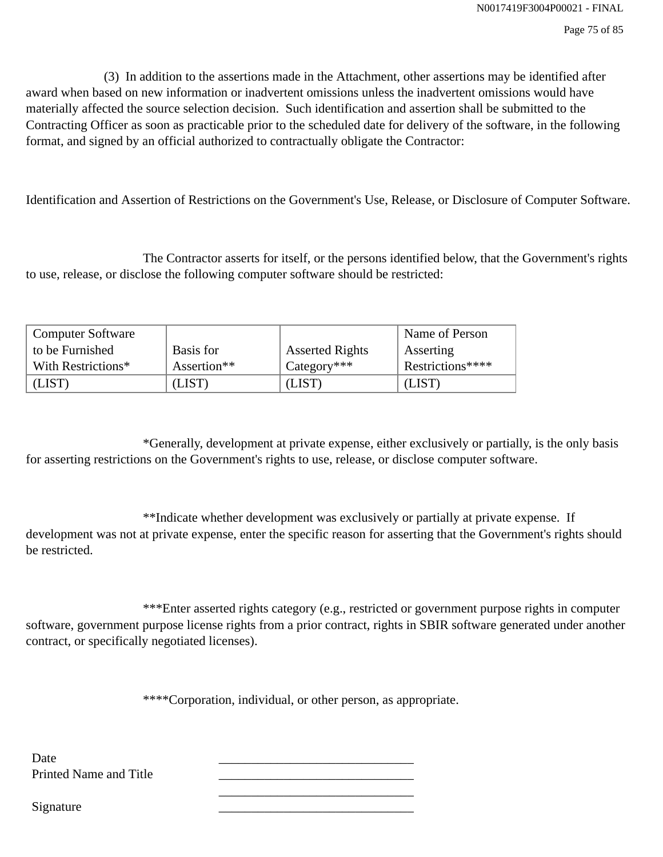(3) In addition to the assertions made in the Attachment, other assertions may be identified after award when based on new information or inadvertent omissions unless the inadvertent omissions would have materially affected the source selection decision. Such identification and assertion shall be submitted to the Contracting Officer as soon as practicable prior to the scheduled date for delivery of the software, in the following format, and signed by an official authorized to contractually obligate the Contractor:

Identification and Assertion of Restrictions on the Government's Use, Release, or Disclosure of Computer Software.

 The Contractor asserts for itself, or the persons identified below, that the Government's rights to use, release, or disclose the following computer software should be restricted:

| <b>Computer Software</b> |             |                        | Name of Person   |
|--------------------------|-------------|------------------------|------------------|
| to be Furnished          | Basis for   | <b>Asserted Rights</b> | Asserting        |
| With Restrictions*       | Assertion** | $Category***$          | Restrictions**** |
| LIST <sup>®</sup>        | LIST        | (LIST                  | (LIST            |

 \*Generally, development at private expense, either exclusively or partially, is the only basis for asserting restrictions on the Government's rights to use, release, or disclose computer software.

 \*\*Indicate whether development was exclusively or partially at private expense. If development was not at private expense, enter the specific reason for asserting that the Government's rights should be restricted.

 \*\*\*Enter asserted rights category (e.g., restricted or government purpose rights in computer software, government purpose license rights from a prior contract, rights in SBIR software generated under another contract, or specifically negotiated licenses).

\*\*\*\*Corporation, individual, or other person, as appropriate.

\_\_\_\_\_\_\_\_\_\_\_\_\_\_\_\_\_\_\_\_\_\_\_\_\_\_\_\_\_\_

Date \_\_\_\_\_\_\_\_\_\_\_\_\_\_\_\_\_\_\_\_\_\_\_\_\_\_\_\_\_\_ Printed Name and Title

Signature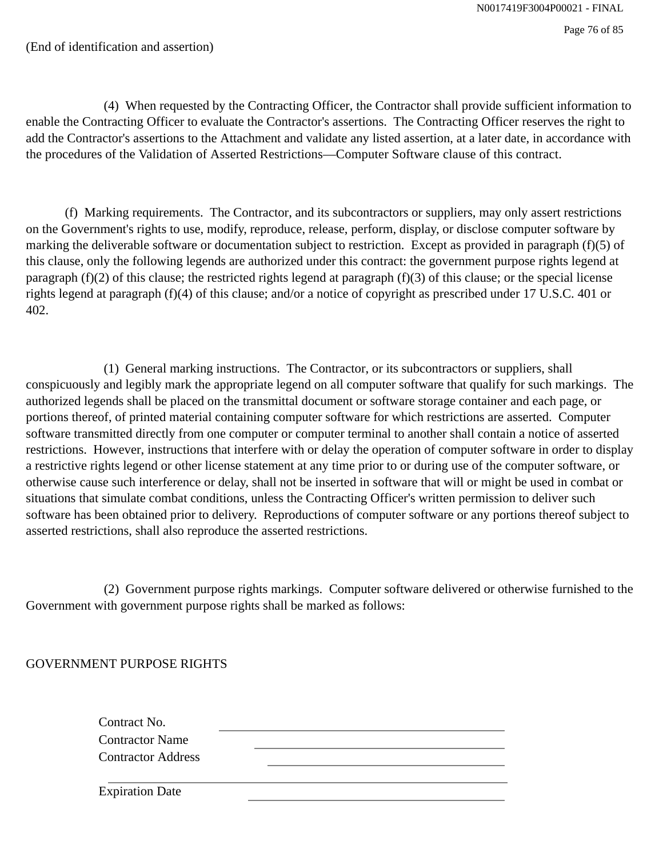(End of identification and assertion)

 (4) When requested by the Contracting Officer, the Contractor shall provide sufficient information to enable the Contracting Officer to evaluate the Contractor's assertions. The Contracting Officer reserves the right to add the Contractor's assertions to the Attachment and validate any listed assertion, at a later date, in accordance with the procedures of the Validation of Asserted Restrictions—Computer Software clause of this contract.

 (f) Marking requirements. The Contractor, and its subcontractors or suppliers, may only assert restrictions on the Government's rights to use, modify, reproduce, release, perform, display, or disclose computer software by marking the deliverable software or documentation subject to restriction. Except as provided in paragraph (f)(5) of this clause, only the following legends are authorized under this contract: the government purpose rights legend at paragraph (f)(2) of this clause; the restricted rights legend at paragraph (f)(3) of this clause; or the special license rights legend at paragraph (f)(4) of this clause; and/or a notice of copyright as prescribed under 17 U.S.C. 401 or 402.

 (1) General marking instructions. The Contractor, or its subcontractors or suppliers, shall conspicuously and legibly mark the appropriate legend on all computer software that qualify for such markings. The authorized legends shall be placed on the transmittal document or software storage container and each page, or portions thereof, of printed material containing computer software for which restrictions are asserted. Computer software transmitted directly from one computer or computer terminal to another shall contain a notice of asserted restrictions. However, instructions that interfere with or delay the operation of computer software in order to display a restrictive rights legend or other license statement at any time prior to or during use of the computer software, or otherwise cause such interference or delay, shall not be inserted in software that will or might be used in combat or situations that simulate combat conditions, unless the Contracting Officer's written permission to deliver such software has been obtained prior to delivery. Reproductions of computer software or any portions thereof subject to asserted restrictions, shall also reproduce the asserted restrictions.

 (2) Government purpose rights markings. Computer software delivered or otherwise furnished to the Government with government purpose rights shall be marked as follows:

## GOVERNMENT PURPOSE RIGHTS

Contract No. Contractor Name Contractor Address

Expiration Date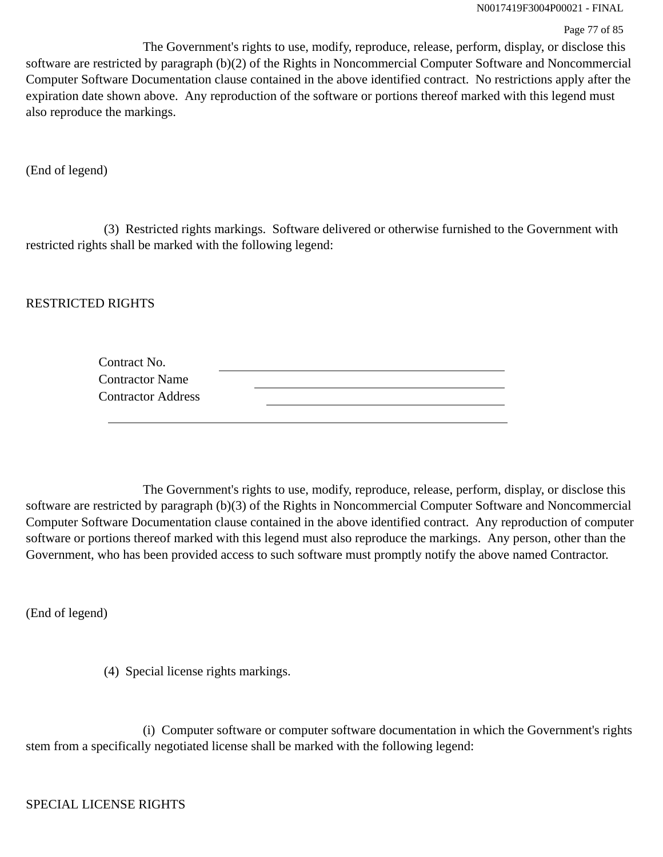The Government's rights to use, modify, reproduce, release, perform, display, or disclose this software are restricted by paragraph (b)(2) of the Rights in Noncommercial Computer Software and Noncommercial Computer Software Documentation clause contained in the above identified contract. No restrictions apply after the expiration date shown above. Any reproduction of the software or portions thereof marked with this legend must also reproduce the markings.

(End of legend)

 (3) Restricted rights markings. Software delivered or otherwise furnished to the Government with restricted rights shall be marked with the following legend:

RESTRICTED RIGHTS

| Contract No.              |  |  |  |
|---------------------------|--|--|--|
| <b>Contractor Name</b>    |  |  |  |
| <b>Contractor Address</b> |  |  |  |
|                           |  |  |  |

 The Government's rights to use, modify, reproduce, release, perform, display, or disclose this software are restricted by paragraph (b)(3) of the Rights in Noncommercial Computer Software and Noncommercial Computer Software Documentation clause contained in the above identified contract. Any reproduction of computer software or portions thereof marked with this legend must also reproduce the markings. Any person, other than the Government, who has been provided access to such software must promptly notify the above named Contractor.

(End of legend)

(4) Special license rights markings.

 (i) Computer software or computer software documentation in which the Government's rights stem from a specifically negotiated license shall be marked with the following legend:

SPECIAL LICENSE RIGHTS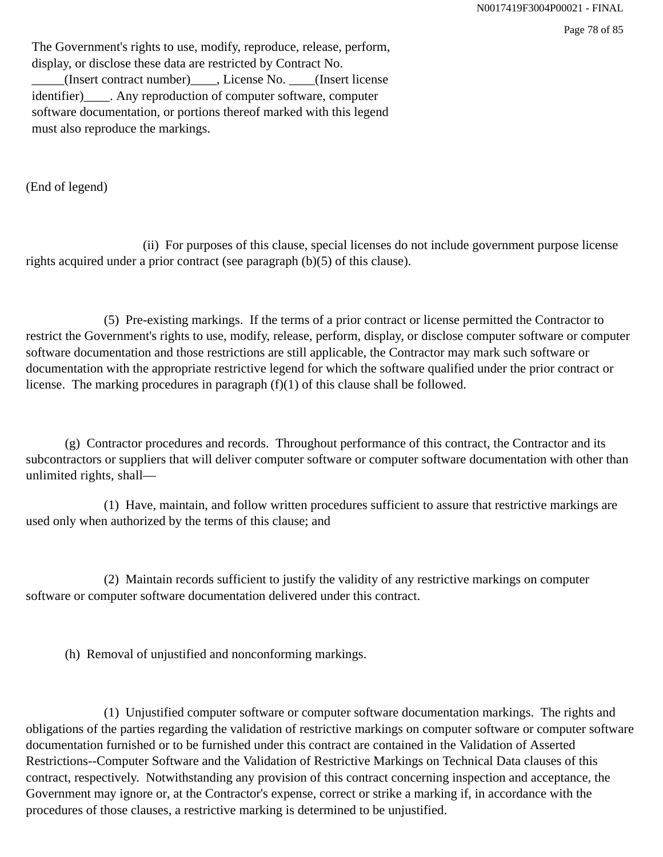Page 78 of 85

The Government's rights to use, modify, reproduce, release, perform, display, or disclose these data are restricted by Contract No. \_\_\_\_\_(Insert contract number)\_\_\_\_, License No. \_\_\_\_(Insert license identifier) Any reproduction of computer software, computer

software documentation, or portions thereof marked with this legend must also reproduce the markings.

(End of legend)

 (ii) For purposes of this clause, special licenses do not include government purpose license rights acquired under a prior contract (see paragraph (b)(5) of this clause).

 (5) Pre-existing markings. If the terms of a prior contract or license permitted the Contractor to restrict the Government's rights to use, modify, release, perform, display, or disclose computer software or computer software documentation and those restrictions are still applicable, the Contractor may mark such software or documentation with the appropriate restrictive legend for which the software qualified under the prior contract or license. The marking procedures in paragraph (f)(1) of this clause shall be followed.

 (g) Contractor procedures and records. Throughout performance of this contract, the Contractor and its subcontractors or suppliers that will deliver computer software or computer software documentation with other than unlimited rights, shall—

 (1) Have, maintain, and follow written procedures sufficient to assure that restrictive markings are used only when authorized by the terms of this clause; and

 (2) Maintain records sufficient to justify the validity of any restrictive markings on computer software or computer software documentation delivered under this contract.

(h) Removal of unjustified and nonconforming markings.

 (1) Unjustified computer software or computer software documentation markings. The rights and obligations of the parties regarding the validation of restrictive markings on computer software or computer software documentation furnished or to be furnished under this contract are contained in the Validation of Asserted Restrictions--Computer Software and the Validation of Restrictive Markings on Technical Data clauses of this contract, respectively. Notwithstanding any provision of this contract concerning inspection and acceptance, the Government may ignore or, at the Contractor's expense, correct or strike a marking if, in accordance with the procedures of those clauses, a restrictive marking is determined to be unjustified.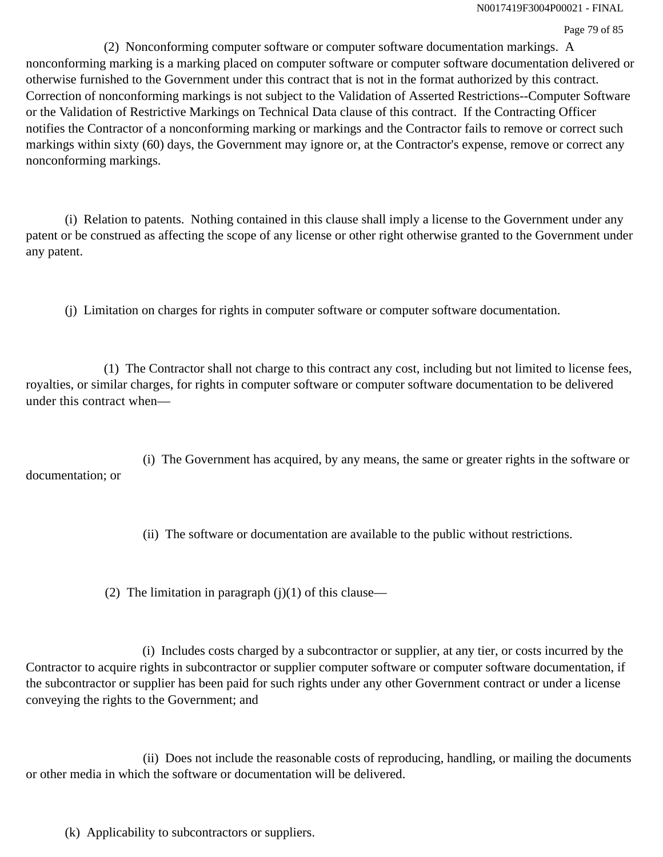(2) Nonconforming computer software or computer software documentation markings. A nonconforming marking is a marking placed on computer software or computer software documentation delivered or otherwise furnished to the Government under this contract that is not in the format authorized by this contract. Correction of nonconforming markings is not subject to the Validation of Asserted Restrictions--Computer Software or the Validation of Restrictive Markings on Technical Data clause of this contract. If the Contracting Officer notifies the Contractor of a nonconforming marking or markings and the Contractor fails to remove or correct such markings within sixty (60) days, the Government may ignore or, at the Contractor's expense, remove or correct any nonconforming markings.

 (i) Relation to patents. Nothing contained in this clause shall imply a license to the Government under any patent or be construed as affecting the scope of any license or other right otherwise granted to the Government under any patent.

(j) Limitation on charges for rights in computer software or computer software documentation.

 (1) The Contractor shall not charge to this contract any cost, including but not limited to license fees, royalties, or similar charges, for rights in computer software or computer software documentation to be delivered under this contract when—

 (i) The Government has acquired, by any means, the same or greater rights in the software or documentation; or

(ii) The software or documentation are available to the public without restrictions.

(2) The limitation in paragraph  $(j)(1)$  of this clause—

 (i) Includes costs charged by a subcontractor or supplier, at any tier, or costs incurred by the Contractor to acquire rights in subcontractor or supplier computer software or computer software documentation, if the subcontractor or supplier has been paid for such rights under any other Government contract or under a license conveying the rights to the Government; and

 (ii) Does not include the reasonable costs of reproducing, handling, or mailing the documents or other media in which the software or documentation will be delivered.

(k) Applicability to subcontractors or suppliers.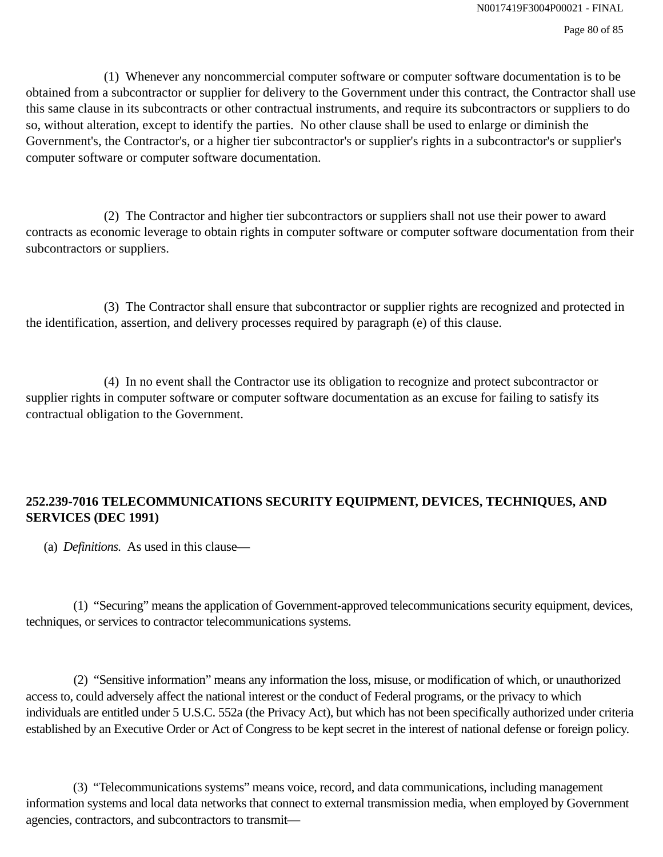(1) Whenever any noncommercial computer software or computer software documentation is to be obtained from a subcontractor or supplier for delivery to the Government under this contract, the Contractor shall use this same clause in its subcontracts or other contractual instruments, and require its subcontractors or suppliers to do so, without alteration, except to identify the parties. No other clause shall be used to enlarge or diminish the Government's, the Contractor's, or a higher tier subcontractor's or supplier's rights in a subcontractor's or supplier's computer software or computer software documentation.

 (2) The Contractor and higher tier subcontractors or suppliers shall not use their power to award contracts as economic leverage to obtain rights in computer software or computer software documentation from their subcontractors or suppliers.

 (3) The Contractor shall ensure that subcontractor or supplier rights are recognized and protected in the identification, assertion, and delivery processes required by paragraph (e) of this clause.

 (4) In no event shall the Contractor use its obligation to recognize and protect subcontractor or supplier rights in computer software or computer software documentation as an excuse for failing to satisfy its contractual obligation to the Government.

## **252.239-7016 TELECOMMUNICATIONS SECURITY EQUIPMENT, DEVICES, TECHNIQUES, AND SERVICES (DEC 1991)**

(a) *Definitions.* As used in this clause—

 (1) "Securing" means the application of Government-approved telecommunications security equipment, devices, techniques, or services to contractor telecommunications systems.

 (2) "Sensitive information" means any information the loss, misuse, or modification of which, or unauthorized access to, could adversely affect the national interest or the conduct of Federal programs, or the privacy to which individuals are entitled under 5 U.S.C. 552a (the Privacy Act), but which has not been specifically authorized under criteria established by an Executive Order or Act of Congress to be kept secret in the interest of national defense or foreign policy.

 (3) "Telecommunications systems" means voice, record, and data communications, including management information systems and local data networks that connect to external transmission media, when employed by Government agencies, contractors, and subcontractors to transmit—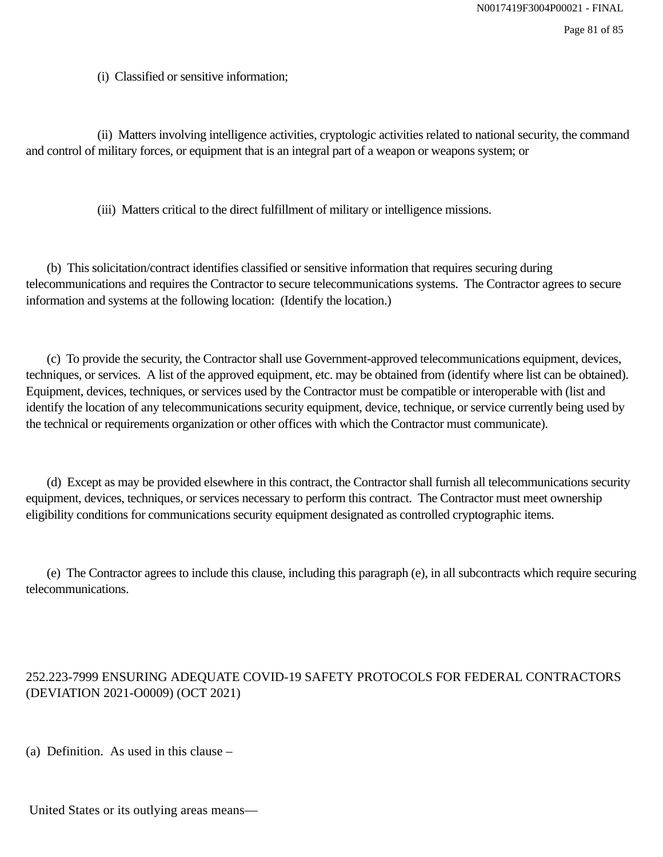Page 81 of 85

(i) Classified or sensitive information;

 (ii) Matters involving intelligence activities, cryptologic activities related to national security, the command and control of military forces, or equipment that is an integral part of a weapon or weapons system; or

(iii) Matters critical to the direct fulfillment of military or intelligence missions.

 (b) This solicitation/contract identifies classified or sensitive information that requires securing during telecommunications and requires the Contractor to secure telecommunications systems. The Contractor agrees to secure information and systems at the following location: (Identify the location.)

 (c) To provide the security, the Contractor shall use Government-approved telecommunications equipment, devices, techniques, or services. A list of the approved equipment, etc. may be obtained from (identify where list can be obtained). Equipment, devices, techniques, or services used by the Contractor must be compatible or interoperable with (list and identify the location of any telecommunications security equipment, device, technique, or service currently being used by the technical or requirements organization or other offices with which the Contractor must communicate).

 (d) Except as may be provided elsewhere in this contract, the Contractor shall furnish all telecommunications security equipment, devices, techniques, or services necessary to perform this contract. The Contractor must meet ownership eligibility conditions for communications security equipment designated as controlled cryptographic items.

 (e) The Contractor agrees to include this clause, including this paragraph (e), in all subcontracts which require securing telecommunications.

## 252.223-7999 ENSURING ADEQUATE COVID-19 SAFETY PROTOCOLS FOR FEDERAL CONTRACTORS (DEVIATION 2021-O0009) (OCT 2021)

(a) Definition. As used in this clause –

United States or its outlying areas means—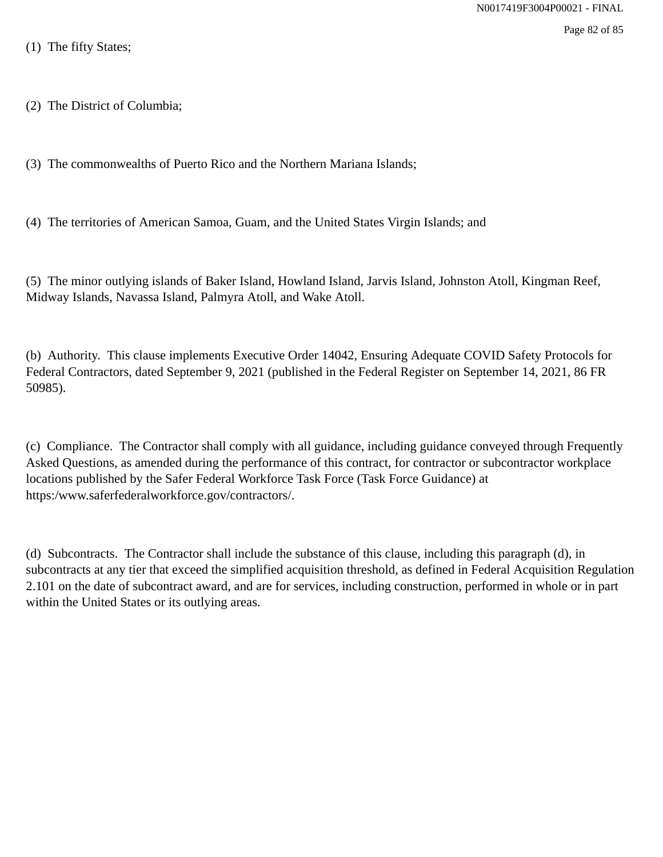(1) The fifty States;

Page 82 of 85

(2) The District of Columbia;

(3) The commonwealths of Puerto Rico and the Northern Mariana Islands;

(4) The territories of American Samoa, Guam, and the United States Virgin Islands; and

(5) The minor outlying islands of Baker Island, Howland Island, Jarvis Island, Johnston Atoll, Kingman Reef, Midway Islands, Navassa Island, Palmyra Atoll, and Wake Atoll.

(b) Authority. This clause implements Executive Order 14042, Ensuring Adequate COVID Safety Protocols for Federal Contractors, dated September 9, 2021 (published in the Federal Register on September 14, 2021, 86 FR 50985).

(c) Compliance. The Contractor shall comply with all guidance, including guidance conveyed through Frequently Asked Questions, as amended during the performance of this contract, for contractor or subcontractor workplace locations published by the Safer Federal Workforce Task Force (Task Force Guidance) at https:/www.saferfederalworkforce.gov/contractors/.

(d) Subcontracts. The Contractor shall include the substance of this clause, including this paragraph (d), in subcontracts at any tier that exceed the simplified acquisition threshold, as defined in Federal Acquisition Regulation 2.101 on the date of subcontract award, and are for services, including construction, performed in whole or in part within the United States or its outlying areas.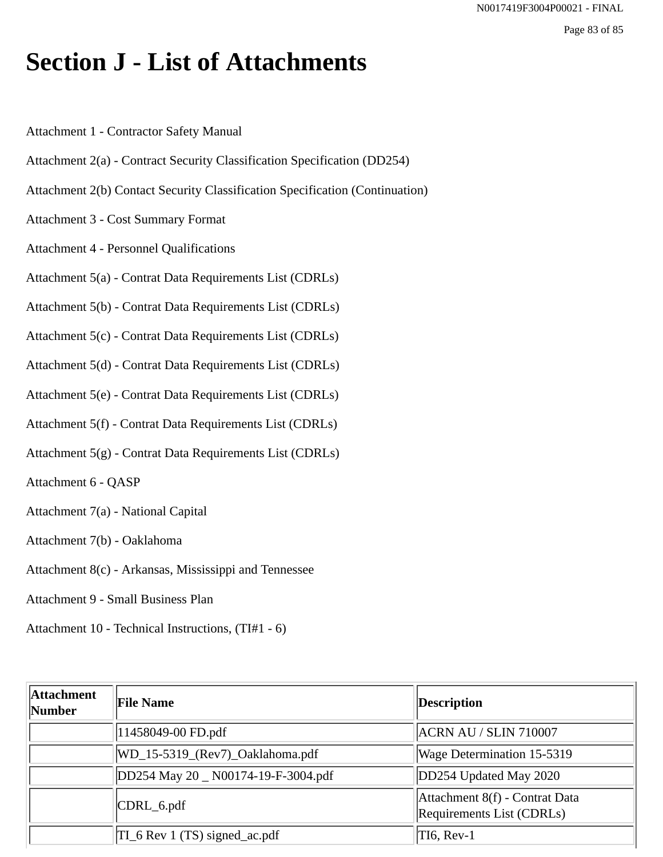Page 83 of 85

## **Section J - List of Attachments**

- Attachment 1 Contractor Safety Manual
- Attachment 2(a) Contract Security Classification Specification (DD254)
- Attachment 2(b) Contact Security Classification Specification (Continuation)
- Attachment 3 Cost Summary Format
- Attachment 4 Personnel Qualifications
- Attachment 5(a) Contrat Data Requirements List (CDRLs)
- Attachment 5(b) Contrat Data Requirements List (CDRLs)
- Attachment 5(c) Contrat Data Requirements List (CDRLs)
- Attachment 5(d) Contrat Data Requirements List (CDRLs)
- Attachment 5(e) Contrat Data Requirements List (CDRLs)
- Attachment 5(f) Contrat Data Requirements List (CDRLs)
- Attachment 5(g) Contrat Data Requirements List (CDRLs)
- Attachment 6 QASP
- Attachment 7(a) National Capital
- Attachment 7(b) Oaklahoma
- Attachment 8(c) Arkansas, Mississippi and Tennessee
- Attachment 9 Small Business Plan
- Attachment 10 Technical Instructions, (TI#1 6)

| <b>Attachment</b><br><b>Number</b> | <b>File Name</b>                       | Description                                                 |
|------------------------------------|----------------------------------------|-------------------------------------------------------------|
|                                    | $11458049-00$ FD.pdf                   | ACRN AU / SLIN 710007                                       |
|                                    | WD_15-5319_(Rev7)_Oaklahoma.pdf        | <b>Wage Determination 15-5319</b>                           |
|                                    | DD254 May 20 _ N00174-19-F-3004.pdf    | DD254 Updated May 2020                                      |
|                                    | $ CDRL_6.pdf$                          | Attachment 8(f) - Contrat Data<br>Requirements List (CDRLs) |
|                                    | $\text{TI}_6$ Rev 1 (TS) signed_ac.pdf | $TI6, Rev-1$                                                |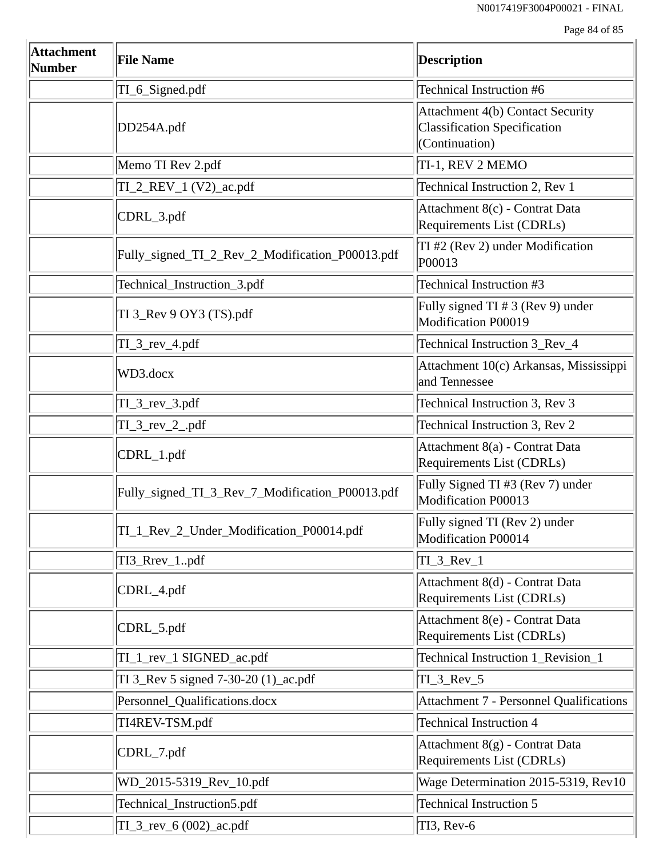J

| <b>Attachment</b><br><b>Number</b> | <b>File Name</b>                                | <b>Description</b>                                                                        |  |
|------------------------------------|-------------------------------------------------|-------------------------------------------------------------------------------------------|--|
|                                    | TI_6_Signed.pdf                                 | <b>Technical Instruction #6</b>                                                           |  |
|                                    | DD254A.pdf                                      | Attachment 4(b) Contact Security<br><b>Classification Specification</b><br>(Continuation) |  |
|                                    | Memo TI Rev 2.pdf                               | TI-1, REV 2 MEMO                                                                          |  |
|                                    | $TI_2$ <sub>REV_1</sub> (V2) <sub>_ac.pdf</sub> | Technical Instruction 2, Rev 1                                                            |  |
|                                    | CDRL_3.pdf                                      | Attachment 8(c) - Contrat Data<br>Requirements List (CDRLs)                               |  |
|                                    | Fully_signed_TI_2_Rev_2_Modification_P00013.pdf | TI #2 (Rev 2) under Modification<br>P00013                                                |  |
|                                    | Technical_Instruction_3.pdf                     | Technical Instruction #3                                                                  |  |
|                                    | $TI 3$ Rev 9 OY3 (TS).pdf                       | Fully signed TI $# 3$ (Rev 9) under<br>Modification P00019                                |  |
|                                    | TI_3_rev_4.pdf                                  | Technical Instruction 3 Rev 4                                                             |  |
|                                    | WD3.docx                                        | Attachment 10(c) Arkansas, Mississippi<br>and Tennessee                                   |  |
|                                    | $TI_3$ _rev_3.pdf                               | Technical Instruction 3, Rev 3                                                            |  |
|                                    | $TI_3$ <sub>_rev_2_.pdf</sub>                   | Technical Instruction 3, Rev 2                                                            |  |
|                                    | CDRL_1.pdf                                      | Attachment 8(a) - Contrat Data<br>Requirements List (CDRLs)                               |  |
|                                    | Fully_signed_TI_3_Rev_7_Modification_P00013.pdf | Fully Signed TI #3 (Rev 7) under<br>Modification P00013                                   |  |
|                                    | TI_1_Rev_2_Under_Modification_P00014.pdf        | Fully signed TI (Rev 2) under<br>Modification P00014                                      |  |
|                                    | TI3_Rrev_1pdf                                   | $TI_3$ <sub>_Rev_1</sub>                                                                  |  |
|                                    | CDRL_4.pdf                                      | Attachment 8(d) - Contrat Data<br>Requirements List (CDRLs)                               |  |
|                                    | CDRL_5.pdf                                      | Attachment 8(e) - Contrat Data<br>Requirements List (CDRLs)                               |  |
|                                    | TI_1_rev_1 SIGNED_ac.pdf                        | Technical Instruction 1_Revision_1                                                        |  |
|                                    | TI 3_Rev 5 signed 7-30-20 (1)_ac.pdf            | $TI_3$ <sub>_Rev_5</sub>                                                                  |  |
|                                    | Personnel_Qualifications.docx                   | Attachment 7 - Personnel Qualifications                                                   |  |
|                                    | TI4REV-TSM.pdf                                  | <b>Technical Instruction 4</b>                                                            |  |
|                                    | CDRL_7.pdf                                      | Attachment 8(g) - Contrat Data<br>Requirements List (CDRLs)                               |  |
|                                    | WD_2015-5319_Rev_10.pdf                         | Wage Determination 2015-5319, Rev10                                                       |  |
|                                    | Technical_Instruction5.pdf                      | <b>Technical Instruction 5</b>                                                            |  |
|                                    | $TI_3$ _rev_6 (002)_ac.pdf                      | $TI3$ , Rev-6                                                                             |  |